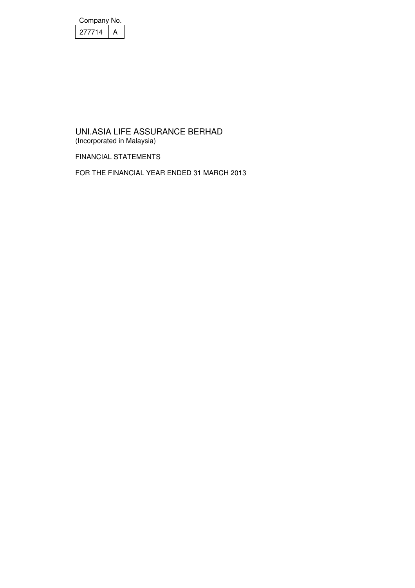| Company No. |  |
|-------------|--|
| 277714      |  |

FINANCIAL STATEMENTS

FOR THE FINANCIAL YEAR ENDED 31 MARCH 2013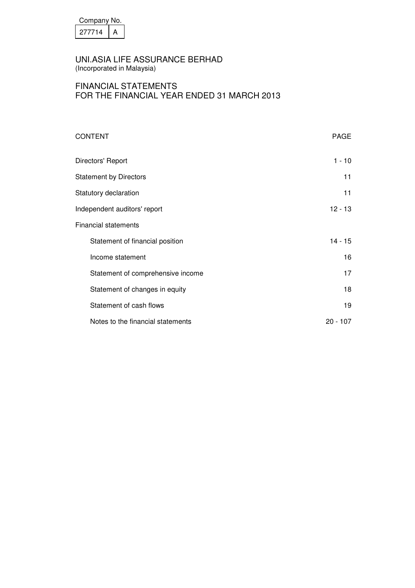| Company No. |  |  |
|-------------|--|--|
| 27714       |  |  |

# FINANCIAL STATEMENTS FOR THE FINANCIAL YEAR ENDED 31 MARCH 2013

| <b>CONTENT</b>                    | <b>PAGE</b> |
|-----------------------------------|-------------|
| Directors' Report                 | $1 - 10$    |
| <b>Statement by Directors</b>     | 11          |
| Statutory declaration             | 11          |
| Independent auditors' report      | $12 - 13$   |
| <b>Financial statements</b>       |             |
| Statement of financial position   | $14 - 15$   |
| Income statement                  | 16          |
| Statement of comprehensive income | 17          |
| Statement of changes in equity    | 18          |
| Statement of cash flows           | 19          |
| Notes to the financial statements | $20 - 107$  |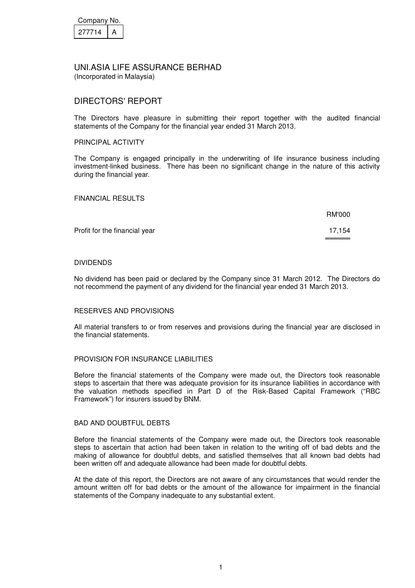

## DIRECTORS' REPORT

The Directors have pleasure in submitting their report together with the audited financial statements of the Company for the financial year ended 31 March 2013.

#### PRINCIPAL ACTIVITY

The Company is engaged principally in the underwriting of life insurance business including investment-linked business. There has been no significant change in the nature of this activity during the financial year.

## FINANCIAL RESULTS

|                               | RM'000 |
|-------------------------------|--------|
| Profit for the financial year | 17,154 |

### DIVIDENDS

No dividend has been paid or declared by the Company since 31 March 2012. The Directors do not recommend the payment of any dividend for the financial year ended 31 March 2013.

### RESERVES AND PROVISIONS

All material transfers to or from reserves and provisions during the financial year are disclosed in the financial statements.

### PROVISION FOR INSURANCE LIABILITIES

Before the financial statements of the Company were made out, the Directors took reasonable steps to ascertain that there was adequate provision for its insurance liabilities in accordance with the valuation methods specified in Part D of the Risk-Based Capital Framework ("RBC Framework") for insurers issued by BNM.

#### BAD AND DOUBTFUL DEBTS

Before the financial statements of the Company were made out, the Directors took reasonable steps to ascertain that action had been taken in relation to the writing off of bad debts and the making of allowance for doubtful debts, and satisfied themselves that all known bad debts had been written off and adequate allowance had been made for doubtful debts.

At the date of this report, the Directors are not aware of any circumstances that would render the amount written off for bad debts or the amount of the allowance for impairment in the financial statements of the Company inadequate to any substantial extent.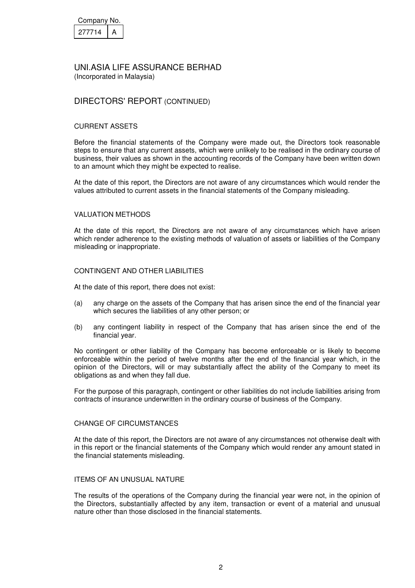| Company No. |  |
|-------------|--|
| 277714      |  |

# DIRECTORS' REPORT (CONTINUED)

### CURRENT ASSETS

Before the financial statements of the Company were made out, the Directors took reasonable steps to ensure that any current assets, which were unlikely to be realised in the ordinary course of business, their values as shown in the accounting records of the Company have been written down to an amount which they might be expected to realise.

At the date of this report, the Directors are not aware of any circumstances which would render the values attributed to current assets in the financial statements of the Company misleading.

### VALUATION METHODS

At the date of this report, the Directors are not aware of any circumstances which have arisen which render adherence to the existing methods of valuation of assets or liabilities of the Company misleading or inappropriate.

### CONTINGENT AND OTHER LIABILITIES

At the date of this report, there does not exist:

- (a) any charge on the assets of the Company that has arisen since the end of the financial year which secures the liabilities of any other person; or
- (b) any contingent liability in respect of the Company that has arisen since the end of the financial year.

No contingent or other liability of the Company has become enforceable or is likely to become enforceable within the period of twelve months after the end of the financial year which, in the opinion of the Directors, will or may substantially affect the ability of the Company to meet its obligations as and when they fall due.

For the purpose of this paragraph, contingent or other liabilities do not include liabilities arising from contracts of insurance underwritten in the ordinary course of business of the Company.

#### CHANGE OF CIRCUMSTANCES

At the date of this report, the Directors are not aware of any circumstances not otherwise dealt with in this report or the financial statements of the Company which would render any amount stated in the financial statements misleading.

### ITEMS OF AN UNUSUAL NATURE

The results of the operations of the Company during the financial year were not, in the opinion of the Directors, substantially affected by any item, transaction or event of a material and unusual nature other than those disclosed in the financial statements.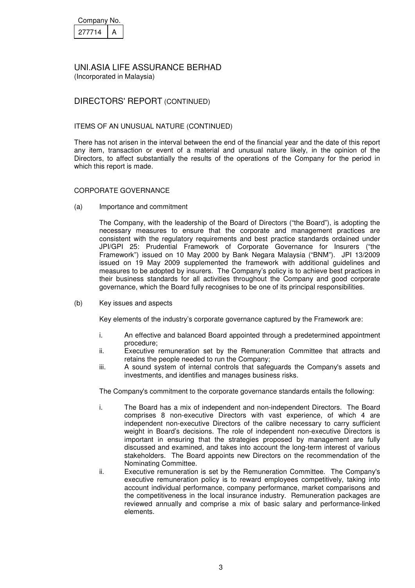| Company No. |  |
|-------------|--|
| 277714      |  |

DIRECTORS' REPORT (CONTINUED)

### ITEMS OF AN UNUSUAL NATURE (CONTINUED)

There has not arisen in the interval between the end of the financial year and the date of this report any item, transaction or event of a material and unusual nature likely, in the opinion of the Directors, to affect substantially the results of the operations of the Company for the period in which this report is made.

### CORPORATE GOVERNANCE

(a) Importance and commitment

 The Company, with the leadership of the Board of Directors ("the Board"), is adopting the necessary measures to ensure that the corporate and management practices are consistent with the regulatory requirements and best practice standards ordained under JPI/GPI 25: Prudential Framework of Corporate Governance for Insurers ("the Framework") issued on 10 May 2000 by Bank Negara Malaysia ("BNM"). JPI 13/2009 issued on 19 May 2009 supplemented the framework with additional guidelines and measures to be adopted by insurers. The Company's policy is to achieve best practices in their business standards for all activities throughout the Company and good corporate governance, which the Board fully recognises to be one of its principal responsibilities.

(b) Key issues and aspects

Key elements of the industry's corporate governance captured by the Framework are:

- i. An effective and balanced Board appointed through a predetermined appointment procedure;
- ii. Executive remuneration set by the Remuneration Committee that attracts and retains the people needed to run the Company;
- iii. A sound system of internal controls that safeguards the Company's assets and investments, and identifies and manages business risks.

The Company's commitment to the corporate governance standards entails the following:

- i. The Board has a mix of independent and non-independent Directors. The Board comprises 8 non-executive Directors with vast experience, of which 4 are independent non-executive Directors of the calibre necessary to carry sufficient weight in Board's decisions. The role of independent non-executive Directors is important in ensuring that the strategies proposed by management are fully discussed and examined, and takes into account the long-term interest of various stakeholders. The Board appoints new Directors on the recommendation of the Nominating Committee.
- ii. Executive remuneration is set by the Remuneration Committee. The Company's executive remuneration policy is to reward employees competitively, taking into account individual performance, company performance, market comparisons and the competitiveness in the local insurance industry. Remuneration packages are reviewed annually and comprise a mix of basic salary and performance-linked elements.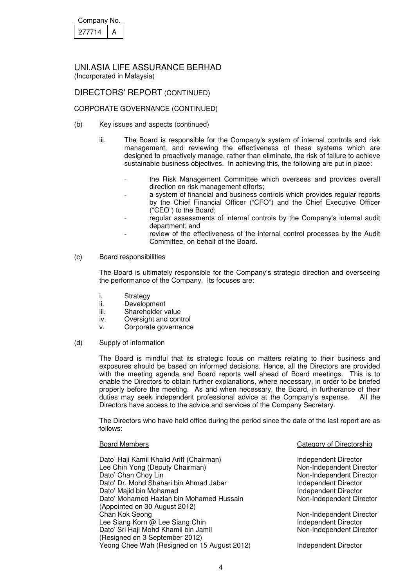| Company No. |  |
|-------------|--|
| 277714      |  |

## DIRECTORS' REPORT (CONTINUED)

## CORPORATE GOVERNANCE (CONTINUED)

- (b) Key issues and aspects (continued)
	- iii. The Board is responsible for the Company's system of internal controls and risk management, and reviewing the effectiveness of these systems which are designed to proactively manage, rather than eliminate, the risk of failure to achieve sustainable business objectives. In achieving this, the following are put in place:
		- the Risk Management Committee which oversees and provides overall direction on risk management efforts;
		- a system of financial and business controls which provides regular reports by the Chief Financial Officer ("CFO") and the Chief Executive Officer ("CEO") to the Board;
		- regular assessments of internal controls by the Company's internal audit department; and
		- review of the effectiveness of the internal control processes by the Audit Committee, on behalf of the Board.
- (c) Board responsibilities

 The Board is ultimately responsible for the Company's strategic direction and overseeing the performance of the Company. Its focuses are:

- i. Strategy
- ii. Development
- iii. Shareholder value
- iv. Oversight and control
- v. Corporate governance
- (d) Supply of information

 The Board is mindful that its strategic focus on matters relating to their business and exposures should be based on informed decisions. Hence, all the Directors are provided with the meeting agenda and Board reports well ahead of Board meetings. This is to enable the Directors to obtain further explanations, where necessary, in order to be briefed properly before the meeting. As and when necessary, the Board, in furtherance of their duties may seek independent professional advice at the Company's expense. All the Directors have access to the advice and services of the Company Secretary.

 The Directors who have held office during the period since the date of the last report are as follows:

#### Board Members **Category of Directorship**

| Dato' Haji Kamil Khalid Ariff (Chairman)    | Independent Director     |
|---------------------------------------------|--------------------------|
| Lee Chin Yong (Deputy Chairman)             | Non-Independent Director |
| Dato' Chan Choy Lin                         | Non-Independent Director |
| Dato' Dr. Mohd Shahari bin Ahmad Jabar      | Independent Director     |
| Dato' Majid bin Mohamad                     | Independent Director     |
| Dato' Mohamed Hazlan bin Mohamed Hussain    | Non-Independent Director |
| (Appointed on 30 August 2012)               |                          |
| Chan Kok Seong                              | Non-Independent Director |
| Lee Siang Korn @ Lee Siang Chin             | Independent Director     |
| Dato' Sri Haji Mohd Khamil bin Jamil        | Non-Independent Director |
| (Resigned on 3 September 2012)              |                          |
| Yeong Chee Wah (Resigned on 15 August 2012) | Independent Director     |
|                                             |                          |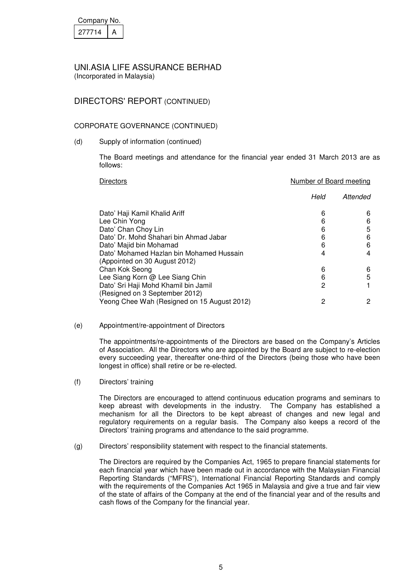| Company No. |  |
|-------------|--|
| 277714      |  |

# DIRECTORS' REPORT (CONTINUED)

## CORPORATE GOVERNANCE (CONTINUED)

(d) Supply of information (continued)

 The Board meetings and attendance for the financial year ended 31 March 2013 are as follows:

| <b>Directors</b>                                                          | Number of Board meeting |          |
|---------------------------------------------------------------------------|-------------------------|----------|
|                                                                           | Held                    | Attended |
| Dato' Haji Kamil Khalid Ariff<br>Lee Chin Yong                            | 6<br>6                  | 6<br>6   |
| Dato' Chan Choy Lin                                                       | 6                       | 5        |
| Dato' Dr. Mohd Shahari bin Ahmad Jabar                                    | 6                       | 6        |
| Dato' Majid bin Mohamad                                                   | 6                       | 6        |
| Dato' Mohamed Hazlan bin Mohamed Hussain<br>(Appointed on 30 August 2012) | 4                       | 4        |
| Chan Kok Seong                                                            | 6                       | 6        |
| Lee Siang Korn @ Lee Siang Chin                                           | 6                       | 5        |
| Dato' Sri Haji Mohd Khamil bin Jamil<br>(Resigned on 3 September 2012)    | 2                       |          |
| Yeong Chee Wah (Resigned on 15 August 2012)                               | 2                       | 2        |

(e) Appointment/re-appointment of Directors

 The appointments/re-appointments of the Directors are based on the Company's Articles of Association. All the Directors who are appointed by the Board are subject to re-election every succeeding year, thereafter one-third of the Directors (being those who have been longest in office) shall retire or be re-elected.

(f) Directors' training

 The Directors are encouraged to attend continuous education programs and seminars to keep abreast with developments in the industry. The Company has established a mechanism for all the Directors to be kept abreast of changes and new legal and regulatory requirements on a regular basis. The Company also keeps a record of the Directors' training programs and attendance to the said programme.

(g) Directors' responsibility statement with respect to the financial statements.

 The Directors are required by the Companies Act, 1965 to prepare financial statements for each financial year which have been made out in accordance with the Malaysian Financial Reporting Standards ("MFRS"), International Financial Reporting Standards and comply with the requirements of the Companies Act 1965 in Malaysia and give a true and fair view of the state of affairs of the Company at the end of the financial year and of the results and cash flows of the Company for the financial year.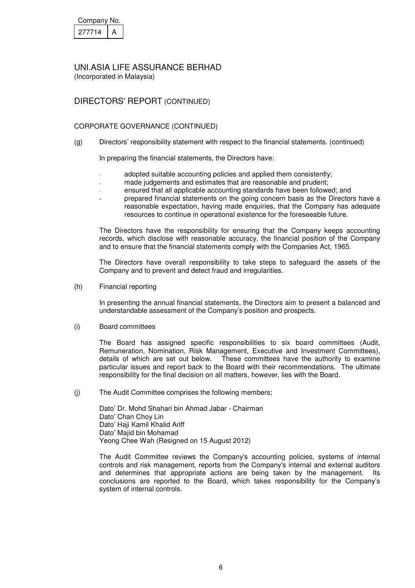| Company No. |  |
|-------------|--|
| 277714      |  |

# DIRECTORS' REPORT (CONTINUED)

## CORPORATE GOVERNANCE (CONTINUED)

(g) Directors' responsibility statement with respect to the financial statements. (continued)

In preparing the financial statements, the Directors have:

- adopted suitable accounting policies and applied them consistently;
- made judgements and estimates that are reasonable and prudent;
- ensured that all applicable accounting standards have been followed; and
- prepared financial statements on the going concern basis as the Directors have a reasonable expectation, having made enquiries, that the Company has adequate resources to continue in operational existence for the foreseeable future.

 The Directors have the responsibility for ensuring that the Company keeps accounting records, which disclose with reasonable accuracy, the financial position of the Company and to ensure that the financial statements comply with the Companies Act, 1965.

 The Directors have overall responsibility to take steps to safeguard the assets of the Company and to prevent and detect fraud and irregularities.

(h) Financial reporting

 In presenting the annual financial statements, the Directors aim to present a balanced and understandable assessment of the Company's position and prospects.

(i) Board committees

 The Board has assigned specific responsibilities to six board committees (Audit, Remuneration, Nomination, Risk Management, Executive and Investment Committees), details of which are set out below. These committees have the authority to examine particular issues and report back to the Board with their recommendations. The ultimate responsibility for the final decision on all matters, however, lies with the Board.

(j) The Audit Committee comprises the following members;

 Dato' Dr. Mohd Shahari bin Ahmad Jabar - Chairman Dato' Chan Choy Lin Dato' Haji Kamil Khalid Ariff Dato' Majid bin Mohamad Yeong Chee Wah (Resigned on 15 August 2012)

 The Audit Committee reviews the Company's accounting policies, systems of internal controls and risk management, reports from the Company's internal and external auditors and determines that appropriate actions are being taken by the management. Its conclusions are reported to the Board, which takes responsibility for the Company's system of internal controls.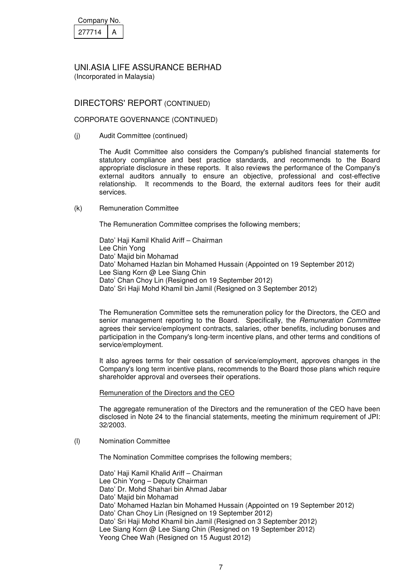| Company No. |  |
|-------------|--|
| 277714      |  |

## DIRECTORS' REPORT (CONTINUED)

## CORPORATE GOVERNANCE (CONTINUED)

(j) Audit Committee (continued)

 The Audit Committee also considers the Company's published financial statements for statutory compliance and best practice standards, and recommends to the Board appropriate disclosure in these reports. It also reviews the performance of the Company's external auditors annually to ensure an objective, professional and cost-effective relationship. It recommends to the Board, the external auditors fees for their audit services.

(k) Remuneration Committee

The Remuneration Committee comprises the following members;

 Dato' Haji Kamil Khalid Ariff – Chairman Lee Chin Yong Dato' Majid bin Mohamad Dato' Mohamed Hazlan bin Mohamed Hussain (Appointed on 19 September 2012) Lee Siang Korn @ Lee Siang Chin Dato' Chan Choy Lin (Resigned on 19 September 2012) Dato' Sri Haji Mohd Khamil bin Jamil (Resigned on 3 September 2012)

The Remuneration Committee sets the remuneration policy for the Directors, the CEO and senior management reporting to the Board. Specifically, the Remuneration Committee agrees their service/employment contracts, salaries, other benefits, including bonuses and participation in the Company's long-term incentive plans, and other terms and conditions of service/employment.

 It also agrees terms for their cessation of service/employment, approves changes in the Company's long term incentive plans, recommends to the Board those plans which require shareholder approval and oversees their operations.

Remuneration of the Directors and the CEO

 The aggregate remuneration of the Directors and the remuneration of the CEO have been disclosed in Note 24 to the financial statements, meeting the minimum requirement of JPI: 32/2003.

(l) Nomination Committee

The Nomination Committee comprises the following members;

 Dato' Haji Kamil Khalid Ariff – Chairman Lee Chin Yong – Deputy Chairman Dato' Dr. Mohd Shahari bin Ahmad Jabar Dato' Majid bin Mohamad Dato' Mohamed Hazlan bin Mohamed Hussain (Appointed on 19 September 2012) Dato' Chan Choy Lin (Resigned on 19 September 2012) Dato' Sri Haii Mohd Khamil bin Jamil (Resigned on 3 September 2012) Lee Siang Korn @ Lee Siang Chin (Resigned on 19 September 2012) Yeong Chee Wah (Resigned on 15 August 2012)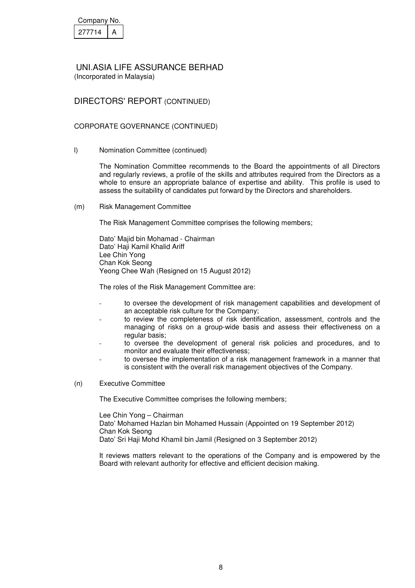| Company No. |  |  |
|-------------|--|--|
| 277714      |  |  |

DIRECTORS' REPORT (CONTINUED)

CORPORATE GOVERNANCE (CONTINUED)

l) Nomination Committee (continued)

The Nomination Committee recommends to the Board the appointments of all Directors and regularly reviews, a profile of the skills and attributes required from the Directors as a whole to ensure an appropriate balance of expertise and ability. This profile is used to assess the suitability of candidates put forward by the Directors and shareholders.

(m) Risk Management Committee

The Risk Management Committee comprises the following members;

 Dato' Majid bin Mohamad - Chairman Dato' Haji Kamil Khalid Ariff Lee Chin Yong Chan Kok Seong Yeong Chee Wah (Resigned on 15 August 2012)

The roles of the Risk Management Committee are:

- to oversee the development of risk management capabilities and development of an acceptable risk culture for the Company;
- to review the completeness of risk identification, assessment, controls and the managing of risks on a group-wide basis and assess their effectiveness on a regular basis;
- to oversee the development of general risk policies and procedures, and to monitor and evaluate their effectiveness;
- to oversee the implementation of a risk management framework in a manner that is consistent with the overall risk management objectives of the Company.
- (n) Executive Committee

The Executive Committee comprises the following members;

 Lee Chin Yong – Chairman Dato' Mohamed Hazlan bin Mohamed Hussain (Appointed on 19 September 2012) Chan Kok Seong Dato' Sri Haji Mohd Khamil bin Jamil (Resigned on 3 September 2012)

 It reviews matters relevant to the operations of the Company and is empowered by the Board with relevant authority for effective and efficient decision making.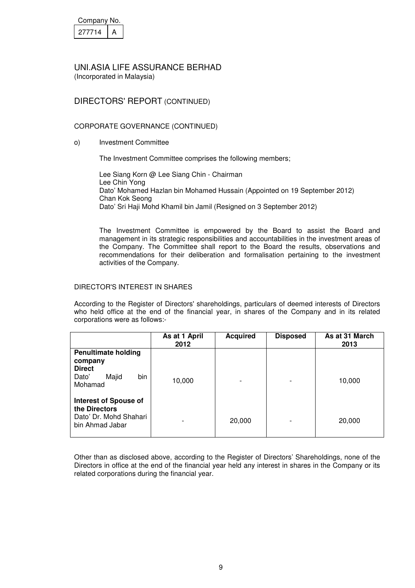| Company No. |  |  |
|-------------|--|--|
| 277714      |  |  |

# DIRECTORS' REPORT (CONTINUED)

## CORPORATE GOVERNANCE (CONTINUED)

o) Investment Committee

The Investment Committee comprises the following members;

 Lee Siang Korn @ Lee Siang Chin - Chairman Lee Chin Yong Dato' Mohamed Hazlan bin Mohamed Hussain (Appointed on 19 September 2012) Chan Kok Seong Dato' Sri Haji Mohd Khamil bin Jamil (Resigned on 3 September 2012)

 The Investment Committee is empowered by the Board to assist the Board and management in its strategic responsibilities and accountabilities in the investment areas of the Company. The Committee shall report to the Board the results, observations and recommendations for their deliberation and formalisation pertaining to the investment activities of the Company.

### DIRECTOR'S INTEREST IN SHARES

According to the Register of Directors' shareholdings, particulars of deemed interests of Directors who held office at the end of the financial year, in shares of the Company and in its related corporations were as follows:-

|                                                                                            | As at 1 April<br>2012 | <b>Acquired</b>              | <b>Disposed</b>          | As at 31 March<br>2013 |
|--------------------------------------------------------------------------------------------|-----------------------|------------------------------|--------------------------|------------------------|
| <b>Penultimate holding</b><br>company<br><b>Direct</b><br>bin<br>Majid<br>Dato'<br>Mohamad | 10,000                | $\qquad \qquad \blacksquare$ | $\overline{\phantom{0}}$ | 10,000                 |
| <b>Interest of Spouse of</b><br>the Directors<br>Dato' Dr. Mohd Shahari<br>bin Ahmad Jabar |                       | 20,000                       | ٠                        | 20,000                 |

Other than as disclosed above, according to the Register of Directors' Shareholdings, none of the Directors in office at the end of the financial year held any interest in shares in the Company or its related corporations during the financial year.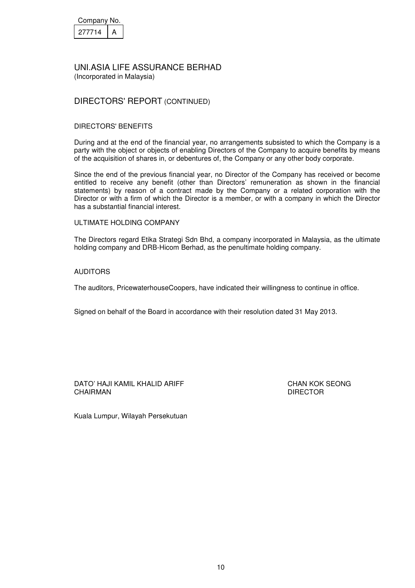| Company No. |  |  |
|-------------|--|--|
| 277714      |  |  |

# DIRECTORS' REPORT (CONTINUED)

### DIRECTORS' BENEFITS

During and at the end of the financial year, no arrangements subsisted to which the Company is a party with the object or objects of enabling Directors of the Company to acquire benefits by means of the acquisition of shares in, or debentures of, the Company or any other body corporate.

Since the end of the previous financial year, no Director of the Company has received or become entitled to receive any benefit (other than Directors' remuneration as shown in the financial statements) by reason of a contract made by the Company or a related corporation with the Director or with a firm of which the Director is a member, or with a company in which the Director has a substantial financial interest.

### ULTIMATE HOLDING COMPANY

The Directors regard Etika Strategi Sdn Bhd, a company incorporated in Malaysia, as the ultimate holding company and DRB-Hicom Berhad, as the penultimate holding company.

### AUDITORS

The auditors, PricewaterhouseCoopers, have indicated their willingness to continue in office.

Signed on behalf of the Board in accordance with their resolution dated 31 May 2013.

DATO' HAJI KAMIL KHALID ARIFF CHAN KOK SEONG CHAIRMAN DIRECTOR

Kuala Lumpur, Wilayah Persekutuan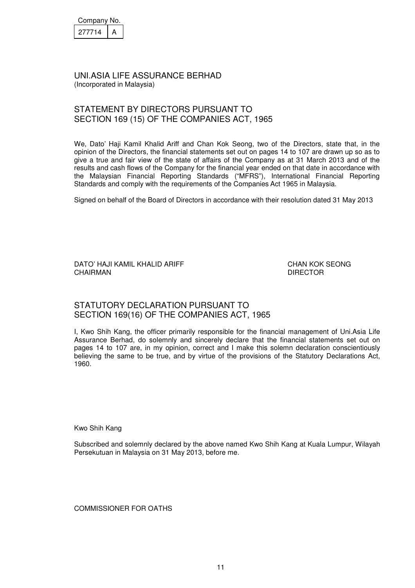| Company No. |  |  |
|-------------|--|--|
| 277714      |  |  |

## STATEMENT BY DIRECTORS PURSUANT TO SECTION 169 (15) OF THE COMPANIES ACT, 1965

We, Dato' Haji Kamil Khalid Ariff and Chan Kok Seong, two of the Directors, state that, in the opinion of the Directors, the financial statements set out on pages 14 to 107 are drawn up so as to give a true and fair view of the state of affairs of the Company as at 31 March 2013 and of the results and cash flows of the Company for the financial year ended on that date in accordance with the Malaysian Financial Reporting Standards ("MFRS"), International Financial Reporting Standards and comply with the requirements of the Companies Act 1965 in Malaysia.

Signed on behalf of the Board of Directors in accordance with their resolution dated 31 May 2013

DATO' HAJI KAMIL KHALID ARIFF CHAN KOK SEONG CHAIRMAN DIRECTOR

## STATUTORY DECLARATION PURSUANT TO SECTION 169(16) OF THE COMPANIES ACT, 1965

I, Kwo Shih Kang, the officer primarily responsible for the financial management of Uni.Asia Life Assurance Berhad, do solemnly and sincerely declare that the financial statements set out on pages 14 to 107 are, in my opinion, correct and I make this solemn declaration conscientiously believing the same to be true, and by virtue of the provisions of the Statutory Declarations Act, 1960.

Kwo Shih Kang

Subscribed and solemnly declared by the above named Kwo Shih Kang at Kuala Lumpur, Wilayah Persekutuan in Malaysia on 31 May 2013, before me.

COMMISSIONER FOR OATHS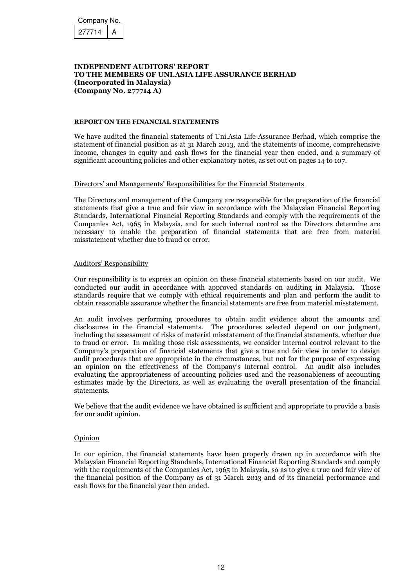

#### INDEPENDENT AUDITORS' REPORT TO THE MEMBERS OF UNI.ASIA LIFE ASSURANCE BERHAD (Incorporated in Malaysia) (Company No. 277714 A)

#### REPORT ON THE FINANCIAL STATEMENTS

We have audited the financial statements of Uni.Asia Life Assurance Berhad, which comprise the statement of financial position as at 31 March 2013, and the statements of income, comprehensive income, changes in equity and cash flows for the financial year then ended, and a summary of significant accounting policies and other explanatory notes, as set out on pages 14 to 107.

#### Directors' and Managements' Responsibilities for the Financial Statements

The Directors and management of the Company are responsible for the preparation of the financial statements that give a true and fair view in accordance with the Malaysian Financial Reporting Standards, International Financial Reporting Standards and comply with the requirements of the Companies Act, 1965 in Malaysia, and for such internal control as the Directors determine are necessary to enable the preparation of financial statements that are free from material misstatement whether due to fraud or error.

#### Auditors' Responsibility

Our responsibility is to express an opinion on these financial statements based on our audit. We conducted our audit in accordance with approved standards on auditing in Malaysia. Those standards require that we comply with ethical requirements and plan and perform the audit to obtain reasonable assurance whether the financial statements are free from material misstatement.

An audit involves performing procedures to obtain audit evidence about the amounts and disclosures in the financial statements. The procedures selected depend on our judgment, including the assessment of risks of material misstatement of the financial statements, whether due to fraud or error. In making those risk assessments, we consider internal control relevant to the Company's preparation of financial statements that give a true and fair view in order to design audit procedures that are appropriate in the circumstances, but not for the purpose of expressing an opinion on the effectiveness of the Company's internal control. An audit also includes evaluating the appropriateness of accounting policies used and the reasonableness of accounting estimates made by the Directors, as well as evaluating the overall presentation of the financial statements.

We believe that the audit evidence we have obtained is sufficient and appropriate to provide a basis for our audit opinion.

#### **Opinion**

In our opinion, the financial statements have been properly drawn up in accordance with the Malaysian Financial Reporting Standards, International Financial Reporting Standards and comply with the requirements of the Companies Act, 1965 in Malaysia, so as to give a true and fair view of the financial position of the Company as of 31 March 2013 and of its financial performance and cash flows for the financial year then ended.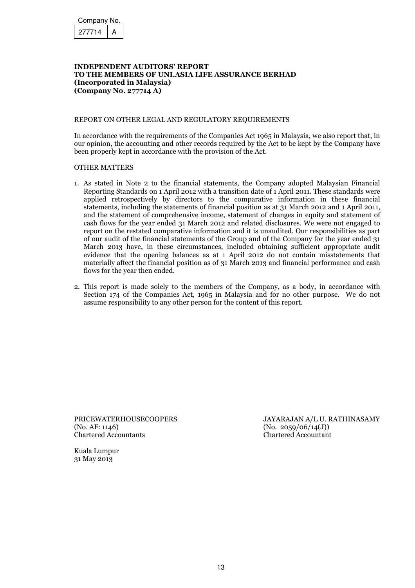

#### INDEPENDENT AUDITORS' REPORT TO THE MEMBERS OF UNI.ASIA LIFE ASSURANCE BERHAD (Incorporated in Malaysia) (Company No. 277714 A)

#### REPORT ON OTHER LEGAL AND REGULATORY REQUIREMENTS

In accordance with the requirements of the Companies Act 1965 in Malaysia, we also report that, in our opinion, the accounting and other records required by the Act to be kept by the Company have been properly kept in accordance with the provision of the Act.

#### OTHER MATTERS

- 1. As stated in Note 2 to the financial statements, the Company adopted Malaysian Financial Reporting Standards on 1 April 2012 with a transition date of 1 April 2011. These standards were applied retrospectively by directors to the comparative information in these financial statements, including the statements of financial position as at 31 March 2012 and 1 April 2011, and the statement of comprehensive income, statement of changes in equity and statement of cash flows for the year ended 31 March 2012 and related disclosures. We were not engaged to report on the restated comparative information and it is unaudited. Our responsibilities as part of our audit of the financial statements of the Group and of the Company for the year ended 31 March 2013 have, in these circumstances, included obtaining sufficient appropriate audit evidence that the opening balances as at 1 April 2012 do not contain misstatements that materially affect the financial position as of 31 March 2013 and financial performance and cash flows for the year then ended.
- 2. This report is made solely to the members of the Company, as a body, in accordance with Section 174 of the Companies Act, 1965 in Malaysia and for no other purpose. We do not assume responsibility to any other person for the content of this report.

 $(No. AF: 1146)$   $(No. 2059/06/14(J))$ Chartered Accountants Chartered Accountant

PRICEWATERHOUSECOOPERS JAYARAJAN A/L U. RATHINASAMY

Kuala Lumpur 31 May 2013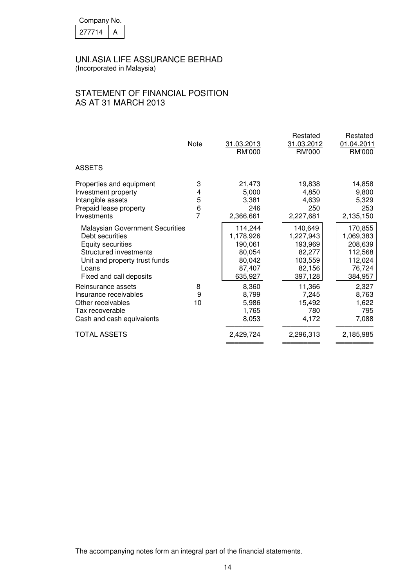| Company No. |  |  |
|-------------|--|--|
| 277714      |  |  |

# STATEMENT OF FINANCIAL POSITION AS AT 31 MARCH 2013

|                                                                                                                                                                               | Note                  | 31.03.2013<br>RM'000                                                     | Restated<br>31.03.2012<br>RM'000                                          | Restated<br>01.04.2011<br>RM'000                                           |
|-------------------------------------------------------------------------------------------------------------------------------------------------------------------------------|-----------------------|--------------------------------------------------------------------------|---------------------------------------------------------------------------|----------------------------------------------------------------------------|
| <b>ASSETS</b>                                                                                                                                                                 |                       |                                                                          |                                                                           |                                                                            |
| Properties and equipment<br>Investment property<br>Intangible assets<br>Prepaid lease property<br>Investments                                                                 | 3<br>4<br>5<br>6<br>7 | 21,473<br>5,000<br>3,381<br>246<br>2,366,661                             | 19,838<br>4,850<br>4,639<br>250<br>2,227,681                              | 14,858<br>9,800<br>5,329<br>253<br>2,135,150                               |
| <b>Malaysian Government Securities</b><br>Debt securities<br>Equity securities<br>Structured investments<br>Unit and property trust funds<br>Loans<br>Fixed and call deposits |                       | 114,244<br>1,178,926<br>190,061<br>80,054<br>80,042<br>87,407<br>635,927 | 140,649<br>1,227,943<br>193,969<br>82,277<br>103,559<br>82,156<br>397,128 | 170,855<br>1,069,383<br>208,639<br>112,568<br>112,024<br>76,724<br>384,957 |
| Reinsurance assets<br>Insurance receivables<br>Other receivables<br>Tax recoverable<br>Cash and cash equivalents                                                              | 8<br>9<br>10          | 8,360<br>8,799<br>5,986<br>1,765<br>8,053                                | 11,366<br>7,245<br>15,492<br>780<br>4,172                                 | 2,327<br>8,763<br>1,622<br>795<br>7,088                                    |
| <b>TOTAL ASSETS</b>                                                                                                                                                           |                       | 2,429,724                                                                | 2,296,313                                                                 | 2,185,985                                                                  |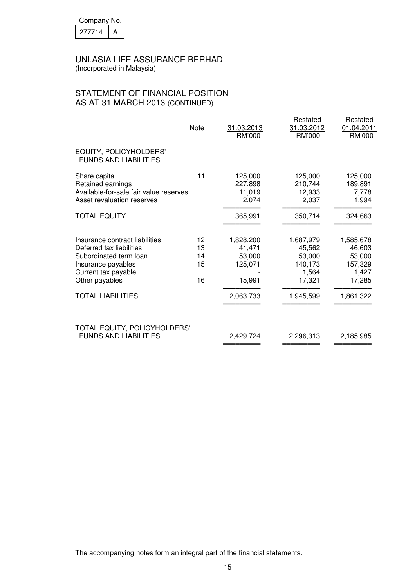| Company No. |  |  |
|-------------|--|--|
| 277714      |  |  |

# STATEMENT OF FINANCIAL POSITION AS AT 31 MARCH 2013 (CONTINUED)

|                                                                                                                                                     | Note                       | 31.03.2013<br>RM'000                               | Restated<br>31.03.2012<br>RM'000                            | Restated<br>01.04.2011<br>RM'000                            |
|-----------------------------------------------------------------------------------------------------------------------------------------------------|----------------------------|----------------------------------------------------|-------------------------------------------------------------|-------------------------------------------------------------|
| EQUITY, POLICYHOLDERS'<br><b>FUNDS AND LIABILITIES</b>                                                                                              |                            |                                                    |                                                             |                                                             |
| Share capital<br>Retained earnings<br>Available-for-sale fair value reserves<br>Asset revaluation reserves                                          | 11                         | 125,000<br>227,898<br>11,019<br>2,074              | 125,000<br>210,744<br>12,933<br>2,037                       | 125,000<br>189,891<br>7,778<br>1,994                        |
| <b>TOTAL EQUITY</b>                                                                                                                                 |                            | 365,991                                            | 350,714                                                     | 324,663                                                     |
| Insurance contract liabilities<br>Deferred tax liabilities<br>Subordinated term loan<br>Insurance payables<br>Current tax payable<br>Other payables | 12<br>13<br>14<br>15<br>16 | 1,828,200<br>41,471<br>53,000<br>125,071<br>15,991 | 1,687,979<br>45,562<br>53,000<br>140,173<br>1,564<br>17,321 | 1,585,678<br>46,603<br>53,000<br>157,329<br>1,427<br>17,285 |
| <b>TOTAL LIABILITIES</b>                                                                                                                            |                            | 2,063,733                                          | 1,945,599                                                   | 1,861,322                                                   |
| TOTAL EQUITY, POLICYHOLDERS'<br><b>FUNDS AND LIABILITIES</b>                                                                                        |                            | 2,429,724                                          | 2,296,313                                                   | 2,185,985                                                   |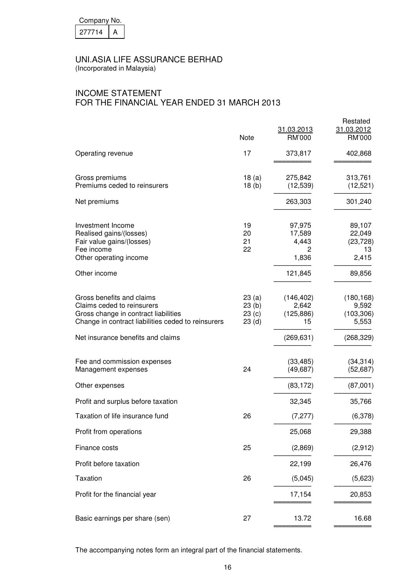| Company No. |  |  |
|-------------|--|--|
| 27714       |  |  |

## INCOME STATEMENT FOR THE FINANCIAL YEAR ENDED 31 MARCH 2013

| Note                             | 31.03.2013<br>RM'000                    | Restated<br>31.03.2012<br><b>RM'000</b>      |
|----------------------------------|-----------------------------------------|----------------------------------------------|
| 17                               | 373,817                                 | 402,868                                      |
| 18(a)<br>18(b)                   | 275,842<br>(12, 539)                    | 313,761<br>(12, 521)                         |
|                                  | 263,303                                 | 301,240                                      |
| 19<br>20<br>21<br>22             | 97,975<br>17,589<br>4,443<br>2<br>1,836 | 89,107<br>22,049<br>(23, 728)<br>13<br>2,415 |
|                                  | 121,845                                 | 89,856                                       |
| 23(a)<br>23(b)<br>23(c)<br>23(d) | (146, 402)<br>2,642<br>(125, 886)<br>15 | (180, 168)<br>9,592<br>(103, 306)<br>5,553   |
|                                  | (269, 631)                              | (268, 329)                                   |
| 24                               | (33, 485)<br>(49, 687)                  | (34, 314)<br>(52, 687)                       |
|                                  | (83, 172)                               | (87,001)                                     |
|                                  | 32,345                                  | 35,766                                       |
| 26                               | (7, 277)                                | (6,378)                                      |
|                                  | 25,068                                  | 29,388                                       |
| 25                               | (2,869)                                 | (2,912)                                      |
|                                  | 22,199                                  | 26,476                                       |
| 26                               | (5,045)                                 | (5,623)                                      |
|                                  | 17,154                                  | 20,853                                       |
| 27                               | 13.72                                   | 16.68                                        |
|                                  |                                         |                                              |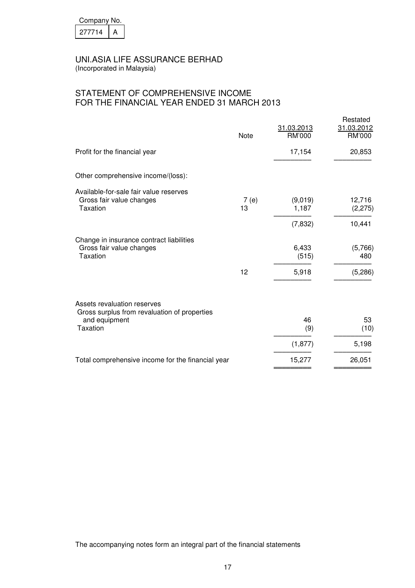| Company No. |  |  |
|-------------|--|--|
| 27714       |  |  |

# STATEMENT OF COMPREHENSIVE INCOME FOR THE FINANCIAL YEAR ENDED 31 MARCH 2013

|                                                                                  | <b>Note</b> | 31.03.2013<br>RM'000 | Restated<br>31.03.2012<br><b>RM'000</b> |
|----------------------------------------------------------------------------------|-------------|----------------------|-----------------------------------------|
| Profit for the financial year                                                    |             | 17,154               | 20,853                                  |
| Other comprehensive income/(loss):                                               |             |                      |                                         |
| Available-for-sale fair value reserves<br>Gross fair value changes<br>Taxation   | 7 (e)<br>13 | (9,019)<br>1,187     | 12,716<br>(2, 275)                      |
|                                                                                  |             | (7, 832)             | 10,441                                  |
| Change in insurance contract liabilities<br>Gross fair value changes<br>Taxation |             | 6,433<br>(515)       | (5,766)<br>480                          |
|                                                                                  | 12          | 5,918                | (5,286)                                 |
| Assets revaluation reserves<br>Gross surplus from revaluation of properties      |             |                      |                                         |
| and equipment<br>Taxation                                                        |             | 46<br>(9)            | 53<br>(10)                              |
|                                                                                  |             | (1, 877)             | 5,198                                   |
| Total comprehensive income for the financial year                                |             | 15,277               | 26,051                                  |
|                                                                                  |             |                      |                                         |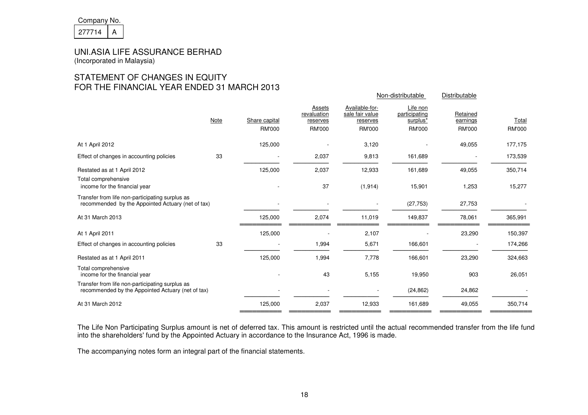| Company No. |  |  |
|-------------|--|--|
| 21/714      |  |  |

# STATEMENT OF CHANGES IN EQUITY FOR THE FINANCIAL YEAR ENDED 31 MARCH 2013

|                                                                                                      |      |                                |                                                           |                                                                |                                                        | ,,,,,,,,,,,,                          |                        |
|------------------------------------------------------------------------------------------------------|------|--------------------------------|-----------------------------------------------------------|----------------------------------------------------------------|--------------------------------------------------------|---------------------------------------|------------------------|
|                                                                                                      | Note | Share capital<br><b>RM'000</b> | <b>Assets</b><br>revaluation<br>reserves<br><b>RM'000</b> | Available-for-<br>sale fair value<br>reserves<br><b>RM'000</b> | Life non<br>participating<br>surplus*<br><b>RM'000</b> | Retained<br>earnings<br><b>RM'000</b> | Total<br><b>RM'000</b> |
| At 1 April 2012                                                                                      |      | 125,000                        |                                                           | 3,120                                                          |                                                        | 49,055                                | 177,175                |
| Effect of changes in accounting policies                                                             | 33   |                                | 2,037                                                     | 9,813                                                          | 161,689                                                |                                       | 173,539                |
| Restated as at 1 April 2012                                                                          |      | 125,000                        | 2,037                                                     | 12,933                                                         | 161,689                                                | 49,055                                | 350,714                |
| Total comprehensive<br>income for the financial year                                                 |      |                                | 37                                                        | (1, 914)                                                       | 15,901                                                 | 1,253                                 | 15,277                 |
| Transfer from life non-participating surplus as<br>recommended by the Appointed Actuary (net of tax) |      |                                |                                                           |                                                                | (27, 753)                                              | 27,753                                |                        |
| At 31 March 2013                                                                                     |      | 125,000                        | 2,074                                                     | 11,019                                                         | 149,837                                                | 78,061                                | 365,991                |
| At 1 April 2011                                                                                      |      | 125,000                        | Ĭ.                                                        | 2,107                                                          | $\overline{\phantom{a}}$                               | 23,290                                | 150,397                |
| Effect of changes in accounting policies                                                             | 33   |                                | 1,994                                                     | 5,671                                                          | 166,601                                                |                                       | 174,266                |
| Restated as at 1 April 2011                                                                          |      | 125,000                        | 1,994                                                     | 7,778                                                          | 166,601                                                | 23,290                                | 324,663                |
| Total comprehensive<br>income for the financial year                                                 |      |                                | 43                                                        | 5,155                                                          | 19,950                                                 | 903                                   | 26,051                 |
| Transfer from life non-participating surplus as<br>recommended by the Appointed Actuary (net of tax) |      |                                |                                                           |                                                                | (24, 862)                                              | 24,862                                |                        |
| At 31 March 2012                                                                                     |      | 125,000                        | 2,037                                                     | 12,933                                                         | 161,689                                                | 49,055                                | 350,714                |
|                                                                                                      |      |                                |                                                           |                                                                |                                                        |                                       |                        |

Non-distributable Distributable

The Life Non Participating Surplus amount is net of deferred tax. This amount is restricted until the actual recommended transfer from the life fund<br>into the shareholders' fund by the Appointed Actuary in accordance to the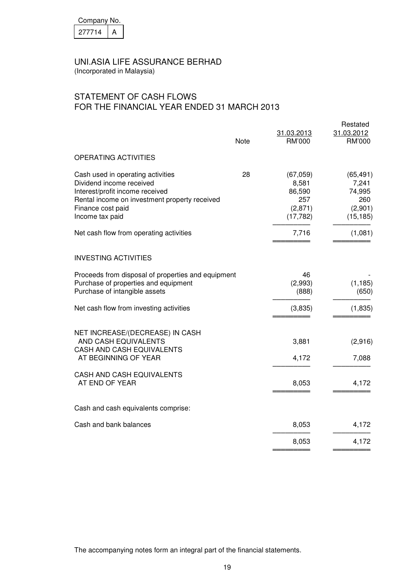| Company No. |  |  |
|-------------|--|--|
| 277714      |  |  |

# STATEMENT OF CASH FLOWS FOR THE FINANCIAL YEAR ENDED 31 MARCH 2013

| Note | 31.03.2013<br>RM'000                                       | Restated<br>31.03.2012<br>RM'000                            |
|------|------------------------------------------------------------|-------------------------------------------------------------|
|      |                                                            |                                                             |
| 28   | (67,059)<br>8,581<br>86,590<br>257<br>(2,871)<br>(17, 782) | (65, 491)<br>7,241<br>74,995<br>260<br>(2,901)<br>(15, 185) |
|      | 7,716                                                      | (1,081)                                                     |
|      |                                                            |                                                             |
|      | 46<br>(2,993)<br>(888)                                     | (1, 185)<br>(650)                                           |
|      | (3,835)                                                    | (1,835)                                                     |
|      | 3,881<br>4,172                                             | (2,916)<br>7,088                                            |
|      | 8,053                                                      | 4,172                                                       |
|      |                                                            |                                                             |
|      | 8,053                                                      | 4,172                                                       |
|      | 8,053                                                      | 4,172                                                       |
|      | Proceeds from disposal of properties and equipment         |                                                             |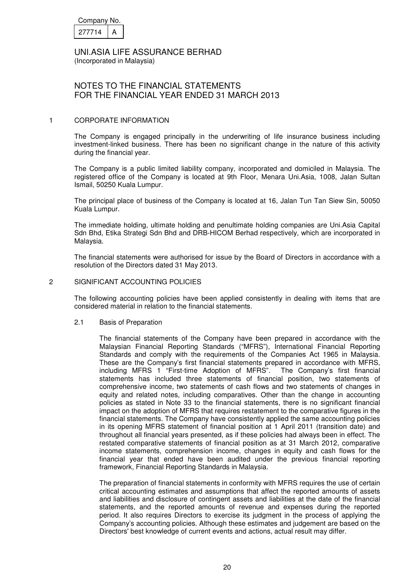

## NOTES TO THE FINANCIAL STATEMENTS FOR THE FINANCIAL YEAR ENDED 31 MARCH 2013

### 1 CORPORATE INFORMATION

The Company is engaged principally in the underwriting of life insurance business including investment-linked business. There has been no significant change in the nature of this activity during the financial year.

The Company is a public limited liability company, incorporated and domiciled in Malaysia. The registered office of the Company is located at 9th Floor, Menara Uni.Asia, 1008, Jalan Sultan Ismail, 50250 Kuala Lumpur.

The principal place of business of the Company is located at 16, Jalan Tun Tan Siew Sin, 50050 Kuala Lumpur.

The immediate holding, ultimate holding and penultimate holding companies are Uni.Asia Capital Sdn Bhd, Etika Strategi Sdn Bhd and DRB-HICOM Berhad respectively, which are incorporated in Malaysia.

The financial statements were authorised for issue by the Board of Directors in accordance with a resolution of the Directors dated 31 May 2013.

#### 2 SIGNIFICANT ACCOUNTING POLICIES

The following accounting policies have been applied consistently in dealing with items that are considered material in relation to the financial statements.

#### 2.1 Basis of Preparation

The financial statements of the Company have been prepared in accordance with the Malaysian Financial Reporting Standards ("MFRS"), International Financial Reporting Standards and comply with the requirements of the Companies Act 1965 in Malaysia. These are the Company's first financial statements prepared in accordance with MFRS, including MFRS 1 "First-time Adoption of MFRS". The Company's first financial including MFRS 1 "First-time Adoption of MFRS". statements has included three statements of financial position, two statements of comprehensive income, two statements of cash flows and two statements of changes in equity and related notes, including comparatives. Other than the change in accounting policies as stated in Note 33 to the financial statements, there is no significant financial impact on the adoption of MFRS that requires restatement to the comparative figures in the financial statements. The Company have consistently applied the same accounting policies in its opening MFRS statement of financial position at 1 April 2011 (transition date) and throughout all financial years presented, as if these policies had always been in effect. The restated comparative statements of financial position as at 31 March 2012, comparative income statements, comprehension income, changes in equity and cash flows for the financial year that ended have been audited under the previous financial reporting framework, Financial Reporting Standards in Malaysia.

The preparation of financial statements in conformity with MFRS requires the use of certain critical accounting estimates and assumptions that affect the reported amounts of assets and liabilities and disclosure of contingent assets and liabilities at the date of the financial statements, and the reported amounts of revenue and expenses during the reported period. It also requires Directors to exercise its judgment in the process of applying the Company's accounting policies. Although these estimates and judgement are based on the Directors' best knowledge of current events and actions, actual result may differ.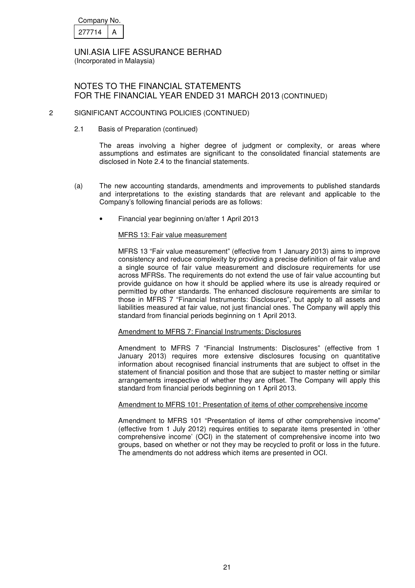| Company No. |  |  |
|-------------|--|--|
| 277714      |  |  |

# NOTES TO THE FINANCIAL STATEMENTS FOR THE FINANCIAL YEAR ENDED 31 MARCH 2013 (CONTINUED)

### 2 SIGNIFICANT ACCOUNTING POLICIES (CONTINUED)

2.1 Basis of Preparation (continued)

The areas involving a higher degree of judgment or complexity, or areas where assumptions and estimates are significant to the consolidated financial statements are disclosed in Note 2.4 to the financial statements.

- (a) The new accounting standards, amendments and improvements to published standards and interpretations to the existing standards that are relevant and applicable to the Company's following financial periods are as follows:
	- Financial year beginning on/after 1 April 2013

### MFRS 13: Fair value measurement

MFRS 13 "Fair value measurement" (effective from 1 January 2013) aims to improve consistency and reduce complexity by providing a precise definition of fair value and a single source of fair value measurement and disclosure requirements for use across MFRSs. The requirements do not extend the use of fair value accounting but provide guidance on how it should be applied where its use is already required or permitted by other standards. The enhanced disclosure requirements are similar to those in MFRS 7 "Financial Instruments: Disclosures", but apply to all assets and liabilities measured at fair value, not just financial ones. The Company will apply this standard from financial periods beginning on 1 April 2013.

#### Amendment to MFRS 7: Financial Instruments: Disclosures

Amendment to MFRS 7 "Financial Instruments: Disclosures" (effective from 1 January 2013) requires more extensive disclosures focusing on quantitative information about recognised financial instruments that are subject to offset in the statement of financial position and those that are subject to master netting or similar arrangements irrespective of whether they are offset. The Company will apply this standard from financial periods beginning on 1 April 2013.

#### Amendment to MFRS 101: Presentation of items of other comprehensive income

Amendment to MFRS 101 "Presentation of items of other comprehensive income" (effective from 1 July 2012) requires entities to separate items presented in 'other comprehensive income' (OCI) in the statement of comprehensive income into two groups, based on whether or not they may be recycled to profit or loss in the future. The amendments do not address which items are presented in OCI.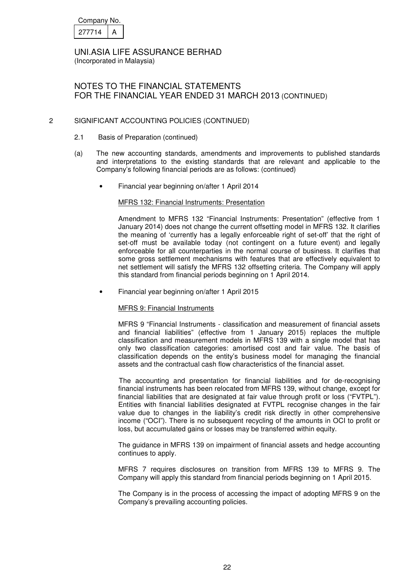| Company No. |  |  |
|-------------|--|--|
| 277714      |  |  |

# NOTES TO THE FINANCIAL STATEMENTS FOR THE FINANCIAL YEAR ENDED 31 MARCH 2013 (CONTINUED)

### 2 SIGNIFICANT ACCOUNTING POLICIES (CONTINUED)

- 2.1 Basis of Preparation (continued)
- (a) The new accounting standards, amendments and improvements to published standards and interpretations to the existing standards that are relevant and applicable to the Company's following financial periods are as follows: (continued)
	- Financial year beginning on/after 1 April 2014

#### MFRS 132: Financial Instruments: Presentation

Amendment to MFRS 132 "Financial Instruments: Presentation" (effective from 1 January 2014) does not change the current offsetting model in MFRS 132. It clarifies the meaning of 'currently has a legally enforceable right of set-off' that the right of set-off must be available today (not contingent on a future event) and legally enforceable for all counterparties in the normal course of business. It clarifies that some gross settlement mechanisms with features that are effectively equivalent to net settlement will satisfy the MFRS 132 offsetting criteria. The Company will apply this standard from financial periods beginning on 1 April 2014.

• Financial year beginning on/after 1 April 2015

#### MFRS 9: Financial Instruments

MFRS 9 "Financial Instruments - classification and measurement of financial assets and financial liabilities" (effective from 1 January 2015) replaces the multiple classification and measurement models in MFRS 139 with a single model that has only two classification categories: amortised cost and fair value. The basis of classification depends on the entity's business model for managing the financial assets and the contractual cash flow characteristics of the financial asset.

 The accounting and presentation for financial liabilities and for de-recognising financial instruments has been relocated from MFRS 139, without change, except for financial liabilities that are designated at fair value through profit or loss ("FVTPL"). Entities with financial liabilities designated at FVTPL recognise changes in the fair value due to changes in the liability's credit risk directly in other comprehensive income ("OCI"). There is no subsequent recycling of the amounts in OCI to profit or loss, but accumulated gains or losses may be transferred within equity.

The guidance in MFRS 139 on impairment of financial assets and hedge accounting continues to apply.

MFRS 7 requires disclosures on transition from MFRS 139 to MFRS 9. The Company will apply this standard from financial periods beginning on 1 April 2015.

The Company is in the process of accessing the impact of adopting MFRS 9 on the Company's prevailing accounting policies.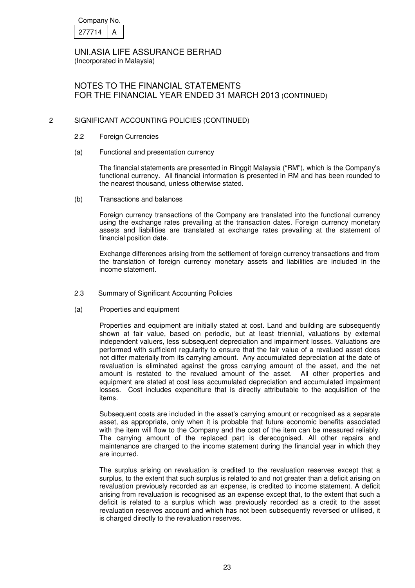| Company No. |  |  |
|-------------|--|--|
| 277714      |  |  |

# NOTES TO THE FINANCIAL STATEMENTS FOR THE FINANCIAL YEAR ENDED 31 MARCH 2013 (CONTINUED)

## 2 SIGNIFICANT ACCOUNTING POLICIES (CONTINUED)

- 2.2 Foreign Currencies
- (a) Functional and presentation currency

 The financial statements are presented in Ringgit Malaysia ("RM"), which is the Company's functional currency. All financial information is presented in RM and has been rounded to the nearest thousand, unless otherwise stated.

(b) Transactions and balances

 Foreign currency transactions of the Company are translated into the functional currency using the exchange rates prevailing at the transaction dates. Foreign currency monetary assets and liabilities are translated at exchange rates prevailing at the statement of financial position date.

 Exchange differences arising from the settlement of foreign currency transactions and from the translation of foreign currency monetary assets and liabilities are included in the income statement.

- 2.3 Summary of Significant Accounting Policies
- (a) Properties and equipment

Properties and equipment are initially stated at cost. Land and building are subsequently shown at fair value, based on periodic, but at least triennial, valuations by external independent valuers, less subsequent depreciation and impairment losses. Valuations are performed with sufficient regularity to ensure that the fair value of a revalued asset does not differ materially from its carrying amount. Any accumulated depreciation at the date of revaluation is eliminated against the gross carrying amount of the asset, and the net amount is restated to the revalued amount of the asset. All other properties and equipment are stated at cost less accumulated depreciation and accumulated impairment losses. Cost includes expenditure that is directly attributable to the acquisition of the items.

Subsequent costs are included in the asset's carrying amount or recognised as a separate asset, as appropriate, only when it is probable that future economic benefits associated with the item will flow to the Company and the cost of the item can be measured reliably. The carrying amount of the replaced part is derecognised. All other repairs and maintenance are charged to the income statement during the financial year in which they are incurred.

The surplus arising on revaluation is credited to the revaluation reserves except that a surplus, to the extent that such surplus is related to and not greater than a deficit arising on revaluation previously recorded as an expense, is credited to income statement. A deficit arising from revaluation is recognised as an expense except that, to the extent that such a deficit is related to a surplus which was previously recorded as a credit to the asset revaluation reserves account and which has not been subsequently reversed or utilised, it is charged directly to the revaluation reserves.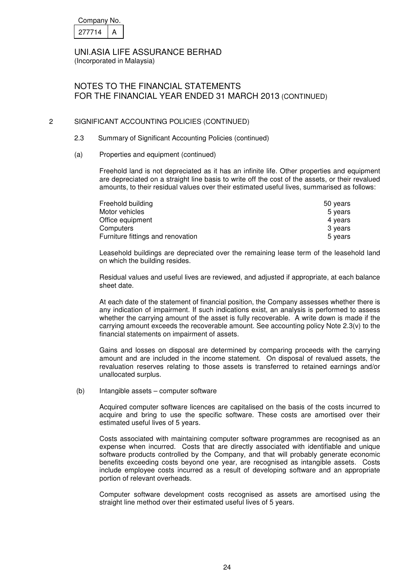| Company No. |  |  |
|-------------|--|--|
| 277714      |  |  |

## NOTES TO THE FINANCIAL STATEMENTS FOR THE FINANCIAL YEAR ENDED 31 MARCH 2013 (CONTINUED)

### 2 SIGNIFICANT ACCOUNTING POLICIES (CONTINUED)

- 2.3 Summary of Significant Accounting Policies (continued)
- (a) Properties and equipment (continued)

Freehold land is not depreciated as it has an infinite life. Other properties and equipment are depreciated on a straight line basis to write off the cost of the assets, or their revalued amounts, to their residual values over their estimated useful lives, summarised as follows:

| Freehold building                 | 50 years |
|-----------------------------------|----------|
| Motor vehicles                    | 5 years  |
| Office equipment                  | 4 years  |
| Computers                         | 3 years  |
| Furniture fittings and renovation | 5 years  |

Leasehold buildings are depreciated over the remaining lease term of the leasehold land on which the building resides.

Residual values and useful lives are reviewed, and adjusted if appropriate, at each balance sheet date.

At each date of the statement of financial position, the Company assesses whether there is any indication of impairment. If such indications exist, an analysis is performed to assess whether the carrying amount of the asset is fully recoverable. A write down is made if the carrying amount exceeds the recoverable amount. See accounting policy Note 2.3(v) to the financial statements on impairment of assets.

Gains and losses on disposal are determined by comparing proceeds with the carrying amount and are included in the income statement. On disposal of revalued assets, the revaluation reserves relating to those assets is transferred to retained earnings and/or unallocated surplus.

(b) Intangible assets – computer software

 Acquired computer software licences are capitalised on the basis of the costs incurred to acquire and bring to use the specific software. These costs are amortised over their estimated useful lives of 5 years.

 Costs associated with maintaining computer software programmes are recognised as an expense when incurred. Costs that are directly associated with identifiable and unique software products controlled by the Company, and that will probably generate economic benefits exceeding costs beyond one year, are recognised as intangible assets. Costs include employee costs incurred as a result of developing software and an appropriate portion of relevant overheads.

 Computer software development costs recognised as assets are amortised using the straight line method over their estimated useful lives of 5 years.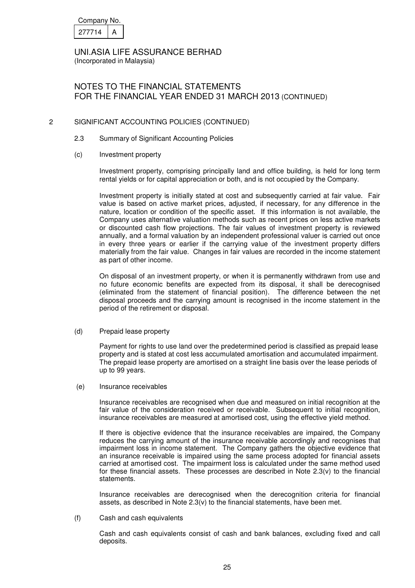| Company No. |  |  |
|-------------|--|--|
| 277714      |  |  |

# NOTES TO THE FINANCIAL STATEMENTS FOR THE FINANCIAL YEAR ENDED 31 MARCH 2013 (CONTINUED)

### 2 SIGNIFICANT ACCOUNTING POLICIES (CONTINUED)

- 2.3 Summary of Significant Accounting Policies
- (c) Investment property

 Investment property, comprising principally land and office building, is held for long term rental yields or for capital appreciation or both, and is not occupied by the Company.

 Investment property is initially stated at cost and subsequently carried at fair value. Fair value is based on active market prices, adjusted, if necessary, for any difference in the nature, location or condition of the specific asset. If this information is not available, the Company uses alternative valuation methods such as recent prices on less active markets or discounted cash flow projections. The fair values of investment property is reviewed annually, and a formal valuation by an independent professional valuer is carried out once in every three years or earlier if the carrying value of the investment property differs materially from the fair value. Changes in fair values are recorded in the income statement as part of other income.

 On disposal of an investment property, or when it is permanently withdrawn from use and no future economic benefits are expected from its disposal, it shall be derecognised (eliminated from the statement of financial position). The difference between the net disposal proceeds and the carrying amount is recognised in the income statement in the period of the retirement or disposal.

(d) Prepaid lease property

Payment for rights to use land over the predetermined period is classified as prepaid lease property and is stated at cost less accumulated amortisation and accumulated impairment. The prepaid lease property are amortised on a straight line basis over the lease periods of up to 99 years.

(e) Insurance receivables

Insurance receivables are recognised when due and measured on initial recognition at the fair value of the consideration received or receivable. Subsequent to initial recognition, insurance receivables are measured at amortised cost, using the effective yield method.

If there is objective evidence that the insurance receivables are impaired, the Company reduces the carrying amount of the insurance receivable accordingly and recognises that impairment loss in income statement. The Company gathers the objective evidence that an insurance receivable is impaired using the same process adopted for financial assets carried at amortised cost. The impairment loss is calculated under the same method used for these financial assets. These processes are described in Note  $2.3(v)$  to the financial statements.

Insurance receivables are derecognised when the derecognition criteria for financial assets, as described in Note 2.3(v) to the financial statements, have been met.

(f) Cash and cash equivalents

 Cash and cash equivalents consist of cash and bank balances, excluding fixed and call deposits.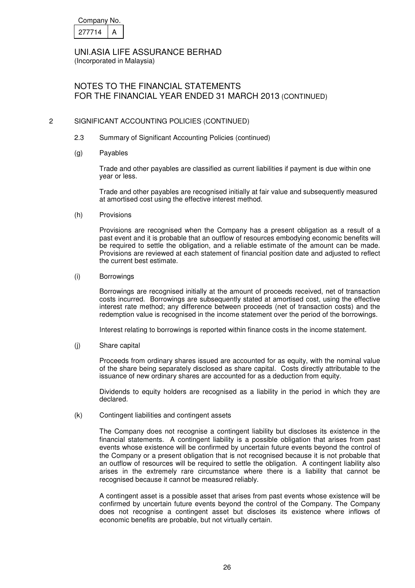| Company No. |  |  |
|-------------|--|--|
| 277714      |  |  |

# NOTES TO THE FINANCIAL STATEMENTS FOR THE FINANCIAL YEAR ENDED 31 MARCH 2013 (CONTINUED)

### 2 SIGNIFICANT ACCOUNTING POLICIES (CONTINUED)

- 2.3 Summary of Significant Accounting Policies (continued)
- (g) Payables

 Trade and other payables are classified as current liabilities if payment is due within one year or less.

 Trade and other payables are recognised initially at fair value and subsequently measured at amortised cost using the effective interest method.

(h) Provisions

 Provisions are recognised when the Company has a present obligation as a result of a past event and it is probable that an outflow of resources embodying economic benefits will be required to settle the obligation, and a reliable estimate of the amount can be made. Provisions are reviewed at each statement of financial position date and adjusted to reflect the current best estimate.

(i) Borrowings

Borrowings are recognised initially at the amount of proceeds received, net of transaction costs incurred. Borrowings are subsequently stated at amortised cost, using the effective interest rate method; any difference between proceeds (net of transaction costs) and the redemption value is recognised in the income statement over the period of the borrowings.

Interest relating to borrowings is reported within finance costs in the income statement.

(j) Share capital

Proceeds from ordinary shares issued are accounted for as equity, with the nominal value of the share being separately disclosed as share capital. Costs directly attributable to the issuance of new ordinary shares are accounted for as a deduction from equity.

Dividends to equity holders are recognised as a liability in the period in which they are declared.

(k) Contingent liabilities and contingent assets

The Company does not recognise a contingent liability but discloses its existence in the financial statements. A contingent liability is a possible obligation that arises from past events whose existence will be confirmed by uncertain future events beyond the control of the Company or a present obligation that is not recognised because it is not probable that an outflow of resources will be required to settle the obligation. A contingent liability also arises in the extremely rare circumstance where there is a liability that cannot be recognised because it cannot be measured reliably.

A contingent asset is a possible asset that arises from past events whose existence will be confirmed by uncertain future events beyond the control of the Company. The Company does not recognise a contingent asset but discloses its existence where inflows of economic benefits are probable, but not virtually certain.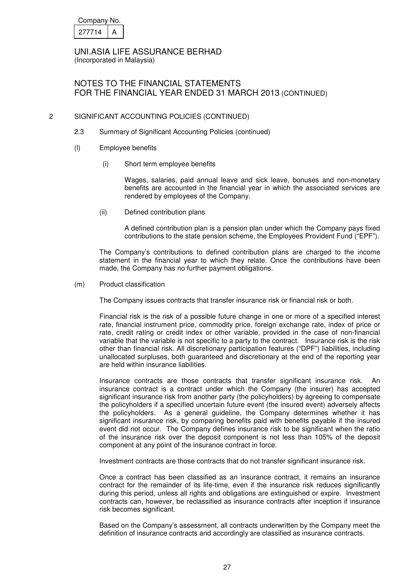| Company No. |  |
|-------------|--|
| 277714      |  |

## NOTES TO THE FINANCIAL STATEMENTS FOR THE FINANCIAL YEAR ENDED 31 MARCH 2013 (CONTINUED)

### 2 SIGNIFICANT ACCOUNTING POLICIES (CONTINUED)

- 2.3 Summary of Significant Accounting Policies (continued)
- (l) Employee benefits
	- (i) Short term employee benefits

Wages, salaries, paid annual leave and sick leave, bonuses and non-monetary benefits are accounted in the financial year in which the associated services are rendered by employees of the Company.

(ii) Defined contribution plans

A defined contribution plan is a pension plan under which the Company pays fixed contributions to the state pension scheme, the Employees Provident Fund ("EPF").

The Company's contributions to defined contribution plans are charged to the income statement in the financial year to which they relate. Once the contributions have been made, the Company has no further payment obligations.

(m) Product classification

The Company issues contracts that transfer insurance risk or financial risk or both.

Financial risk is the risk of a possible future change in one or more of a specified interest rate, financial instrument price, commodity price, foreign exchange rate, index of price or rate, credit rating or credit index or other variable, provided in the case of non-financial variable that the variable is not specific to a party to the contract. Insurance risk is the risk other than financial risk. All discretionary participation features ("DPF") liabilities, including unallocated surpluses, both guaranteed and discretionary at the end of the reporting year are held within insurance liabilities.

Insurance contracts are those contracts that transfer significant insurance risk. An insurance contract is a contract under which the Company (the insurer) has accepted significant insurance risk from another party (the policyholders) by agreeing to compensate the policyholders if a specified uncertain future event (the insured event) adversely affects the policyholders. As a general guideline, the Company determines whether it has significant insurance risk, by comparing benefits paid with benefits payable if the insured event did not occur. The Company defines insurance risk to be significant when the ratio of the insurance risk over the deposit component is not less than 105% of the deposit component at any point of the insurance contract in force.

Investment contracts are those contracts that do not transfer significant insurance risk.

Once a contract has been classified as an insurance contract, it remains an insurance contract for the remainder of its life-time, even if the insurance risk reduces significantly during this period, unless all rights and obligations are extinguished or expire. Investment contracts can, however, be reclassified as insurance contracts after inception if insurance risk becomes significant.

Based on the Company's assessment, all contracts underwritten by the Company meet the definition of insurance contracts and accordingly are classified as insurance contracts.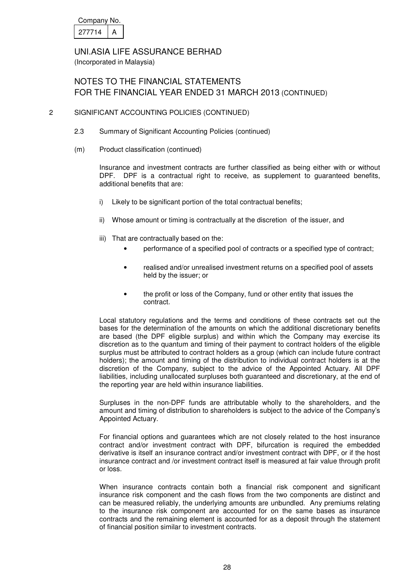

 NOTES TO THE FINANCIAL STATEMENTS FOR THE FINANCIAL YEAR ENDED 31 MARCH 2013 (CONTINUED)

### 2 SIGNIFICANT ACCOUNTING POLICIES (CONTINUED)

- 2.3 Summary of Significant Accounting Policies (continued)
- (m) Product classification (continued)

Insurance and investment contracts are further classified as being either with or without DPF. DPF is a contractual right to receive, as supplement to guaranteed benefits, additional benefits that are:

- i) Likely to be significant portion of the total contractual benefits;
- ii) Whose amount or timing is contractually at the discretion of the issuer, and
- iii) That are contractually based on the:
	- performance of a specified pool of contracts or a specified type of contract;
	- realised and/or unrealised investment returns on a specified pool of assets held by the issuer; or
	- the profit or loss of the Company, fund or other entity that issues the contract.

Local statutory regulations and the terms and conditions of these contracts set out the bases for the determination of the amounts on which the additional discretionary benefits are based (the DPF eligible surplus) and within which the Company may exercise its discretion as to the quantum and timing of their payment to contract holders of the eligible surplus must be attributed to contract holders as a group (which can include future contract holders); the amount and timing of the distribution to individual contract holders is at the discretion of the Company, subject to the advice of the Appointed Actuary. All DPF liabilities, including unallocated surpluses both guaranteed and discretionary, at the end of the reporting year are held within insurance liabilities.

Surpluses in the non-DPF funds are attributable wholly to the shareholders, and the amount and timing of distribution to shareholders is subject to the advice of the Company's Appointed Actuary.

For financial options and guarantees which are not closely related to the host insurance contract and/or investment contract with DPF, bifurcation is required the embedded derivative is itself an insurance contract and/or investment contract with DPF, or if the host insurance contract and /or investment contract itself is measured at fair value through profit or loss.

When insurance contracts contain both a financial risk component and significant insurance risk component and the cash flows from the two components are distinct and can be measured reliably, the underlying amounts are unbundled. Any premiums relating to the insurance risk component are accounted for on the same bases as insurance contracts and the remaining element is accounted for as a deposit through the statement of financial position similar to investment contracts.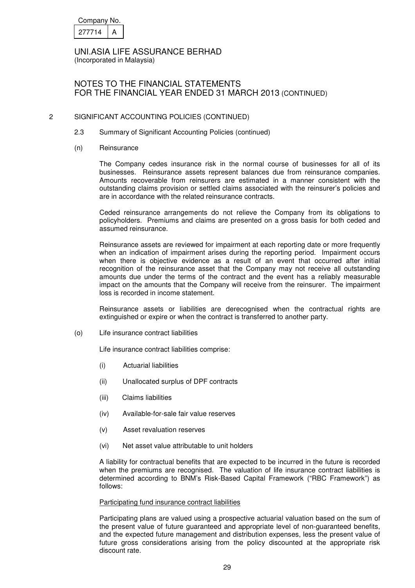| Company No. |  |
|-------------|--|
| 277714      |  |

## NOTES TO THE FINANCIAL STATEMENTS FOR THE FINANCIAL YEAR ENDED 31 MARCH 2013 (CONTINUED)

### 2 SIGNIFICANT ACCOUNTING POLICIES (CONTINUED)

- 2.3 Summary of Significant Accounting Policies (continued)
- (n) Reinsurance

The Company cedes insurance risk in the normal course of businesses for all of its businesses. Reinsurance assets represent balances due from reinsurance companies. Amounts recoverable from reinsurers are estimated in a manner consistent with the outstanding claims provision or settled claims associated with the reinsurer's policies and are in accordance with the related reinsurance contracts.

Ceded reinsurance arrangements do not relieve the Company from its obligations to policyholders. Premiums and claims are presented on a gross basis for both ceded and assumed reinsurance.

Reinsurance assets are reviewed for impairment at each reporting date or more frequently when an indication of impairment arises during the reporting period. Impairment occurs when there is objective evidence as a result of an event that occurred after initial recognition of the reinsurance asset that the Company may not receive all outstanding amounts due under the terms of the contract and the event has a reliably measurable impact on the amounts that the Company will receive from the reinsurer. The impairment loss is recorded in income statement.

Reinsurance assets or liabilities are derecognised when the contractual rights are extinguished or expire or when the contract is transferred to another party.

(o) Life insurance contract liabilities

Life insurance contract liabilities comprise:

- (i) Actuarial liabilities
- (ii) Unallocated surplus of DPF contracts
- (iii) Claims liabilities
- (iv) Available-for-sale fair value reserves
- (v) Asset revaluation reserves
- (vi) Net asset value attributable to unit holders

A liability for contractual benefits that are expected to be incurred in the future is recorded when the premiums are recognised. The valuation of life insurance contract liabilities is determined according to BNM's Risk-Based Capital Framework ("RBC Framework") as follows:

#### Participating fund insurance contract liabilities

Participating plans are valued using a prospective actuarial valuation based on the sum of the present value of future guaranteed and appropriate level of non-guaranteed benefits, and the expected future management and distribution expenses, less the present value of future gross considerations arising from the policy discounted at the appropriate risk discount rate.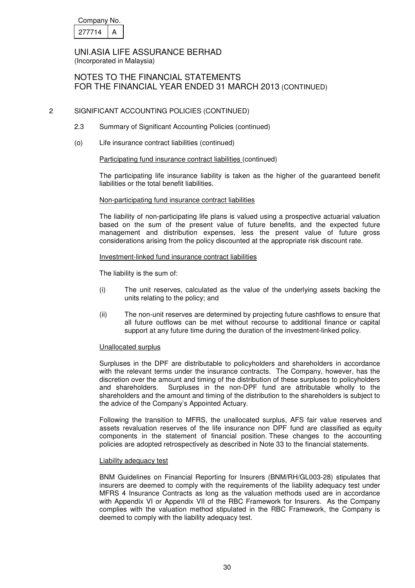| Company No. |  |
|-------------|--|
| 277714      |  |

# NOTES TO THE FINANCIAL STATEMENTS FOR THE FINANCIAL YEAR ENDED 31 MARCH 2013 (CONTINUED)

### 2 SIGNIFICANT ACCOUNTING POLICIES (CONTINUED)

- 2.3 Summary of Significant Accounting Policies (continued)
- (o) Life insurance contract liabilities (continued)

### Participating fund insurance contract liabilities (continued)

The participating life insurance liability is taken as the higher of the guaranteed benefit liabilities or the total benefit liabilities.

#### Non-participating fund insurance contract liabilities

The liability of non-participating life plans is valued using a prospective actuarial valuation based on the sum of the present value of future benefits, and the expected future management and distribution expenses, less the present value of future gross considerations arising from the policy discounted at the appropriate risk discount rate.

#### Investment-linked fund insurance contract liabilities

The liability is the sum of:

- (i) The unit reserves, calculated as the value of the underlying assets backing the units relating to the policy; and
- (ii) The non-unit reserves are determined by projecting future cashflows to ensure that all future outflows can be met without recourse to additional finance or capital support at any future time during the duration of the investment-linked policy.

#### Unallocated surplus

Surpluses in the DPF are distributable to policyholders and shareholders in accordance with the relevant terms under the insurance contracts. The Company, however, has the discretion over the amount and timing of the distribution of these surpluses to policyholders and shareholders. Surpluses in the non-DPF fund are attributable wholly to the shareholders and the amount and timing of the distribution to the shareholders is subject to the advice of the Company's Appointed Actuary.

Following the transition to MFRS, the unallocated surplus, AFS fair value reserves and assets revaluation reserves of the life insurance non DPF fund are classified as equity components in the statement of financial position. These changes to the accounting policies are adopted retrospectively as described in Note 33 to the financial statements.

#### Liability adequacy test

BNM Guidelines on Financial Reporting for Insurers (BNM/RH/GL003-28) stipulates that insurers are deemed to comply with the requirements of the liability adequacy test under MFRS 4 Insurance Contracts as long as the valuation methods used are in accordance with Appendix VI or Appendix VII of the RBC Framework for Insurers. As the Company complies with the valuation method stipulated in the RBC Framework, the Company is deemed to comply with the liability adequacy test.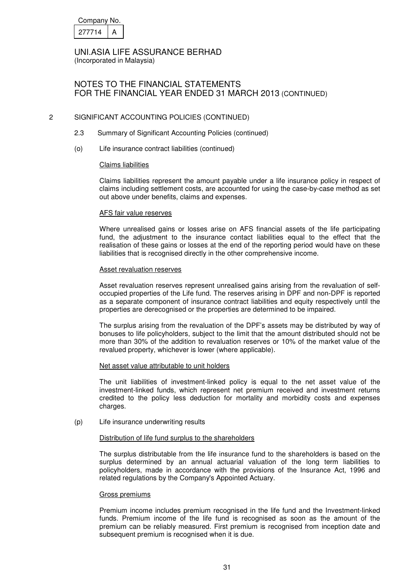| Company No. |  |
|-------------|--|
| 277714      |  |

# NOTES TO THE FINANCIAL STATEMENTS FOR THE FINANCIAL YEAR ENDED 31 MARCH 2013 (CONTINUED)

### 2 SIGNIFICANT ACCOUNTING POLICIES (CONTINUED)

- 2.3 Summary of Significant Accounting Policies (continued)
- (o) Life insurance contract liabilities (continued)

### Claims liabilities

Claims liabilities represent the amount payable under a life insurance policy in respect of claims including settlement costs, are accounted for using the case-by-case method as set out above under benefits, claims and expenses.

#### AFS fair value reserves

Where unrealised gains or losses arise on AFS financial assets of the life participating fund, the adjustment to the insurance contact liabilities equal to the effect that the realisation of these gains or losses at the end of the reporting period would have on these liabilities that is recognised directly in the other comprehensive income.

#### Asset revaluation reserves

Asset revaluation reserves represent unrealised gains arising from the revaluation of selfoccupied properties of the Life fund. The reserves arising in DPF and non-DPF is reported as a separate component of insurance contract liabilities and equity respectively until the properties are derecognised or the properties are determined to be impaired.

The surplus arising from the revaluation of the DPF's assets may be distributed by way of bonuses to life policyholders, subject to the limit that the amount distributed should not be more than 30% of the addition to revaluation reserves or 10% of the market value of the revalued property, whichever is lower (where applicable).

### Net asset value attributable to unit holders

The unit liabilities of investment-linked policy is equal to the net asset value of the investment-linked funds, which represent net premium received and investment returns credited to the policy less deduction for mortality and morbidity costs and expenses charges.

### (p) Life insurance underwriting results

#### Distribution of life fund surplus to the shareholders

The surplus distributable from the life insurance fund to the shareholders is based on the surplus determined by an annual actuarial valuation of the long term liabilities to policyholders, made in accordance with the provisions of the Insurance Act, 1996 and related regulations by the Company's Appointed Actuary.

#### Gross premiums

Premium income includes premium recognised in the life fund and the Investment-linked funds. Premium income of the life fund is recognised as soon as the amount of the premium can be reliably measured. First premium is recognised from inception date and subsequent premium is recognised when it is due.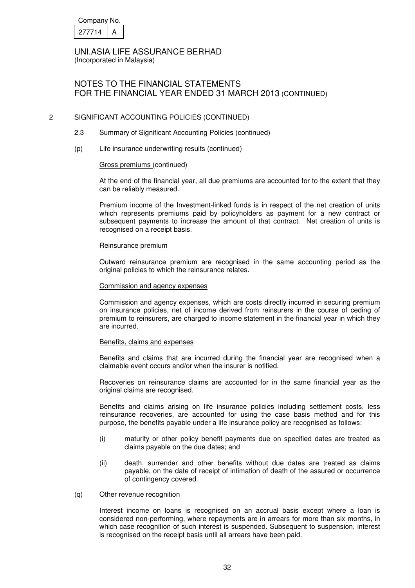| Company No. |  |
|-------------|--|
| 277714      |  |

# NOTES TO THE FINANCIAL STATEMENTS FOR THE FINANCIAL YEAR ENDED 31 MARCH 2013 (CONTINUED)

## 2 SIGNIFICANT ACCOUNTING POLICIES (CONTINUED)

- 2.3 Summary of Significant Accounting Policies (continued)
- (p) Life insurance underwriting results (continued)

### Gross premiums (continued)

At the end of the financial year, all due premiums are accounted for to the extent that they can be reliably measured.

Premium income of the Investment-linked funds is in respect of the net creation of units which represents premiums paid by policyholders as payment for a new contract or subsequent payments to increase the amount of that contract. Net creation of units is recognised on a receipt basis.

#### Reinsurance premium

Outward reinsurance premium are recognised in the same accounting period as the original policies to which the reinsurance relates.

#### Commission and agency expenses

 Commission and agency expenses, which are costs directly incurred in securing premium on insurance policies, net of income derived from reinsurers in the course of ceding of premium to reinsurers, are charged to income statement in the financial year in which they are incurred.

#### Benefits, claims and expenses

 Benefits and claims that are incurred during the financial year are recognised when a claimable event occurs and/or when the insurer is notified.

 Recoveries on reinsurance claims are accounted for in the same financial year as the original claims are recognised.

 Benefits and claims arising on life insurance policies including settlement costs, less reinsurance recoveries, are accounted for using the case basis method and for this purpose, the benefits payable under a life insurance policy are recognised as follows:

- (i) maturity or other policy benefit payments due on specified dates are treated as claims payable on the due dates; and
- (ii) death, surrender and other benefits without due dates are treated as claims payable, on the date of receipt of intimation of death of the assured or occurrence of contingency covered.
- (q) Other revenue recognition

Interest income on loans is recognised on an accrual basis except where a loan is considered non-performing, where repayments are in arrears for more than six months, in which case recognition of such interest is suspended. Subsequent to suspension, interest is recognised on the receipt basis until all arrears have been paid.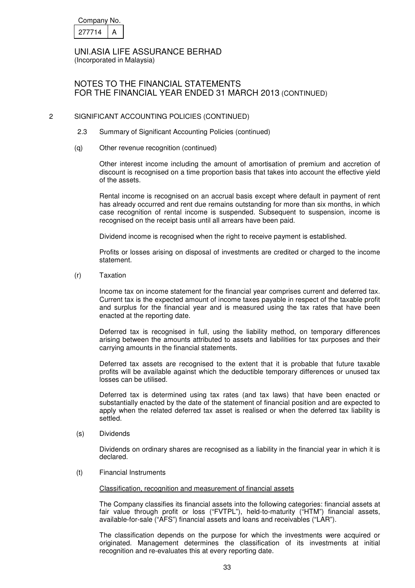| Company No. |  |
|-------------|--|
| 277714      |  |

## NOTES TO THE FINANCIAL STATEMENTS FOR THE FINANCIAL YEAR ENDED 31 MARCH 2013 (CONTINUED)

### 2 SIGNIFICANT ACCOUNTING POLICIES (CONTINUED)

- 2.3 Summary of Significant Accounting Policies (continued)
- (q) Other revenue recognition (continued)

Other interest income including the amount of amortisation of premium and accretion of discount is recognised on a time proportion basis that takes into account the effective yield of the assets.

 Rental income is recognised on an accrual basis except where default in payment of rent has already occurred and rent due remains outstanding for more than six months, in which case recognition of rental income is suspended. Subsequent to suspension, income is recognised on the receipt basis until all arrears have been paid.

Dividend income is recognised when the right to receive payment is established.

Profits or losses arising on disposal of investments are credited or charged to the income statement.

(r) Taxation

Income tax on income statement for the financial year comprises current and deferred tax. Current tax is the expected amount of income taxes payable in respect of the taxable profit and surplus for the financial year and is measured using the tax rates that have been enacted at the reporting date.

Deferred tax is recognised in full, using the liability method, on temporary differences arising between the amounts attributed to assets and liabilities for tax purposes and their carrying amounts in the financial statements.

Deferred tax assets are recognised to the extent that it is probable that future taxable profits will be available against which the deductible temporary differences or unused tax losses can be utilised.

Deferred tax is determined using tax rates (and tax laws) that have been enacted or substantially enacted by the date of the statement of financial position and are expected to apply when the related deferred tax asset is realised or when the deferred tax liability is settled.

(s) Dividends

 Dividends on ordinary shares are recognised as a liability in the financial year in which it is declared.

(t) Financial Instruments

Classification, recognition and measurement of financial assets

 The Company classifies its financial assets into the following categories: financial assets at fair value through profit or loss ("FVTPL"), held-to-maturity ("HTM") financial assets, available-for-sale ("AFS") financial assets and loans and receivables ("LAR").

 The classification depends on the purpose for which the investments were acquired or originated. Management determines the classification of its investments at initial recognition and re-evaluates this at every reporting date.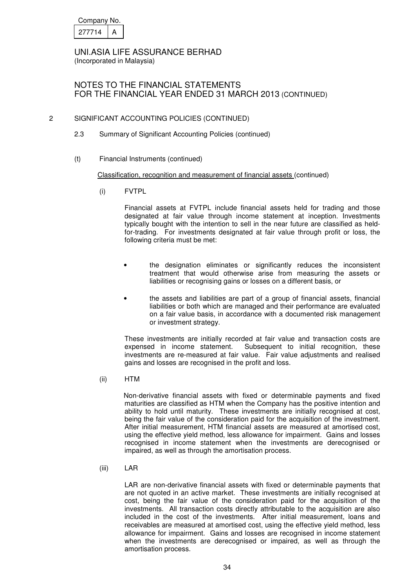| Company No. |  |
|-------------|--|
| 277714      |  |

# NOTES TO THE FINANCIAL STATEMENTS FOR THE FINANCIAL YEAR ENDED 31 MARCH 2013 (CONTINUED)

## 2 SIGNIFICANT ACCOUNTING POLICIES (CONTINUED)

- 2.3 Summary of Significant Accounting Policies (continued)
- (t) Financial Instruments (continued)

Classification, recognition and measurement of financial assets (continued)

(i) FVTPL

 Financial assets at FVTPL include financial assets held for trading and those designated at fair value through income statement at inception. Investments typically bought with the intention to sell in the near future are classified as heldfor-trading. For investments designated at fair value through profit or loss, the following criteria must be met:

- the designation eliminates or significantly reduces the inconsistent treatment that would otherwise arise from measuring the assets or liabilities or recognising gains or losses on a different basis, or
- the assets and liabilities are part of a group of financial assets, financial liabilities or both which are managed and their performance are evaluated on a fair value basis, in accordance with a documented risk management or investment strategy.

These investments are initially recorded at fair value and transaction costs are expensed in income statement. Subsequent to initial recognition, these investments are re-measured at fair value. Fair value adjustments and realised gains and losses are recognised in the profit and loss.

(ii) HTM

 Non-derivative financial assets with fixed or determinable payments and fixed maturities are classified as HTM when the Company has the positive intention and ability to hold until maturity. These investments are initially recognised at cost, being the fair value of the consideration paid for the acquisition of the investment. After initial measurement, HTM financial assets are measured at amortised cost, using the effective yield method, less allowance for impairment. Gains and losses recognised in income statement when the investments are derecognised or impaired, as well as through the amortisation process.

(iii) LAR

 LAR are non-derivative financial assets with fixed or determinable payments that are not quoted in an active market. These investments are initially recognised at cost, being the fair value of the consideration paid for the acquisition of the investments. All transaction costs directly attributable to the acquisition are also included in the cost of the investments. After initial measurement, loans and receivables are measured at amortised cost, using the effective yield method, less allowance for impairment. Gains and losses are recognised in income statement when the investments are derecognised or impaired, as well as through the amortisation process.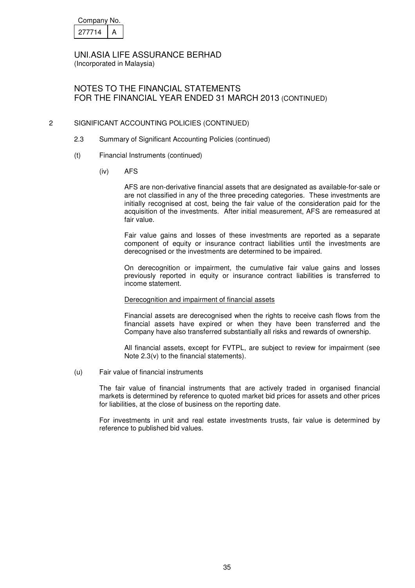| Company No. |  |  |  |
|-------------|--|--|--|
| 277714      |  |  |  |

# NOTES TO THE FINANCIAL STATEMENTS FOR THE FINANCIAL YEAR ENDED 31 MARCH 2013 (CONTINUED)

### 2 SIGNIFICANT ACCOUNTING POLICIES (CONTINUED)

- 2.3 Summary of Significant Accounting Policies (continued)
- (t) Financial Instruments (continued)
	- (iv) AFS

 AFS are non-derivative financial assets that are designated as available-for-sale or are not classified in any of the three preceding categories. These investments are initially recognised at cost, being the fair value of the consideration paid for the acquisition of the investments. After initial measurement, AFS are remeasured at fair value.

 Fair value gains and losses of these investments are reported as a separate component of equity or insurance contract liabilities until the investments are derecognised or the investments are determined to be impaired.

 On derecognition or impairment, the cumulative fair value gains and losses previously reported in equity or insurance contract liabilities is transferred to income statement.

#### Derecognition and impairment of financial assets

Financial assets are derecognised when the rights to receive cash flows from the financial assets have expired or when they have been transferred and the Company have also transferred substantially all risks and rewards of ownership.

All financial assets, except for FVTPL, are subject to review for impairment (see Note 2.3(v) to the financial statements).

(u) Fair value of financial instruments

The fair value of financial instruments that are actively traded in organised financial markets is determined by reference to quoted market bid prices for assets and other prices for liabilities, at the close of business on the reporting date.

For investments in unit and real estate investments trusts, fair value is determined by reference to published bid values.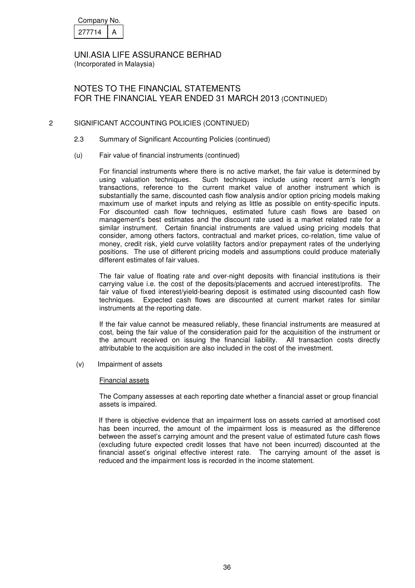| Company No. |  |  |  |
|-------------|--|--|--|
| 277714      |  |  |  |

# NOTES TO THE FINANCIAL STATEMENTS FOR THE FINANCIAL YEAR ENDED 31 MARCH 2013 (CONTINUED)

### 2 SIGNIFICANT ACCOUNTING POLICIES (CONTINUED)

- 2.3 Summary of Significant Accounting Policies (continued)
- (u) Fair value of financial instruments (continued)

For financial instruments where there is no active market, the fair value is determined by using valuation techniques. Such techniques include using recent arm's length transactions, reference to the current market value of another instrument which is substantially the same, discounted cash flow analysis and/or option pricing models making maximum use of market inputs and relying as little as possible on entity-specific inputs. For discounted cash flow techniques, estimated future cash flows are based on management's best estimates and the discount rate used is a market related rate for a similar instrument. Certain financial instruments are valued using pricing models that consider, among others factors, contractual and market prices, co-relation, time value of money, credit risk, yield curve volatility factors and/or prepayment rates of the underlying positions. The use of different pricing models and assumptions could produce materially different estimates of fair values.

The fair value of floating rate and over-night deposits with financial institutions is their carrying value i.e. the cost of the deposits/placements and accrued interest/profits. The fair value of fixed interest/yield-bearing deposit is estimated using discounted cash flow techniques. Expected cash flows are discounted at current market rates for similar instruments at the reporting date.

If the fair value cannot be measured reliably, these financial instruments are measured at cost, being the fair value of the consideration paid for the acquisition of the instrument or the amount received on issuing the financial liability. All transaction costs directly attributable to the acquisition are also included in the cost of the investment.

(v) Impairment of assets

#### Financial assets

The Company assesses at each reporting date whether a financial asset or group financial assets is impaired.

If there is objective evidence that an impairment loss on assets carried at amortised cost has been incurred, the amount of the impairment loss is measured as the difference between the asset's carrying amount and the present value of estimated future cash flows (excluding future expected credit losses that have not been incurred) discounted at the financial asset's original effective interest rate. The carrying amount of the asset is reduced and the impairment loss is recorded in the income statement.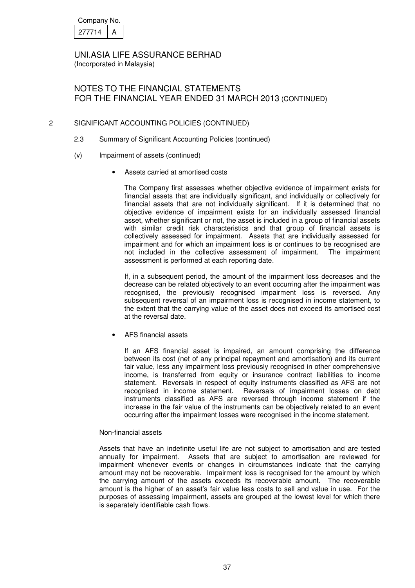| Company No. |  |  |  |
|-------------|--|--|--|
| 277714      |  |  |  |

# NOTES TO THE FINANCIAL STATEMENTS FOR THE FINANCIAL YEAR ENDED 31 MARCH 2013 (CONTINUED)

### 2 SIGNIFICANT ACCOUNTING POLICIES (CONTINUED)

- 2.3 Summary of Significant Accounting Policies (continued)
- (v) Impairment of assets (continued)
	- Assets carried at amortised costs

The Company first assesses whether objective evidence of impairment exists for financial assets that are individually significant, and individually or collectively for financial assets that are not individually significant. If it is determined that no objective evidence of impairment exists for an individually assessed financial asset, whether significant or not, the asset is included in a group of financial assets with similar credit risk characteristics and that group of financial assets is collectively assessed for impairment. Assets that are individually assessed for impairment and for which an impairment loss is or continues to be recognised are not included in the collective assessment of impairment. The impairment assessment is performed at each reporting date.

If, in a subsequent period, the amount of the impairment loss decreases and the decrease can be related objectively to an event occurring after the impairment was recognised, the previously recognised impairment loss is reversed. Any subsequent reversal of an impairment loss is recognised in income statement, to the extent that the carrying value of the asset does not exceed its amortised cost at the reversal date.

• AFS financial assets

If an AFS financial asset is impaired, an amount comprising the difference between its cost (net of any principal repayment and amortisation) and its current fair value, less any impairment loss previously recognised in other comprehensive income, is transferred from equity or insurance contract liabilities to income statement. Reversals in respect of equity instruments classified as AFS are not recognised in income statement. Reversals of impairment losses on debt instruments classified as AFS are reversed through income statement if the increase in the fair value of the instruments can be objectively related to an event occurring after the impairment losses were recognised in the income statement.

#### Non-financial assets

 Assets that have an indefinite useful life are not subject to amortisation and are tested annually for impairment. Assets that are subject to amortisation are reviewed for impairment whenever events or changes in circumstances indicate that the carrying amount may not be recoverable. Impairment loss is recognised for the amount by which the carrying amount of the assets exceeds its recoverable amount. The recoverable amount is the higher of an asset's fair value less costs to sell and value in use. For the purposes of assessing impairment, assets are grouped at the lowest level for which there is separately identifiable cash flows.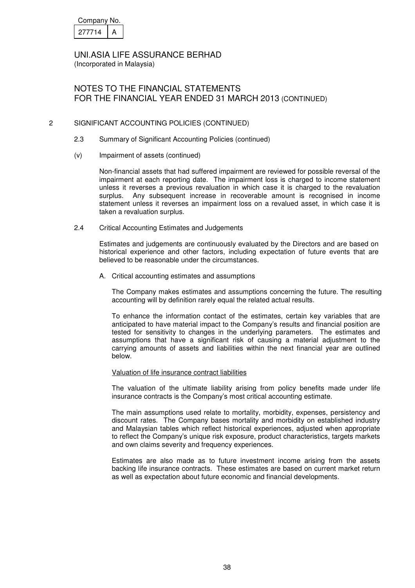| Company No. |  |  |  |
|-------------|--|--|--|
| 277714      |  |  |  |

# NOTES TO THE FINANCIAL STATEMENTS FOR THE FINANCIAL YEAR ENDED 31 MARCH 2013 (CONTINUED)

### 2 SIGNIFICANT ACCOUNTING POLICIES (CONTINUED)

- 2.3 Summary of Significant Accounting Policies (continued)
- (v) Impairment of assets (continued)

Non-financial assets that had suffered impairment are reviewed for possible reversal of the impairment at each reporting date. The impairment loss is charged to income statement unless it reverses a previous revaluation in which case it is charged to the revaluation surplus. Any subsequent increase in recoverable amount is recognised in income statement unless it reverses an impairment loss on a revalued asset, in which case it is taken a revaluation surplus.

2.4 Critical Accounting Estimates and Judgements

Estimates and judgements are continuously evaluated by the Directors and are based on historical experience and other factors, including expectation of future events that are believed to be reasonable under the circumstances.

A. Critical accounting estimates and assumptions

The Company makes estimates and assumptions concerning the future. The resulting accounting will by definition rarely equal the related actual results.

To enhance the information contact of the estimates, certain key variables that are anticipated to have material impact to the Company's results and financial position are tested for sensitivity to changes in the underlying parameters. The estimates and assumptions that have a significant risk of causing a material adjustment to the carrying amounts of assets and liabilities within the next financial year are outlined below.

#### Valuation of life insurance contract liabilities

The valuation of the ultimate liability arising from policy benefits made under life insurance contracts is the Company's most critical accounting estimate.

The main assumptions used relate to mortality, morbidity, expenses, persistency and discount rates. The Company bases mortality and morbidity on established industry and Malaysian tables which reflect historical experiences, adjusted when appropriate to reflect the Company's unique risk exposure, product characteristics, targets markets and own claims severity and frequency experiences.

Estimates are also made as to future investment income arising from the assets backing life insurance contracts. These estimates are based on current market return as well as expectation about future economic and financial developments.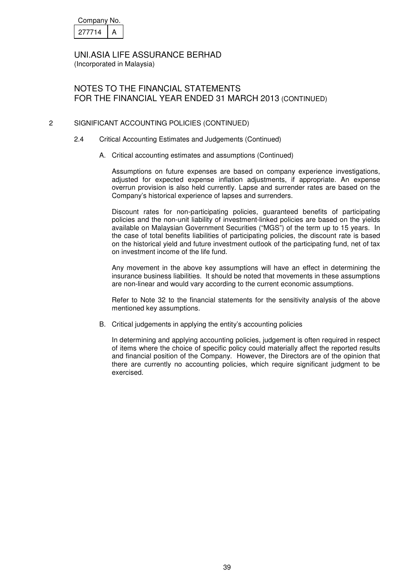| Company No. |  |  |  |
|-------------|--|--|--|
| 277714      |  |  |  |

 NOTES TO THE FINANCIAL STATEMENTS FOR THE FINANCIAL YEAR ENDED 31 MARCH 2013 (CONTINUED)

### 2 SIGNIFICANT ACCOUNTING POLICIES (CONTINUED)

- 2.4 Critical Accounting Estimates and Judgements (Continued)
	- A. Critical accounting estimates and assumptions (Continued)

Assumptions on future expenses are based on company experience investigations, adjusted for expected expense inflation adjustments, if appropriate. An expense overrun provision is also held currently. Lapse and surrender rates are based on the Company's historical experience of lapses and surrenders.

Discount rates for non-participating policies, guaranteed benefits of participating policies and the non-unit liability of investment-linked policies are based on the yields available on Malaysian Government Securities ("MGS") of the term up to 15 years. In the case of total benefits liabilities of participating policies, the discount rate is based on the historical yield and future investment outlook of the participating fund, net of tax on investment income of the life fund.

Any movement in the above key assumptions will have an effect in determining the insurance business liabilities. It should be noted that movements in these assumptions are non-linear and would vary according to the current economic assumptions.

Refer to Note 32 to the financial statements for the sensitivity analysis of the above mentioned key assumptions.

B. Critical judgements in applying the entity's accounting policies

In determining and applying accounting policies, judgement is often required in respect of items where the choice of specific policy could materially affect the reported results and financial position of the Company. However, the Directors are of the opinion that there are currently no accounting policies, which require significant judgment to be exercised.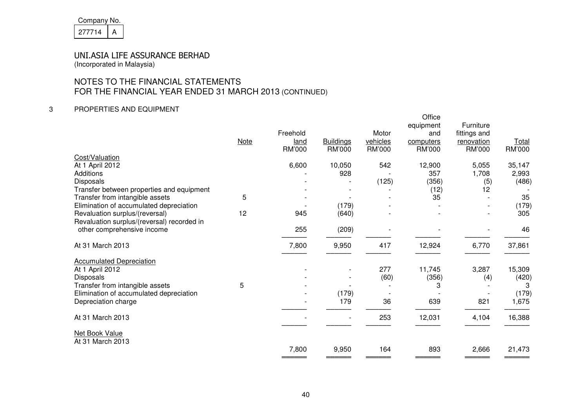| Company No. |  |  |  |  |
|-------------|--|--|--|--|
| 27714       |  |  |  |  |

# NOTES TO THE FINANCIAL STATEMENTS FOR THE FINANCIAL YEAR ENDED 31 MARCH 2013 (CONTINUED)

### 3 PROPERTIES AND EQUIPMENT

|                                            |             |          |                  |               | Office<br>equipment | Furniture     |              |
|--------------------------------------------|-------------|----------|------------------|---------------|---------------------|---------------|--------------|
|                                            |             | Freehold |                  | Motor         | and                 | fittings and  |              |
|                                            | <b>Note</b> | land     | <b>Buildings</b> | vehicles      | computers           | renovation    | <u>Total</u> |
|                                            |             | RM'000   | RM'000           | <b>RM'000</b> | <b>RM'000</b>       | <b>RM'000</b> | RM'000       |
| Cost/Valuation                             |             |          |                  |               |                     |               |              |
| At 1 April 2012                            |             | 6,600    | 10,050           | 542           | 12,900              | 5,055         | 35,147       |
| Additions                                  |             |          | 928              |               | 357                 | 1,708         | 2,993        |
| Disposals                                  |             |          |                  | (125)         | (356)               | (5)           | (486)        |
| Transfer between properties and equipment  |             |          |                  |               | (12)                | 12            |              |
| Transfer from intangible assets            | 5           |          |                  |               | 35                  |               | 35           |
| Elimination of accumulated depreciation    |             |          | (179)            |               |                     |               | (179)        |
| Revaluation surplus/(reversal)             | 12          | 945      | (640)            |               |                     |               | 305          |
| Revaluation surplus/(reversal) recorded in |             |          |                  |               |                     |               |              |
| other comprehensive income                 |             | 255      | (209)            |               |                     |               | 46           |
| At 31 March 2013                           |             | 7,800    | 9,950            | 417           | 12,924              | 6,770         | 37,861       |
| <b>Accumulated Depreciation</b>            |             |          |                  |               |                     |               |              |
| At 1 April 2012                            |             |          |                  | 277           | 11,745              | 3,287         | 15,309       |
| <b>Disposals</b>                           |             |          |                  | (60)          | (356)               | (4)           | (420)        |
| Transfer from intangible assets            | 5           |          |                  |               | 3                   |               | 3            |
| Elimination of accumulated depreciation    |             |          | (179)            |               |                     |               | (179)        |
| Depreciation charge                        |             |          | 179              | 36            | 639                 | 821           | 1,675        |
| At 31 March 2013                           |             |          |                  | 253           | 12,031              | 4,104         | 16,388       |
| Net Book Value                             |             |          |                  |               |                     |               |              |
| At 31 March 2013                           |             |          |                  |               |                     |               |              |
|                                            |             | 7,800    | 9,950            | 164           | 893                 | 2,666         | 21,473       |
|                                            |             |          |                  |               |                     |               |              |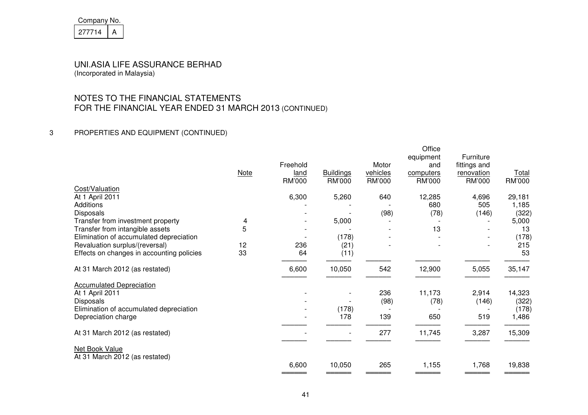| Company No. |  |  |  |
|-------------|--|--|--|
| 277714      |  |  |  |

# NOTES TO THE FINANCIAL STATEMENTS FOR THE FINANCIAL YEAR ENDED 31 MARCH 2013 (CONTINUED)

### 3 PROPERTIES AND EQUIPMENT (CONTINUED)

|                                           |             |          |                  |          | Office    |              |              |
|-------------------------------------------|-------------|----------|------------------|----------|-----------|--------------|--------------|
|                                           |             |          |                  |          | equipment | Furniture    |              |
|                                           |             | Freehold |                  | Motor    | and       | fittings and |              |
|                                           | <b>Note</b> | land     | <b>Buildings</b> | vehicles | computers | renovation   | <b>Total</b> |
|                                           |             | RM'000   | RM'000           | RM'000   | RM'000    | RM'000       | RM'000       |
| Cost/Valuation                            |             |          |                  |          |           |              |              |
| At 1 April 2011                           |             | 6,300    | 5,260            | 640      | 12,285    | 4,696        | 29,181       |
| Additions                                 |             |          |                  |          | 680       | 505          | 1,185        |
| Disposals                                 |             |          |                  | (98)     | (78)      | (146)        | (322)        |
| Transfer from investment property         | 4           |          | 5,000            |          |           |              | 5,000        |
| Transfer from intangible assets           | 5           |          |                  |          | 13        |              | 13           |
| Elimination of accumulated depreciation   |             |          | (178)            |          |           |              | (178)        |
| Revaluation surplus/(reversal)            | 12          | 236      | (21)             |          |           |              | 215          |
| Effects on changes in accounting policies | 33          | 64       | (11)             |          |           |              | 53           |
| At 31 March 2012 (as restated)            |             | 6,600    | 10,050           | 542      | 12,900    | 5,055        | 35,147       |
| <b>Accumulated Depreciation</b>           |             |          |                  |          |           |              |              |
| At 1 April 2011                           |             |          |                  | 236      | 11,173    | 2,914        | 14,323       |
| Disposals                                 |             |          |                  | (98)     | (78)      | (146)        | (322)        |
| Elimination of accumulated depreciation   |             |          | (178)            |          |           |              | (178)        |
| Depreciation charge                       |             |          | 178              | 139      | 650       | 519          | 1,486        |
| At 31 March 2012 (as restated)            |             |          |                  | 277      | 11,745    | 3,287        | 15,309       |
| Net Book Value                            |             |          |                  |          |           |              |              |
| At 31 March 2012 (as restated)            |             |          |                  |          |           |              |              |
|                                           |             | 6,600    | 10,050           | 265      | 1,155     | 1,768        | 19,838       |
|                                           |             |          |                  |          |           |              |              |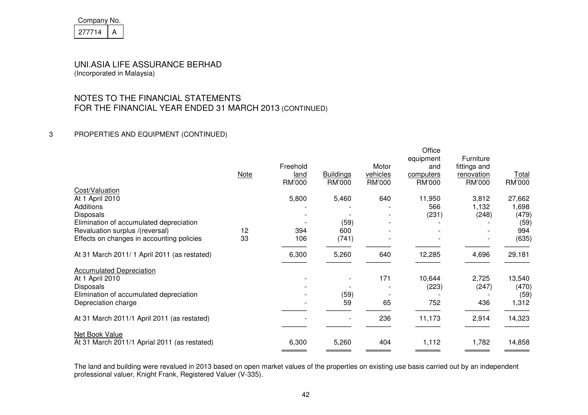| Company No. |  |  |  |  |
|-------------|--|--|--|--|
| 277714      |  |  |  |  |

# NOTES TO THE FINANCIAL STATEMENTS FOR THE FINANCIAL YEAR ENDED 31 MARCH 2013 (CONTINUED)

### 3 PROPERTIES AND EQUIPMENT (CONTINUED)

|                                              |             |          |                  |          | Office    |                          |              |
|----------------------------------------------|-------------|----------|------------------|----------|-----------|--------------------------|--------------|
|                                              |             |          |                  |          | equipment | Furniture                |              |
|                                              |             | Freehold |                  | Motor    | and       | fittings and             |              |
|                                              | <b>Note</b> | land     | <b>Buildings</b> | vehicles | computers | renovation               | <u>Total</u> |
|                                              |             | RM'000   | RM'000           | RM'000   | RM'000    | RM'000                   | RM'000       |
| Cost/Valuation                               |             |          |                  |          |           |                          |              |
| At 1 April 2010                              |             | 5,800    | 5,460            | 640      | 11,950    | 3,812                    | 27,662       |
| Additions                                    |             |          |                  |          | 566       | 1,132                    | 1,698        |
| <b>Disposals</b>                             |             |          |                  |          | (231)     | (248)                    | (479)        |
| Elimination of accumulated depreciation      |             |          | (59)             |          |           |                          | (59)         |
| Revaluation surplus /(reversal)              | 12          | 394      | 600              |          |           |                          | 994          |
| Effects on changes in accounting policies    | 33          | 106      | (741)            |          |           | $\overline{\phantom{a}}$ | (635)        |
|                                              |             |          |                  |          |           |                          |              |
| At 31 March 2011/ 1 April 2011 (as restated) |             | 6,300    | 5,260            | 640      | 12,285    | 4,696                    | 29,181       |
|                                              |             |          |                  |          |           |                          |              |
| <b>Accumulated Depreciation</b>              |             |          |                  |          |           |                          |              |
| At 1 April 2010                              |             |          |                  | 171      | 10,644    | 2,725                    | 13,540       |
| <b>Disposals</b>                             |             |          |                  |          | (223)     | (247)                    | (470)        |
| Elimination of accumulated depreciation      |             |          | (59)             |          |           |                          | (59)         |
| Depreciation charge                          |             |          | 59               | 65       | 752       | 436                      | 1,312        |
|                                              |             |          |                  |          |           |                          |              |
| At 31 March 2011/1 April 2011 (as restated)  |             |          |                  | 236      | 11,173    | 2,914                    | 14,323       |
|                                              |             |          |                  |          |           |                          |              |
| Net Book Value                               |             |          |                  |          |           |                          |              |
| At 31 March 2011/1 Aprial 2011 (as restated) |             | 6,300    | 5,260            | 404      | 1,112     | 1,782                    | 14,858       |
|                                              |             |          |                  |          |           |                          |              |

The land and building were revalued in 2013 based on open market values of the properties on existing use basis carried out by an independent professional valuer, Knight Frank, Registered Valuer (V-335).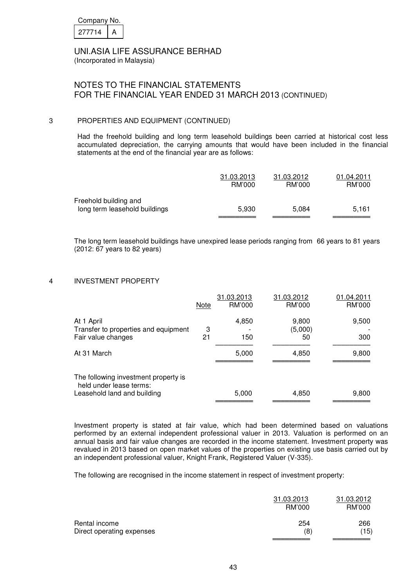| Company No. |  |  |  |
|-------------|--|--|--|
| 277714      |  |  |  |

# NOTES TO THE FINANCIAL STATEMENTS FOR THE FINANCIAL YEAR ENDED 31 MARCH 2013 (CONTINUED)

### 3 PROPERTIES AND EQUIPMENT (CONTINUED)

Had the freehold building and long term leasehold buildings been carried at historical cost less accumulated depreciation, the carrying amounts that would have been included in the financial statements at the end of the financial year are as follows:

|                                                        | 31.03.2013 | 31.03.2012 | 01.04.2011 |
|--------------------------------------------------------|------------|------------|------------|
|                                                        | RM'000     | RM'000     | RM'000     |
| Freehold building and<br>long term leasehold buildings | 5.930      | 5.084      | 5.161      |

The long term leasehold buildings have unexpired lease periods ranging from 66 years to 81 years (2012: 67 years to 82 years)

### 4 INVESTMENT PROPERTY

|                                                                                                | Note    | 31.03.2013<br>RM'000 | 31.03.2012<br>RM'000   | 01.04.2011<br>RM'000 |
|------------------------------------------------------------------------------------------------|---------|----------------------|------------------------|----------------------|
| At 1 April<br>Transfer to properties and equipment<br>Fair value changes                       | 3<br>21 | 4,850<br>150         | 9,800<br>(5,000)<br>50 | 9,500<br>300         |
| At 31 March                                                                                    |         | 5,000                | 4,850                  | 9,800                |
| The following investment property is<br>held under lease terms:<br>Leasehold land and building |         | 5,000                | 4,850                  | 9,800                |

Investment property is stated at fair value, which had been determined based on valuations performed by an external independent professional valuer in 2013. Valuation is performed on an annual basis and fair value changes are recorded in the income statement. Investment property was revalued in 2013 based on open market values of the properties on existing use basis carried out by an independent professional valuer, Knight Frank, Registered Valuer (V-335).

The following are recognised in the income statement in respect of investment property:

|                           | 31.03.2013<br>RM'000 | 31.03.2012<br>RM'000 |
|---------------------------|----------------------|----------------------|
| Rental income             | 254                  | 266                  |
| Direct operating expenses | (8)                  | (15)                 |
|                           |                      |                      |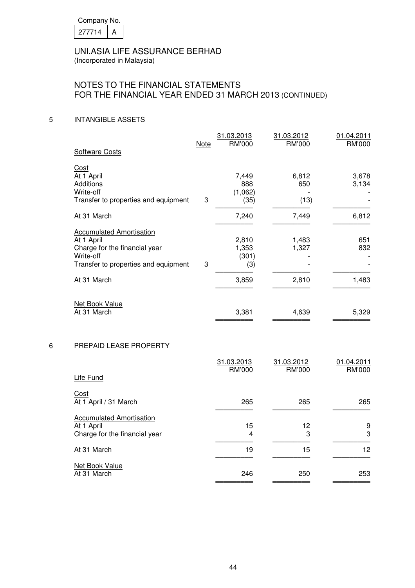| Company No. |  |
|-------------|--|
| 27714       |  |

# NOTES TO THE FINANCIAL STATEMENTS FOR THE FINANCIAL YEAR ENDED 31 MARCH 2013 (CONTINUED)

## 5 INTANGIBLE ASSETS

|   |                                                                                                                                     | <b>Note</b> | 31.03.2013<br>RM'000           | 31.03.2012<br>RM'000 | 01.04.2011<br>RM'000 |
|---|-------------------------------------------------------------------------------------------------------------------------------------|-------------|--------------------------------|----------------------|----------------------|
|   | <b>Software Costs</b>                                                                                                               |             |                                |                      |                      |
|   | Cost<br>At 1 April<br>Additions                                                                                                     |             | 7,449<br>888                   | 6,812<br>650         | 3,678<br>3,134       |
|   | Write-off<br>Transfer to properties and equipment                                                                                   | 3           | (1,062)<br>(35)                | (13)                 |                      |
|   | At 31 March                                                                                                                         |             | 7,240                          | 7,449                | 6,812                |
|   | <b>Accumulated Amortisation</b><br>At 1 April<br>Charge for the financial year<br>Write-off<br>Transfer to properties and equipment | 3           | 2,810<br>1,353<br>(301)<br>(3) | 1,483<br>1,327       | 651<br>832           |
|   | At 31 March                                                                                                                         |             | 3,859                          | 2,810                | 1,483                |
|   | Net Book Value<br>At 31 March                                                                                                       |             | 3,381                          | 4,639                | 5,329                |
| 6 | PREPAID LEASE PROPERTY                                                                                                              |             |                                |                      |                      |
|   | Life Fund                                                                                                                           |             | 31.03.2013<br>RM'000           | 31.03.2012<br>RM'000 | 01.04.2011<br>RM'000 |
|   | Cost<br>At 1 April / 31 March                                                                                                       |             | 265                            | 265                  | 265                  |
|   | <b>Accumulated Amortisation</b><br>At 1 April<br>Charge for the financial year                                                      |             | 15<br>4                        | 12<br>3              | 9<br>3               |
|   | At 31 March                                                                                                                         |             | 19                             | 15                   | 12                   |
|   | Net Book Value<br>At 31 March                                                                                                       |             | 246                            | 250                  | 253                  |
|   |                                                                                                                                     |             |                                |                      |                      |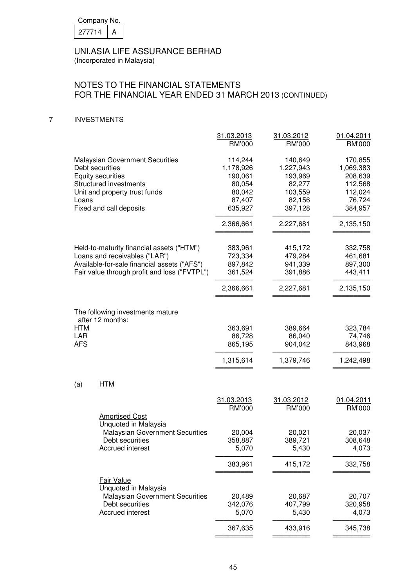| Company No. |  |
|-------------|--|
| 27714       |  |

# NOTES TO THE FINANCIAL STATEMENTS FOR THE FINANCIAL YEAR ENDED 31 MARCH 2013 (CONTINUED)

## 7 INVESTMENTS

|            |                                                                                             | 31.03.2013<br>RM'000 | 31.03.2012<br>RM'000 | 01.04.2011<br>RM'000 |
|------------|---------------------------------------------------------------------------------------------|----------------------|----------------------|----------------------|
|            | <b>Malaysian Government Securities</b>                                                      | 114,244              | 140,649              | 170,855              |
|            | Debt securities                                                                             | 1,178,926            | 1,227,943            | 1,069,383            |
|            | <b>Equity securities</b>                                                                    | 190,061              | 193,969              | 208,639              |
|            | Structured investments                                                                      | 80,054               | 82,277               | 112,568              |
|            | Unit and property trust funds                                                               | 80,042               | 103,559              | 112,024              |
| Loans      |                                                                                             | 87,407               | 82,156               | 76,724               |
|            | Fixed and call deposits                                                                     | 635,927              | 397,128              | 384,957              |
|            |                                                                                             | 2,366,661            | 2,227,681            | 2,135,150            |
|            |                                                                                             |                      |                      |                      |
|            | Held-to-maturity financial assets ("HTM")                                                   | 383,961              | 415,172              | 332,758              |
|            | Loans and receivables ("LAR")                                                               | 723,334              | 479,284              | 461,681              |
|            | Available-for-sale financial assets ("AFS")<br>Fair value through profit and loss ("FVTPL") | 897,842<br>361,524   | 941,339<br>391,886   | 897,300<br>443,411   |
|            |                                                                                             |                      |                      |                      |
|            |                                                                                             | 2,366,661            | 2,227,681            | 2,135,150            |
|            | The following investments mature                                                            |                      |                      |                      |
|            | after 12 months:                                                                            |                      |                      |                      |
| <b>HTM</b> |                                                                                             | 363,691              | 389,664              | 323,784              |
| LAR        |                                                                                             | 86,728               | 86,040               | 74,746               |
| <b>AFS</b> |                                                                                             | 865,195              | 904,042              | 843,968              |
|            |                                                                                             | 1,315,614            | 1,379,746            | 1,242,498            |
| (a)        | <b>HTM</b>                                                                                  |                      |                      |                      |
|            |                                                                                             | 31.03.2013           | 31.03.2012           | 01.04.2011           |
|            |                                                                                             | RM'000               | RM'000               | RM'000               |
|            | <b>Amortised Cost</b><br>Unquoted in Malaysia                                               |                      |                      |                      |
|            | <b>Malaysian Government Securities</b>                                                      | 20,004               | 20,021               | 20,037               |
|            | Debt securities                                                                             | 358,887              | 389,721              | 308,648              |
|            | Accrued interest                                                                            | 5,070                | 5,430                | 4,073                |
|            |                                                                                             | 383,961              | 415,172              | 332,758              |
|            | <b>Fair Value</b>                                                                           |                      |                      |                      |
|            | Unquoted in Malaysia<br><b>Malaysian Government Securities</b>                              | 20,489               | 20,687               | 20,707               |
|            | Debt securities                                                                             | 342,076              | 407,799              | 320,958              |
|            | Accrued interest                                                                            | 5,070                | 5,430                | 4,073                |
|            |                                                                                             | 367,635              | 433,916              | 345,738              |
|            |                                                                                             |                      |                      |                      |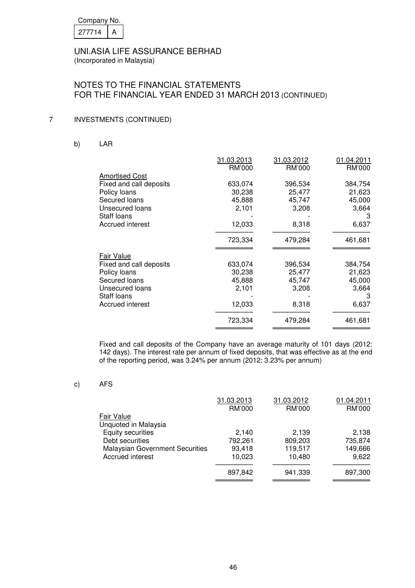| Company No. |  |
|-------------|--|
| 277714      |  |

# NOTES TO THE FINANCIAL STATEMENTS FOR THE FINANCIAL YEAR ENDED 31 MARCH 2013 (CONTINUED)

## 7 INVESTMENTS (CONTINUED)

#### b) LAR

|                         | 31.03.2013 | 31.03.2012 | 01.04.2011 |
|-------------------------|------------|------------|------------|
|                         | RM'000     | RM'000     | RM'000     |
| <b>Amortised Cost</b>   |            |            |            |
| Fixed and call deposits | 633,074    | 396,534    | 384,754    |
| Policy loans            | 30,238     | 25,477     | 21,623     |
| Secured loans           | 45,888     | 45,747     | 45,000     |
| Unsecured loans         | 2,101      | 3,208      | 3,664      |
| Staff loans             |            |            | З          |
| Accrued interest        | 12,033     | 8,318      | 6,637      |
|                         | 723,334    | 479,284    | 461,681    |
| Fair Value              |            |            |            |
| Fixed and call deposits | 633,074    | 396,534    | 384,754    |
| Policy loans            | 30,238     | 25,477     | 21,623     |
| Secured loans           | 45,888     | 45,747     | 45,000     |
| Unsecured loans         | 2,101      | 3,208      | 3,664      |
| Staff loans             |            |            | З          |
| Accrued interest        | 12,033     | 8,318      | 6,637      |
|                         | 723,334    | 479,284    | 461,681    |
|                         |            |            |            |

 Fixed and call deposits of the Company have an average maturity of 101 days (2012: 142 days). The interest rate per annum of fixed deposits, that was effective as at the end of the reporting period, was 3.24% per annum (2012: 3.23% per annum)

c) AFS

|                                        | 31.03.2013<br>RM'000 | 31.03.2012<br>RM'000 | 01.04.2011<br>RM'000 |
|----------------------------------------|----------------------|----------------------|----------------------|
| Fair Value                             |                      |                      |                      |
| Unquoted in Malaysia                   |                      |                      |                      |
| Equity securities                      | 2,140                | 2,139                | 2,138                |
| Debt securities                        | 792,261              | 809,203              | 735,874              |
| <b>Malaysian Government Securities</b> | 93,418               | 119,517              | 149,666              |
| Accrued interest                       | 10,023               | 10,480               | 9,622                |
|                                        | 897,842              | 941,339              | 897,300              |
|                                        |                      |                      |                      |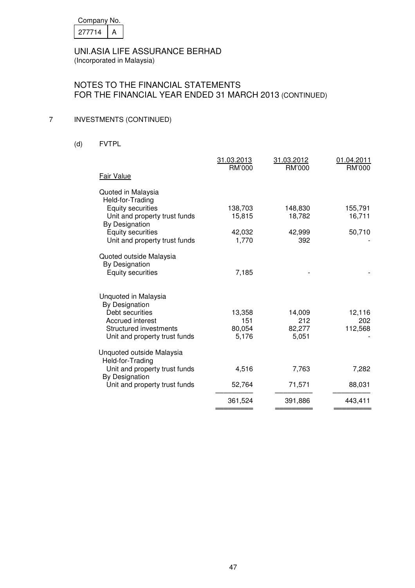| Company No. |  |
|-------------|--|
| 27714       |  |

# NOTES TO THE FINANCIAL STATEMENTS FOR THE FINANCIAL YEAR ENDED 31 MARCH 2013 (CONTINUED)

# 7 INVESTMENTS (CONTINUED)

(d) FVTPL

|                                                 | 31.03.2013<br>RM'000 | 31.03.2012<br>RM'000 | 01.04.2011<br>RM'000 |
|-------------------------------------------------|----------------------|----------------------|----------------------|
| Fair Value                                      |                      |                      |                      |
| Quoted in Malaysia                              |                      |                      |                      |
| Held-for-Trading                                |                      |                      |                      |
| <b>Equity securities</b>                        | 138,703              | 148,830              | 155,791              |
| Unit and property trust funds                   | 15,815               | 18,782               | 16,711               |
| <b>By Designation</b>                           |                      |                      |                      |
| <b>Equity securities</b>                        | 42,032               | 42,999               | 50,710               |
| Unit and property trust funds                   | 1,770                | 392                  |                      |
| Quoted outside Malaysia                         |                      |                      |                      |
| By Designation                                  |                      |                      |                      |
| Equity securities                               | 7,185                |                      |                      |
| Unquoted in Malaysia                            |                      |                      |                      |
| By Designation                                  |                      |                      |                      |
| Debt securities                                 | 13,358               | 14,009               | 12,116               |
| Accrued interest                                | 151                  | 212                  | 202                  |
| <b>Structured investments</b>                   | 80,054               | 82,277               | 112,568              |
| Unit and property trust funds                   | 5,176                | 5,051                |                      |
| Unquoted outside Malaysia                       |                      |                      |                      |
| Held-for-Trading                                |                      |                      |                      |
| Unit and property trust funds<br>By Designation | 4,516                | 7,763                | 7,282                |
| Unit and property trust funds                   | 52,764               | 71,571               | 88,031               |
|                                                 | 361,524              | 391,886              | 443,411              |
|                                                 |                      |                      |                      |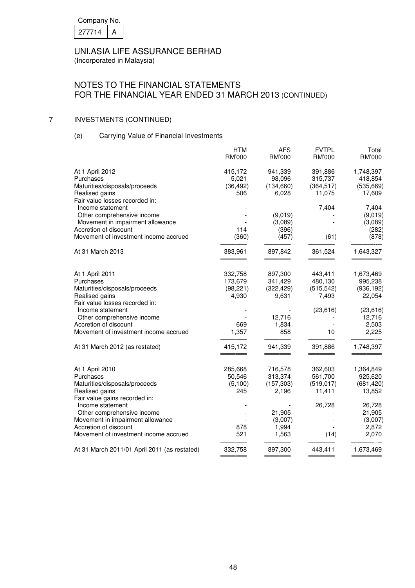| Company No. |  |  |
|-------------|--|--|
| 277714      |  |  |

# NOTES TO THE FINANCIAL STATEMENTS FOR THE FINANCIAL YEAR ENDED 31 MARCH 2013 (CONTINUED)

# 7 INVESTMENTS (CONTINUED)

## (e) Carrying Value of Financial Investments

|                                              | HTM<br>RM'000 | AFS<br><b>RM'000</b> | <b>FVTPL</b><br>RM'000 | Total<br>RM'000 |
|----------------------------------------------|---------------|----------------------|------------------------|-----------------|
| At 1 April 2012                              | 415,172       | 941,339              | 391,886                | 1,748,397       |
| Purchases                                    | 5,021         | 98,096               | 315,737                | 418,854         |
| Maturities/disposals/proceeds                | (36, 492)     | (134, 660)           | (364, 517)             | (535, 669)      |
| Realised gains                               | 506           | 6,028                | 11,075                 | 17,609          |
| Fair value losses recorded in:               |               |                      |                        |                 |
| Income statement                             |               |                      | 7,404                  | 7,404           |
| Other comprehensive income                   |               | (9,019)              |                        | (9,019)         |
| Movement in impairment allowance             |               | (3,089)              |                        | (3,089)         |
| Accretion of discount                        | 114           | (396)                |                        | (282)           |
| Movement of investment income accrued        | (360)         | (457)                | (61)                   | (878)           |
|                                              |               |                      |                        |                 |
| At 31 March 2013                             | 383,961       | 897,842              | 361,524                | 1,643,327       |
|                                              |               |                      |                        |                 |
| At 1 April 2011                              | 332,758       | 897,300              | 443,411                | 1,673,469       |
| Purchases                                    | 173,679       | 341,429              | 480,130                | 995,238         |
| Maturities/disposals/proceeds                | (98, 221)     | (322, 429)           | (515, 542)             | (936, 192)      |
| Realised gains                               | 4,930         | 9,631                | 7,493                  | 22,054          |
| Fair value losses recorded in:               |               |                      |                        |                 |
| Income statement                             |               |                      | (23, 616)              | (23, 616)       |
| Other comprehensive income                   |               | 12,716               |                        | 12,716          |
| Accretion of discount                        | 669           | 1,834                |                        | 2,503           |
| Movement of investment income accrued        | 1,357         | 858                  | 10                     | 2,225           |
|                                              |               |                      |                        |                 |
| At 31 March 2012 (as restated)               | 415,172       | 941,339              | 391,886                | 1,748,397       |
|                                              |               |                      |                        |                 |
| At 1 April 2010                              | 285,668       | 716,578              | 362,603                | 1,364,849       |
| Purchases                                    | 50,546        | 313,374              | 561,700                | 925,620         |
| Maturities/disposals/proceeds                | (5,100)       | (157, 303)           | (519, 017)             | (681, 420)      |
| Realised gains                               | 245           | 2,196                | 11,411                 | 13,852          |
| Fair value gains recorded in:                |               |                      |                        |                 |
| Income statement                             |               |                      | 26,728                 | 26,728          |
| Other comprehensive income                   |               | 21,905               |                        | 21,905          |
| Movement in impairment allowance             |               | (3,007)              |                        | (3,007)         |
| Accretion of discount                        | 878           | 1,994                |                        | 2,872           |
| Movement of investment income accrued        | 521           | 1,563                | (14)                   | 2,070           |
| At 31 March 2011/01 April 2011 (as restated) | 332,758       | 897,300              | 443,411                | 1,673,469       |
|                                              |               |                      |                        |                 |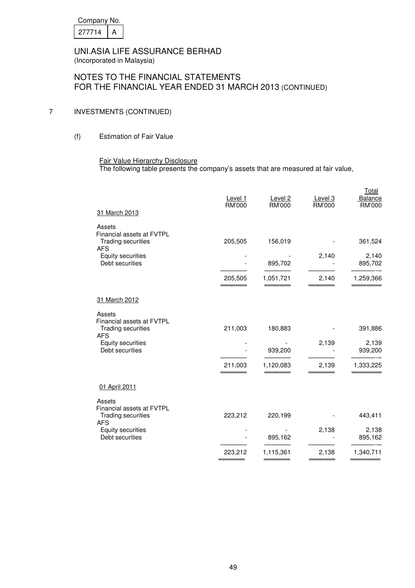| Company No. |  |
|-------------|--|
| 27714       |  |

# NOTES TO THE FINANCIAL STATEMENTS FOR THE FINANCIAL YEAR ENDED 31 MARCH 2013 (CONTINUED)

# 7 INVESTMENTS (CONTINUED)

(f) Estimation of Fair Value

#### Fair Value Hierarchy Disclosure

The following table presents the company's assets that are measured at fair value,

| 31 March 2013                                                           | Level 1<br>RM'000 | Level <sub>2</sub><br>RM'000 | Level 3<br>RM'000 | <b>Total</b><br>Balance<br>RM'000 |
|-------------------------------------------------------------------------|-------------------|------------------------------|-------------------|-----------------------------------|
| Assets<br>Financial assets at FVTPL<br>Trading securities<br><b>AFS</b> | 205,505           | 156,019                      |                   | 361,524                           |
| <b>Equity securities</b><br>Debt securities                             |                   | 895,702                      | 2,140             | 2,140<br>895,702                  |
|                                                                         | 205,505           | 1,051,721                    | 2,140             | 1,259,366                         |
| 31 March 2012                                                           |                   |                              |                   |                                   |
| Assets<br>Financial assets at FVTPL<br>Trading securities<br><b>AFS</b> | 211,003           | 180,883                      |                   | 391,886                           |
| <b>Equity securities</b><br>Debt securities                             |                   | 939,200                      | 2,139             | 2,139<br>939,200                  |
|                                                                         | 211,003           | 1,120,083                    | 2,139             | 1,333,225                         |
| 01 April 2011                                                           |                   |                              |                   |                                   |
| Assets<br>Financial assets at FVTPL<br>Trading securities<br><b>AFS</b> | 223,212           | 220,199                      |                   | 443,411                           |
| <b>Equity securities</b><br>Debt securities                             |                   | 895,162                      | 2,138             | 2,138<br>895,162                  |
|                                                                         | 223,212           | 1,115,361                    | 2,138             | 1,340,711                         |
|                                                                         |                   |                              |                   |                                   |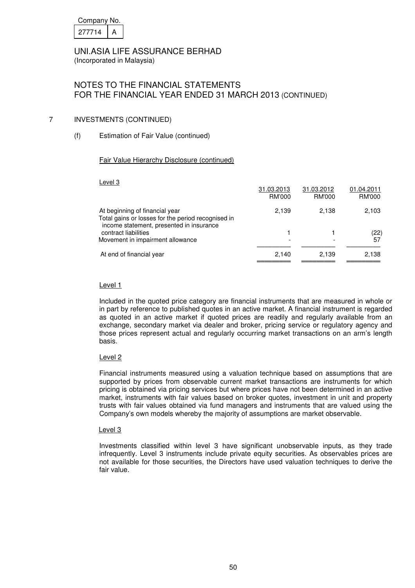| Company No. |  |
|-------------|--|
| 27714       |  |

# NOTES TO THE FINANCIAL STATEMENTS FOR THE FINANCIAL YEAR ENDED 31 MARCH 2013 (CONTINUED)

### 7 INVESTMENTS (CONTINUED)

(f) Estimation of Fair Value (continued)

### Fair Value Hierarchy Disclosure (continued)

Level 3

|                                                                                                                                  | 31.03.2013<br>RM'000 | 31.03.2012<br><b>RM'000</b> | 01.04.2011<br>RM'000 |
|----------------------------------------------------------------------------------------------------------------------------------|----------------------|-----------------------------|----------------------|
| At beginning of financial year<br>Total gains or losses for the period recognised in<br>income statement, presented in insurance | 2,139                | 2,138                       | 2,103                |
| contract liabilities                                                                                                             |                      |                             | (22)                 |
| Movement in impairment allowance                                                                                                 |                      |                             | 57                   |
| At end of financial year                                                                                                         | 2.140                | 2.139                       | 2.138                |

#### Level 1

Included in the quoted price category are financial instruments that are measured in whole or in part by reference to published quotes in an active market. A financial instrument is regarded as quoted in an active market if quoted prices are readily and regularly available from an exchange, secondary market via dealer and broker, pricing service or regulatory agency and those prices represent actual and regularly occurring market transactions on an arm's length basis.

### Level 2

Financial instruments measured using a valuation technique based on assumptions that are supported by prices from observable current market transactions are instruments for which pricing is obtained via pricing services but where prices have not been determined in an active market, instruments with fair values based on broker quotes, investment in unit and property trusts with fair values obtained via fund managers and instruments that are valued using the Company's own models whereby the majority of assumptions are market observable.

#### Level 3

Investments classified within level 3 have significant unobservable inputs, as they trade infrequently. Level 3 instruments include private equity securities. As observables prices are not available for those securities, the Directors have used valuation techniques to derive the fair value.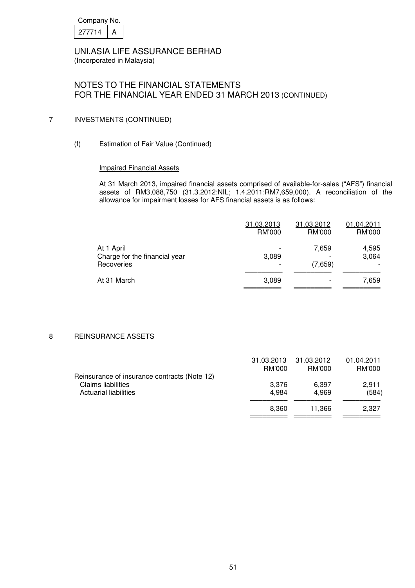| Company No. |  |
|-------------|--|
| 277714      |  |

# NOTES TO THE FINANCIAL STATEMENTS FOR THE FINANCIAL YEAR ENDED 31 MARCH 2013 (CONTINUED)

## 7 INVESTMENTS (CONTINUED)

(f) Estimation of Fair Value (Continued)

### Impaired Financial Assets

At 31 March 2013, impaired financial assets comprised of available-for-sales ("AFS") financial assets of RM3,088,750 (31.3.2012:NIL; 1.4.2011:RM7,659,000). A reconciliation of the allowance for impairment losses for AFS financial assets is as follows:

|                                                           | 31.03.2013<br>RM'000 | 31.03.2012<br>RM'000 | 01.04.2011<br><b>RM'000</b> |
|-----------------------------------------------------------|----------------------|----------------------|-----------------------------|
| At 1 April<br>Charge for the financial year<br>Recoveries | 3,089                | 7,659<br>(7,659)     | 4,595<br>3,064              |
| At 31 March                                               | 3,089                |                      | 7,659                       |

## 8 REINSURANCE ASSETS

|                                              | 31.03.2013 | 31.03.2012 | 01.04.2011 |
|----------------------------------------------|------------|------------|------------|
|                                              | RM'000     | RM'000     | RM'000     |
| Reinsurance of insurance contracts (Note 12) |            |            |            |
| Claims liabilities                           | 3.376      | 6.397      | 2.911      |
| Actuarial liabilities                        | 4,984      | 4.969      | (584)      |
|                                              |            |            |            |
|                                              | 8.360      | 11.366     | 2,327      |
|                                              |            |            |            |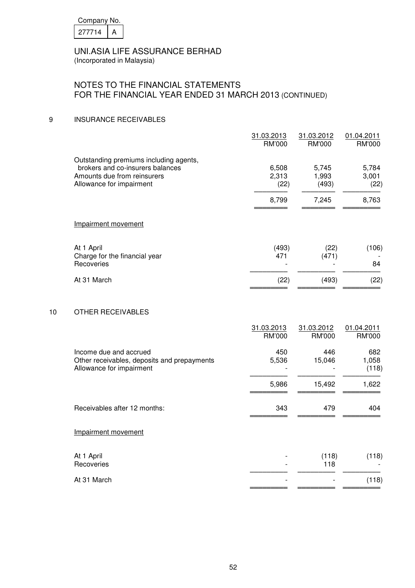| Company No. |  |
|-------------|--|
| 277714      |  |

# NOTES TO THE FINANCIAL STATEMENTS FOR THE FINANCIAL YEAR ENDED 31 MARCH 2013 (CONTINUED)

## 9 INSURANCE RECEIVABLES

|    |                                                                                                                                       | 31.03.2013<br>RM'000            | 31.03.2012<br><b>RM'000</b>      | 01.04.2011<br><b>RM'000</b>     |
|----|---------------------------------------------------------------------------------------------------------------------------------------|---------------------------------|----------------------------------|---------------------------------|
|    | Outstanding premiums including agents,<br>brokers and co-insurers balances<br>Amounts due from reinsurers<br>Allowance for impairment | 6,508<br>2,313<br>(22)<br>8,799 | 5,745<br>1,993<br>(493)<br>7,245 | 5,784<br>3,001<br>(22)<br>8,763 |
|    | Impairment movement                                                                                                                   |                                 |                                  |                                 |
|    | At 1 April<br>Charge for the financial year<br>Recoveries                                                                             | (493)<br>471                    | (22)<br>(471)                    | (106)<br>84                     |
|    | At 31 March                                                                                                                           | (22)                            | (493)                            | (22)                            |
| 10 | <b>OTHER RECEIVABLES</b>                                                                                                              |                                 |                                  |                                 |
|    |                                                                                                                                       | 31.03.2013<br>RM'000            | 31.03.2012<br><b>RM'000</b>      | 01.04.2011<br><b>RM'000</b>     |
|    | Income due and accrued<br>Other receivables, deposits and prepayments<br>Allowance for impairment                                     | 450<br>5,536                    | 446<br>15,046                    | 682<br>1,058<br>(118)           |
|    |                                                                                                                                       | 5,986                           | 15,492                           | 1,622                           |
|    | Receivables after 12 months:                                                                                                          | 343                             | 479                              | 404                             |
|    | Impairment movement                                                                                                                   |                                 |                                  |                                 |
|    | At 1 April<br>Recoveries                                                                                                              |                                 | (118)<br>118                     | (118)                           |
|    | At 31 March                                                                                                                           |                                 |                                  | (118)                           |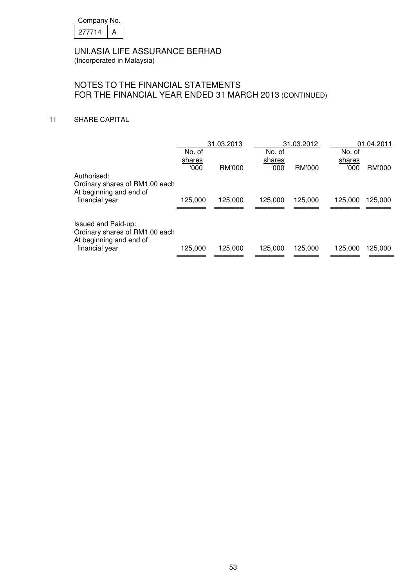| Company No. |  |  |
|-------------|--|--|
| 277714      |  |  |

# NOTES TO THE FINANCIAL STATEMENTS FOR THE FINANCIAL YEAR ENDED 31 MARCH 2013 (CONTINUED)

# 11 SHARE CAPITAL

|                                                                                  |                  | 31.03.2013 |                  | 31.03.2012 |                  | 01.04.2011 |
|----------------------------------------------------------------------------------|------------------|------------|------------------|------------|------------------|------------|
|                                                                                  | No. of<br>shares |            | No. of<br>shares |            | No. of<br>shares |            |
|                                                                                  | 000'             | RM'000     | 000'             | RM'000     | 000'             | RM'000     |
| Authorised:<br>Ordinary shares of RM1.00 each<br>At beginning and end of         |                  |            |                  |            |                  |            |
| financial year                                                                   | 125,000          | 125,000    | 125,000          | 125,000    | 125.000          | 125,000    |
| Issued and Paid-up:<br>Ordinary shares of RM1.00 each<br>At beginning and end of |                  |            |                  |            |                  |            |
| financial year                                                                   | 125,000          | 125.000    | 125,000          | 125,000    | 125.000          | 125,000    |
|                                                                                  |                  |            |                  |            |                  |            |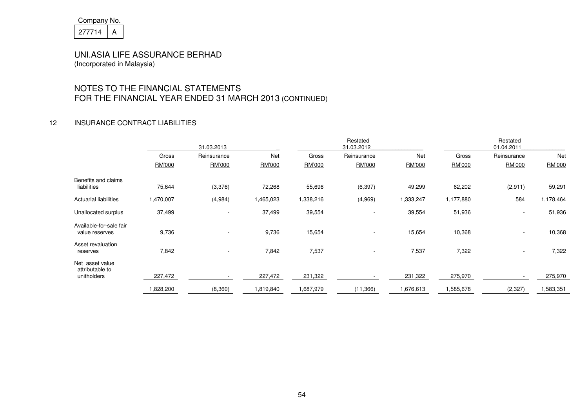| Company No. |  |  |  |
|-------------|--|--|--|
| 21/714      |  |  |  |

# NOTES TO THE FINANCIAL STATEMENTS FOR THE FINANCIAL YEAR ENDED 31 MARCH 2013 (CONTINUED)

## 12 INSURANCE CONTRACT LIABILITIES

|                                                   | 31.03.2013 |             |           |           | Restated<br>31.03.2012 |           |           | Restated<br>01.04.2011   |           |  |
|---------------------------------------------------|------------|-------------|-----------|-----------|------------------------|-----------|-----------|--------------------------|-----------|--|
|                                                   | Gross      | Reinsurance | Net       | Gross     | Reinsurance            | Net       | Gross     | Reinsurance              | Net       |  |
|                                                   | RM'000     | RM'000      | RM'000    | RM'000    | RM'000                 | RM'000    | RM'000    | RM'000                   | RM'000    |  |
| Benefits and claims<br>liabilities                | 75,644     | (3,376)     | 72,268    | 55,696    | (6, 397)               | 49,299    | 62,202    | (2,911)                  | 59,291    |  |
| <b>Actuarial liabilities</b>                      | 1,470,007  | (4,984)     | 1,465,023 | 1,338,216 | (4,969)                | 1,333,247 | 1,177,880 | 584                      | 1,178,464 |  |
| Unallocated surplus                               | 37,499     |             | 37,499    | 39,554    |                        | 39,554    | 51,936    | $\overline{\phantom{a}}$ | 51,936    |  |
| Available-for-sale fair<br>value reserves         | 9,736      |             | 9,736     | 15,654    |                        | 15,654    | 10,368    | $\overline{\phantom{0}}$ | 10,368    |  |
| Asset revaluation<br>reserves                     | 7,842      |             | 7,842     | 7,537     |                        | 7,537     | 7,322     |                          | 7,322     |  |
| Net asset value<br>attributable to<br>unitholders | 227,472    |             | 227,472   | 231,322   |                        | 231,322   | 275,970   |                          | 275,970   |  |
|                                                   | 1,828,200  | (8,360)     | 1,819,840 | 687,979,  | (11,366)               | 1,676,613 | 585,678   | (2, 327)                 | 1,583,351 |  |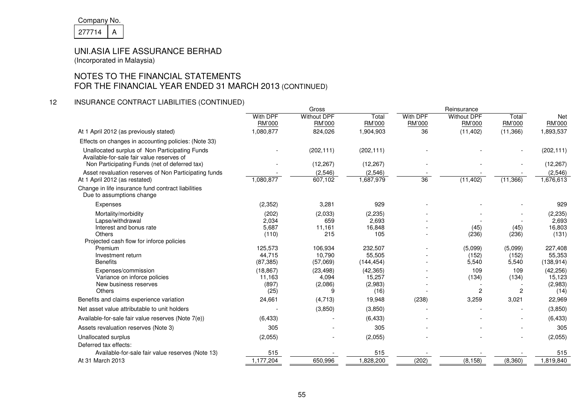| Company No. |  |  |  |
|-------------|--|--|--|
| 27714       |  |  |  |

# NOTES TO THE FINANCIAL STATEMENTS FOR THE FINANCIAL YEAR ENDED 31 MARCH 2013 (CONTINUED)

# 12 INSURANCE CONTRACT LIABILITIES (CONTINUED)

|                                                                                             | Gross           |                    | Reinsurance |                 |                    |                |            |
|---------------------------------------------------------------------------------------------|-----------------|--------------------|-------------|-----------------|--------------------|----------------|------------|
|                                                                                             | <b>With DPF</b> | <b>Without DPF</b> | Total       | <b>With DPF</b> | <b>Without DPF</b> | Total          | Net        |
|                                                                                             | <b>RM'000</b>   | RM'000             | RM'000      | RM'000          | RM'000             | RM'000         | RM'000     |
| At 1 April 2012 (as previously stated)                                                      | 1,080,877       | 824,026            | 1,904,903   | 36              | (11, 402)          | (11,366)       | 1,893,537  |
| Effects on changes in accounting policies: (Note 33)                                        |                 |                    |             |                 |                    |                |            |
| Unallocated surplus of Non Participating Funds<br>Available-for-sale fair value reserves of |                 | (202, 111)         | (202, 111)  |                 |                    |                | (202, 111) |
| Non Participating Funds (net of deferred tax)                                               |                 | (12, 267)          | (12, 267)   |                 |                    |                | (12, 267)  |
| Asset revaluation reserves of Non Participating funds                                       |                 | (2, 546)           | (2,546)     |                 |                    |                | (2, 546)   |
| At 1 April 2012 (as restated)                                                               | 1,080,877       | 607,102            | 1,687,979   | 36              | (11, 402)          | (11, 366)      | 1,676,613  |
| Change in life insurance fund contract liabilities<br>Due to assumptions change             |                 |                    |             |                 |                    |                |            |
| <b>Expenses</b>                                                                             | (2, 352)        | 3,281              | 929         |                 |                    |                | 929        |
| Mortality/morbidity                                                                         | (202)           | (2,033)            | (2, 235)    |                 |                    |                | (2, 235)   |
| Lapse/withdrawal                                                                            | 2,034           | 659                | 2,693       |                 |                    |                | 2,693      |
| Interest and bonus rate                                                                     | 5,687           | 11,161             | 16,848      |                 | (45)               | (45)           | 16,803     |
| Others                                                                                      | (110)           | 215                | 105         |                 | (236)              | (236)          | (131)      |
| Projected cash flow for inforce policies                                                    |                 |                    |             |                 |                    |                |            |
| Premium                                                                                     | 125,573         | 106,934            | 232,507     |                 | (5,099)            | (5,099)        | 227,408    |
| Investment return                                                                           | 44,715          | 10,790             | 55,505      |                 | (152)              | (152)          | 55,353     |
| <b>Benefits</b>                                                                             | (87, 385)       | (57,069)           | (144, 454)  |                 | 5,540              | 5,540          | (138, 914) |
| Expenses/commission                                                                         | (18, 867)       | (23, 498)          | (42, 365)   |                 | 109                | 109            | (42, 256)  |
| Variance on inforce policies                                                                | 11,163          | 4,094              | 15,257      |                 | (134)              | (134)          | 15,123     |
| New business reserves                                                                       | (897)           | (2,086)            | (2,983)     |                 |                    |                | (2,983)    |
| Others                                                                                      | (25)            | 9                  | (16)        |                 | 2                  | $\overline{c}$ | (14)       |
| Benefits and claims experience variation                                                    | 24,661          | (4,713)            | 19,948      | (238)           | 3,259              | 3,021          | 22,969     |
| Net asset value attributable to unit holders                                                |                 | (3,850)            | (3,850)     |                 |                    |                | (3,850)    |
| Available-for-sale fair value reserves (Note 7(e))                                          | (6, 433)        |                    | (6, 433)    |                 |                    |                | (6, 433)   |
| Assets revaluation reserves (Note 3)                                                        | 305             |                    | 305         |                 |                    |                | 305        |
| Unallocated surplus                                                                         | (2,055)         |                    | (2,055)     |                 |                    |                | (2,055)    |
| Deferred tax effects:                                                                       |                 |                    |             |                 |                    |                |            |
| Available-for-sale fair value reserves (Note 13)                                            | 515             |                    | 515         |                 |                    |                | 515        |
| At 31 March 2013                                                                            | 1,177,204       | 650,996            | 1,828,200   | (202)           | (8, 158)           | (8,360)        | 1,819,840  |
|                                                                                             |                 |                    |             |                 |                    |                |            |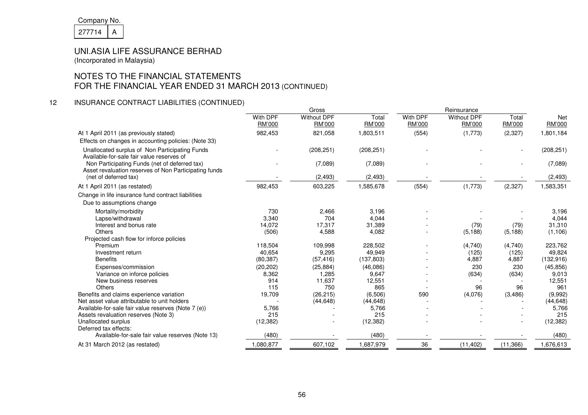| Company No. |  |  |  |  |
|-------------|--|--|--|--|
| 211114      |  |  |  |  |

# NOTES TO THE FINANCIAL STATEMENTS FOR THE FINANCIAL YEAR ENDED 31 MARCH 2013 (CONTINUED)

# 12 INSURANCE CONTRACT LIABILITIES (CONTINUED)

|                                                                                                        |           | Gross       |            |          | Reinsurance        |                |            |
|--------------------------------------------------------------------------------------------------------|-----------|-------------|------------|----------|--------------------|----------------|------------|
|                                                                                                        | With DPF  | Without DPF | Total      | With DPF | <b>Without DPF</b> | Total          | Net        |
|                                                                                                        | RM'000    | RM'000      | RM'000     | RM'000   | RM'000             | RM'000         | RM'000     |
| At 1 April 2011 (as previously stated)                                                                 | 982,453   | 821,058     | 1,803,511  | (554)    | (1,773)            | (2,327)        | 1,801,184  |
| Effects on changes in accounting policies: (Note 33)                                                   |           |             |            |          |                    |                |            |
| Unallocated surplus of Non Participating Funds<br>Available-for-sale fair value reserves of            |           | (208, 251)  | (208, 251) |          |                    |                | (208, 251) |
| Non Participating Funds (net of deferred tax)<br>Asset revaluation reserves of Non Participating funds |           | (7,089)     | (7,089)    |          |                    |                | (7,089)    |
| (net of deferred tax)                                                                                  |           | (2, 493)    | (2, 493)   |          |                    |                | (2, 493)   |
| At 1 April 2011 (as restated)                                                                          | 982,453   | 603,225     | 1,585,678  | (554)    | (1,773)            | (2, 327)       | 1,583,351  |
| Change in life insurance fund contract liabilities                                                     |           |             |            |          |                    |                |            |
| Due to assumptions change                                                                              |           |             |            |          |                    |                |            |
| Mortality/morbidity                                                                                    | 730       | 2,466       | 3,196      |          |                    |                | 3,196      |
| Lapse/withdrawal                                                                                       | 3,340     | 704         | 4,044      |          |                    |                | 4,044      |
| Interest and bonus rate                                                                                | 14,072    | 17,317      | 31,389     |          | (79)               | (79)           | 31,310     |
| Others                                                                                                 | (506)     | 4,588       | 4,082      |          | (5, 188)           | (5, 188)       | (1,106)    |
| Projected cash flow for inforce policies                                                               |           |             |            |          |                    |                |            |
| Premium                                                                                                | 118,504   | 109,998     | 228,502    |          | (4,740)            | (4,740)        | 223,762    |
| Investment return                                                                                      | 40,654    | 9,295       | 49,949     |          | (125)              | (125)          | 49,824     |
| <b>Benefits</b>                                                                                        | (80, 387) | (57, 416)   | (137, 803) |          | 4,887              | 4,887          | (132, 916) |
| Expenses/commission                                                                                    | (20, 202) | (25, 884)   | (46,086)   |          | 230                | 230            | (45, 856)  |
| Variance on inforce policies                                                                           | 8,362     | 1,285       | 9,647      |          | (634)              | (634)          | 9,013      |
| New business reserves                                                                                  | 914       | 11,637      | 12,551     |          |                    |                | 12,551     |
| <b>Others</b>                                                                                          | 115       | 750         | 865        |          | 96                 | 96             | 961        |
| Benefits and claims experience variation                                                               | 19,709    | (26, 215)   | (6,506)    | 590      | (4,076)            | (3,486)        | (9,992)    |
| Net asset value attributable to unit holders                                                           |           | (44, 648)   | (44, 648)  |          |                    |                | (44, 648)  |
| Available-for-sale fair value reserves (Note 7 (e))                                                    | 5,766     |             | 5,766      |          |                    |                | 5,766      |
| Assets revaluation reserves (Note 3)                                                                   | 215       |             | 215        |          |                    |                | 215        |
| Unallocated surplus                                                                                    | (12, 382) |             | (12, 382)  |          |                    | $\blacksquare$ | (12, 382)  |
| Deferred tax effects:                                                                                  |           |             |            |          |                    |                |            |
| Available-for-sale fair value reserves (Note 13)                                                       | (480)     |             | (480)      |          |                    |                | (480)      |
| At 31 March 2012 (as restated)                                                                         | 1,080,877 | 607,102     | 1,687,979  | 36       | (11, 402)          | (11, 366)      | 1,676,613  |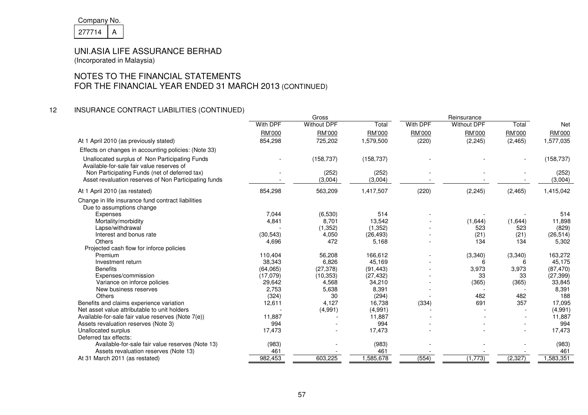| Company No. |  |  |  |
|-------------|--|--|--|
| 277714      |  |  |  |

# NOTES TO THE FINANCIAL STATEMENTS FOR THE FINANCIAL YEAR ENDED 31 MARCH 2013 (CONTINUED)

## 12 INSURANCE CONTRACT LIABILITIES (CONTINUED)

|                                                                                             | Gross     |                    | Reinsurance |          |                    |          |            |
|---------------------------------------------------------------------------------------------|-----------|--------------------|-------------|----------|--------------------|----------|------------|
|                                                                                             | With DPF  | <b>Without DPF</b> | Total       | With DPF | <b>Without DPF</b> | Total    | Net        |
|                                                                                             | RM'000    | RM'000             | RM'000      | RM'000   | RM'000             | RM'000   | RM'000     |
| At 1 April 2010 (as previously stated)                                                      | 854,298   | 725,202            | 1,579,500   | (220)    | (2, 245)           | (2, 465) | 1,577,035  |
| Effects on changes in accounting policies: (Note 33)                                        |           |                    |             |          |                    |          |            |
| Unallocated surplus of Non Participating Funds<br>Available-for-sale fair value reserves of |           | (158, 737)         | (158, 737)  |          |                    |          | (158, 737) |
| Non Participating Funds (net of deferred tax)                                               |           | (252)              | (252)       |          |                    |          | (252)      |
| Asset revaluation reserves of Non Participating funds                                       |           | (3,004)            | (3,004)     |          |                    |          | (3,004)    |
| At 1 April 2010 (as restated)                                                               | 854,298   | 563,209            | 1,417,507   | (220)    | (2, 245)           | (2, 465) | 1,415,042  |
| Change in life insurance fund contract liabilities<br>Due to assumptions change             |           |                    |             |          |                    |          |            |
| <b>Expenses</b>                                                                             | 7,044     | (6,530)            | 514         |          |                    |          | 514        |
| Mortality/morbidity                                                                         | 4,841     | 8,701              | 13,542      |          | (1,644)            | (1,644)  | 11,898     |
| Lapse/withdrawal                                                                            |           | (1, 352)           | (1, 352)    |          | 523                | 523      | (829)      |
| Interest and bonus rate                                                                     | (30, 543) | 4,050              | (26, 493)   |          | (21)               | (21)     | (26, 514)  |
| <b>Others</b>                                                                               | 4,696     | 472                | 5,168       |          | 134                | 134      | 5,302      |
| Projected cash flow for inforce policies                                                    |           |                    |             |          |                    |          |            |
| Premium                                                                                     | 110,404   | 56,208             | 166,612     |          | (3,340)            | (3,340)  | 163,272    |
| Investment return                                                                           | 38,343    | 6,826              | 45,169      |          | 6                  | 6        | 45,175     |
| <b>Benefits</b>                                                                             | (64,065)  | (27, 378)          | (91, 443)   |          | 3,973              | 3,973    | (87, 470)  |
| Expenses/commission                                                                         | (17,079)  | (10, 353)          | (27, 432)   |          | 33                 | 33       | (27, 399)  |
| Variance on inforce policies                                                                | 29,642    | 4,568              | 34,210      |          | (365)              | (365)    | 33,845     |
| New business reserves                                                                       | 2,753     | 5,638              | 8,391       |          |                    |          | 8,391      |
| Others                                                                                      | (324)     | 30                 | (294)       |          | 482                | 482      | 188        |
| Benefits and claims experience variation                                                    | 12,611    | 4,127              | 16,738      | (334)    | 691                | 357      | 17,095     |
| Net asset value attributable to unit holders                                                |           | (4,991)            | (4,991)     |          |                    |          | (4,991)    |
| Available-for-sale fair value reserves (Note 7(e))                                          | 11,887    |                    | 11,887      |          |                    |          | 11,887     |
| Assets revaluation reserves (Note 3)                                                        | 994       |                    | 994         |          |                    |          | 994        |
| Unallocated surplus                                                                         | 17,473    |                    | 17,473      |          |                    |          | 17,473     |
| Deferred tax effects:                                                                       |           |                    |             |          |                    |          |            |
| Available-for-sale fair value reserves (Note 13)                                            | (983)     |                    | (983)       |          |                    |          | (983)      |
| Assets revaluation reserves (Note 13)                                                       | 461       |                    | 461         |          |                    |          | 461        |
| At 31 March 2011 (as restated)                                                              | 982,453   | 603,225            | 1,585,678   | (554)    | (1,773)            | (2, 327) | 1,583,351  |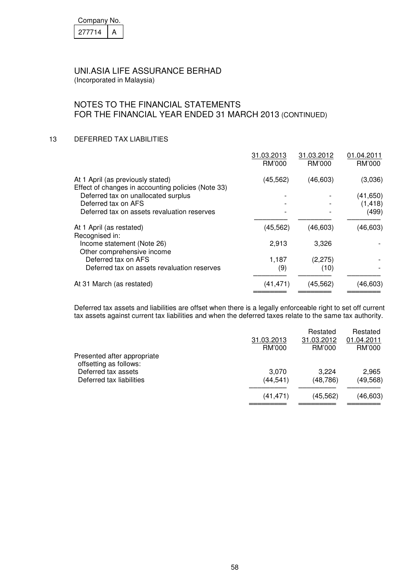| Company No. |  |
|-------------|--|
| 277714      |  |

# NOTES TO THE FINANCIAL STATEMENTS FOR THE FINANCIAL YEAR ENDED 31 MARCH 2013 (CONTINUED)

### 13 DEFERRED TAX LIABILITIES

|                                                                                         | 31.03.2013<br><b>RM'000</b> | 31.03.2012<br>RM'000 | 01.04.2011<br><b>RM'000</b> |
|-----------------------------------------------------------------------------------------|-----------------------------|----------------------|-----------------------------|
| At 1 April (as previously stated)<br>Effect of changes in accounting policies (Note 33) | (45, 562)                   | (46, 603)            | (3,036)                     |
| Deferred tax on unallocated surplus                                                     |                             |                      | (41,650)                    |
| Deferred tax on AFS                                                                     |                             |                      | (1, 418)                    |
| Deferred tax on assets revaluation reserves                                             |                             |                      | (499)                       |
| At 1 April (as restated)<br>Recognised in:                                              | (45,562)                    | (46,603)             | (46, 603)                   |
| Income statement (Note 26)<br>Other comprehensive income                                | 2,913                       | 3,326                |                             |
| Deferred tax on AFS                                                                     | 1,187                       | (2,275)              |                             |
| Deferred tax on assets revaluation reserves                                             | (9)                         | (10)                 |                             |
| At 31 March (as restated)                                                               | (41, 471)                   | (45, 562)            | (46, 603)                   |
|                                                                                         |                             |                      |                             |

 Deferred tax assets and liabilities are offset when there is a legally enforceable right to set off current tax assets against current tax liabilities and when the deferred taxes relate to the same tax authority.

|                                                       | 31.03.2013<br>RM'000 | Restated<br>31.03.2012<br>RM'000 | Restated<br>01.04.2011<br>RM'000 |
|-------------------------------------------------------|----------------------|----------------------------------|----------------------------------|
| Presented after appropriate<br>offsetting as follows: |                      |                                  |                                  |
| Deferred tax assets                                   | 3,070                | 3.224                            | 2,965                            |
| Deferred tax liabilities                              | (44, 541)            | (48, 786)                        | (49, 568)                        |
|                                                       | (41, 471)            | (45,562)                         | (46,603)                         |
|                                                       |                      |                                  |                                  |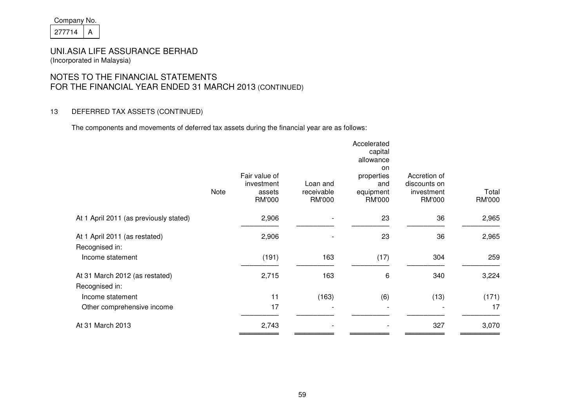| Company No. |  |  |
|-------------|--|--|
| 27714       |  |  |

# NOTES TO THE FINANCIAL STATEMENTS FOR THE FINANCIAL YEAR ENDED 31 MARCH 2013 (CONTINUED)

### 13 DEFERRED TAX ASSETS (CONTINUED)

The components and movements of deferred tax assets during the financial year are as follows:

|                                        |      |               |               | Accelerated<br>capital |               |               |
|----------------------------------------|------|---------------|---------------|------------------------|---------------|---------------|
|                                        |      |               |               | allowance<br>on        |               |               |
|                                        |      | Fair value of |               | properties             | Accretion of  |               |
|                                        |      | investment    | Loan and      | and                    | discounts on  |               |
|                                        | Note | assets        | receivable    | equipment              | investment    | Total         |
|                                        |      | <b>RM'000</b> | <b>RM'000</b> | <b>RM'000</b>          | <b>RM'000</b> | <b>RM'000</b> |
| At 1 April 2011 (as previously stated) |      | 2,906         |               | 23                     | 36            | 2,965         |
| At 1 April 2011 (as restated)          |      | 2,906         |               | 23                     | 36            | 2,965         |
| Recognised in:                         |      |               |               |                        |               |               |
| Income statement                       |      | (191)         | 163           | (17)                   | 304           | 259           |
| At 31 March 2012 (as restated)         |      | 2,715         | 163           | 6                      | 340           | 3,224         |
| Recognised in:                         |      |               |               |                        |               |               |
| Income statement                       |      | 11            | (163)         | (6)                    | (13)          | (171)         |
| Other comprehensive income             |      | 17            | ٠             |                        |               | 17            |
| At 31 March 2013                       |      | 2,743         |               |                        | 327           | 3,070         |
|                                        |      |               |               |                        |               |               |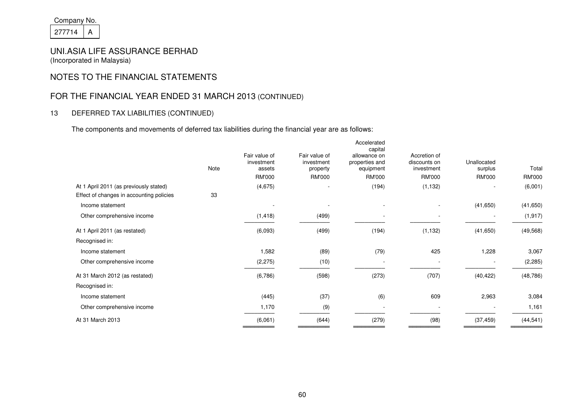| Company No. |  |  |
|-------------|--|--|
| 277714      |  |  |

# NOTES TO THE FINANCIAL STATEMENTS

# FOR THE FINANCIAL YEAR ENDED 31 MARCH 2013 (CONTINUED)

## 13 DEFERRED TAX LIABILITIES (CONTINUED)

The components and movements of deferred tax liabilities during the financial year are as follows:

|                                          |      |                                       |                                         | Accelerated<br>capital                      |                                            |                        |               |
|------------------------------------------|------|---------------------------------------|-----------------------------------------|---------------------------------------------|--------------------------------------------|------------------------|---------------|
|                                          | Note | Fair value of<br>investment<br>assets | Fair value of<br>investment<br>property | allowance on<br>properties and<br>equipment | Accretion of<br>discounts on<br>investment | Unallocated<br>surplus | Total         |
|                                          |      | <b>RM'000</b>                         | RM'000                                  | RM'000                                      | <b>RM'000</b>                              | <b>RM'000</b>          | <b>RM'000</b> |
| At 1 April 2011 (as previously stated)   |      | (4,675)                               |                                         | (194)                                       | (1, 132)                                   |                        | (6,001)       |
| Effect of changes in accounting policies | 33   |                                       |                                         |                                             |                                            |                        |               |
| Income statement                         |      |                                       |                                         |                                             |                                            | (41,650)               | (41, 650)     |
| Other comprehensive income               |      | (1, 418)                              | (499)                                   |                                             |                                            |                        | (1, 917)      |
| At 1 April 2011 (as restated)            |      | (6,093)                               | (499)                                   | (194)                                       | (1, 132)                                   | (41,650)               | (49, 568)     |
| Recognised in:                           |      |                                       |                                         |                                             |                                            |                        |               |
| Income statement                         |      | 1,582                                 | (89)                                    | (79)                                        | 425                                        | 1,228                  | 3,067         |
| Other comprehensive income               |      | (2, 275)                              | (10)                                    |                                             | $\overline{\phantom{a}}$                   |                        | (2,285)       |
| At 31 March 2012 (as restated)           |      | (6,786)                               | (598)                                   | (273)                                       | (707)                                      | (40, 422)              | (48, 786)     |
| Recognised in:                           |      |                                       |                                         |                                             |                                            |                        |               |
| Income statement                         |      | (445)                                 | (37)                                    | (6)                                         | 609                                        | 2,963                  | 3,084         |
| Other comprehensive income               |      | 1,170                                 | (9)                                     |                                             |                                            |                        | 1,161         |
| At 31 March 2013                         |      | (6,061)                               | (644)                                   | (279)                                       | (98)                                       | (37, 459)              | (44, 541)     |
|                                          |      |                                       |                                         |                                             |                                            |                        |               |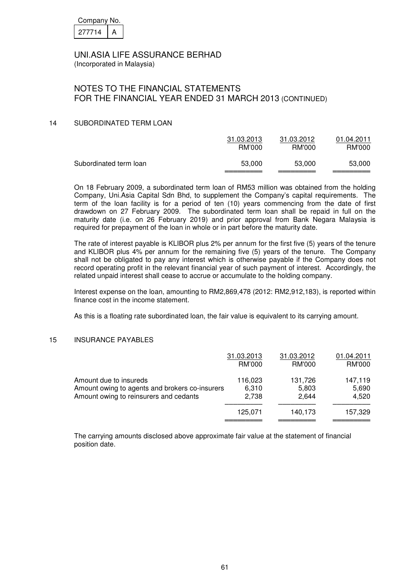| Company No. |  |
|-------------|--|
| 277714      |  |

# NOTES TO THE FINANCIAL STATEMENTS FOR THE FINANCIAL YEAR ENDED 31 MARCH 2013 (CONTINUED)

#### 14 SUBORDINATED TERM LOAN

|                        | 31.03.2013 | 31.03.2012 | 01.04.2011 |
|------------------------|------------|------------|------------|
|                        | RM'000     | RM'000     | RM'000     |
| Subordinated term loan | 53,000     | 53,000     | 53,000     |

 On 18 February 2009, a subordinated term loan of RM53 million was obtained from the holding Company, Uni.Asia Capital Sdn Bhd, to supplement the Company's capital requirements. The term of the loan facility is for a period of ten (10) years commencing from the date of first drawdown on 27 February 2009. The subordinated term loan shall be repaid in full on the maturity date (i.e. on 26 February 2019) and prior approval from Bank Negara Malaysia is required for prepayment of the loan in whole or in part before the maturity date.

 The rate of interest payable is KLIBOR plus 2% per annum for the first five (5) years of the tenure and KLIBOR plus 4% per annum for the remaining five (5) years of the tenure. The Company shall not be obligated to pay any interest which is otherwise payable if the Company does not record operating profit in the relevant financial year of such payment of interest. Accordingly, the related unpaid interest shall cease to accrue or accumulate to the holding company.

 Interest expense on the loan, amounting to RM2,869,478 (2012: RM2,912,183), is reported within finance cost in the income statement.

As this is a floating rate subordinated loan, the fair value is equivalent to its carrying amount.

#### 15 INSURANCE PAYABLES

|                                                | 31.03.2013 | 31.03.2012    | 01.04.2011    |
|------------------------------------------------|------------|---------------|---------------|
|                                                | RM'000     | <b>RM'000</b> | <b>RM'000</b> |
| Amount due to insureds                         | 116,023    | 131,726       | 147,119       |
| Amount owing to agents and brokers co-insurers | 6,310      | 5,803         | 5,690         |
| Amount owing to reinsurers and cedants         | 2,738      | 2,644         | 4,520         |
|                                                | 125.071    | 140.173       | 157.329       |
|                                                |            |               |               |

 The carrying amounts disclosed above approximate fair value at the statement of financial position date.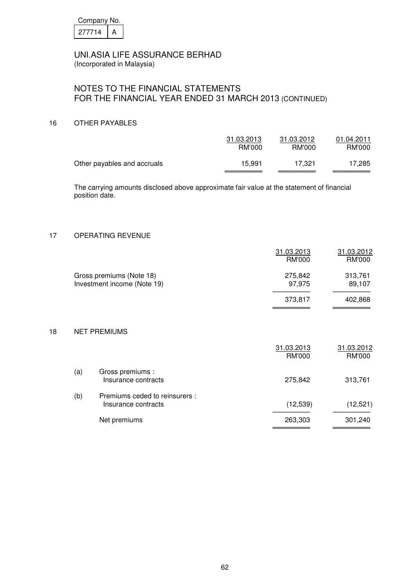| Company No. |  |  |
|-------------|--|--|
| 277714      |  |  |

# NOTES TO THE FINANCIAL STATEMENTS FOR THE FINANCIAL YEAR ENDED 31 MARCH 2013 (CONTINUED)

### 16 OTHER PAYABLES

|                             | 31.03.2013 | 31.03.2012    | 01.04.2011 |
|-----------------------------|------------|---------------|------------|
|                             | RM'000     | <b>RM'000</b> | RM'000     |
| Other payables and accruals | 15.991     | 17.321        | 17.285     |

 The carrying amounts disclosed above approximate fair value at the statement of financial position date.

### 17 OPERATING REVENUE

|    |     |                                                         | 31.03.2013<br><b>RM'000</b> | 31.03.2012<br><b>RM'000</b> |
|----|-----|---------------------------------------------------------|-----------------------------|-----------------------------|
|    |     | Gross premiums (Note 18)<br>Investment income (Note 19) | 275,842<br>97,975           | 313,761<br>89,107           |
|    |     |                                                         | 373,817                     | 402,868                     |
| 18 |     | <b>NET PREMIUMS</b>                                     |                             |                             |
|    |     |                                                         | 31.03.2013<br><b>RM'000</b> | 31.03.2012<br><b>RM'000</b> |
|    | (a) | Gross premiums :<br>Insurance contracts                 | 275,842                     | 313,761                     |
|    | (b) | Premiums ceded to reinsurers :<br>Insurance contracts   | (12, 539)                   | (12, 521)                   |
|    |     | Net premiums                                            | 263,303                     | 301,240                     |
|    |     |                                                         |                             |                             |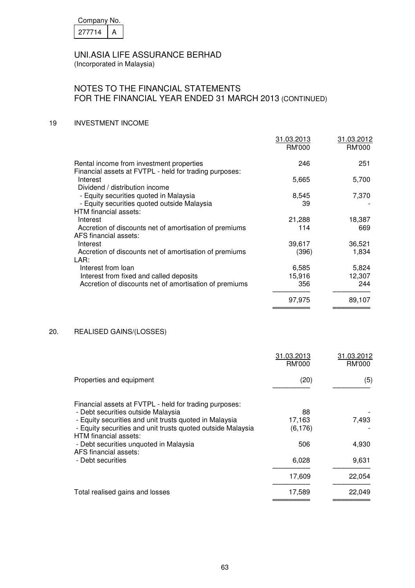| Company No. |  |  |
|-------------|--|--|
| 277714      |  |  |

# NOTES TO THE FINANCIAL STATEMENTS FOR THE FINANCIAL YEAR ENDED 31 MARCH 2013 (CONTINUED)

### 19 INVESTMENT INCOME

|                                                                                                    | 31.03.2013<br><b>RM'000</b> | 31.03.2012<br>RM'000 |
|----------------------------------------------------------------------------------------------------|-----------------------------|----------------------|
| Rental income from investment properties<br>Financial assets at FVTPL - held for trading purposes: | 246                         | 251                  |
| Interest<br>Dividend / distribution income                                                         | 5,665                       | 5,700                |
| - Equity securities quoted in Malaysia<br>- Equity securities quoted outside Malaysia              | 8,545<br>39                 | 7,370                |
| HTM financial assets:<br>Interest                                                                  | 21,288                      | 18,387               |
| Accretion of discounts net of amortisation of premiums                                             | 114                         | 669                  |
| AFS financial assets:<br>Interest                                                                  | 39,617                      | 36,521               |
| Accretion of discounts net of amortisation of premiums<br>LAR:                                     | (396)                       | 1,834                |
| Interest from loan                                                                                 | 6,585                       | 5,824                |
| Interest from fixed and called deposits<br>Accretion of discounts net of amortisation of premiums  | 15,916<br>356               | 12,307<br>244        |
|                                                                                                    | 97,975                      | 89,107               |
|                                                                                                    |                             |                      |

### 20. REALISED GAINS/(LOSSES)

|                                                                                                                                                                                                                       | 31.03.2013<br><b>RM'000</b> | 31.03.2012<br><b>RM'000</b> |
|-----------------------------------------------------------------------------------------------------------------------------------------------------------------------------------------------------------------------|-----------------------------|-----------------------------|
| Properties and equipment                                                                                                                                                                                              | (20)                        | (5)                         |
| Financial assets at FVTPL - held for trading purposes:<br>- Debt securities outside Malaysia<br>- Equity securities and unit trusts quoted in Malaysia<br>- Equity securities and unit trusts quoted outside Malaysia | 88<br>17,163<br>(6, 176)    | 7,493                       |
| HTM financial assets:<br>- Debt securities unquoted in Malaysia<br>AFS financial assets:                                                                                                                              | 506                         | 4,930                       |
| - Debt securities                                                                                                                                                                                                     | 6,028                       | 9,631                       |
|                                                                                                                                                                                                                       | 17,609                      | 22,054                      |
| Total realised gains and losses                                                                                                                                                                                       | 17,589                      | 22,049                      |
|                                                                                                                                                                                                                       |                             |                             |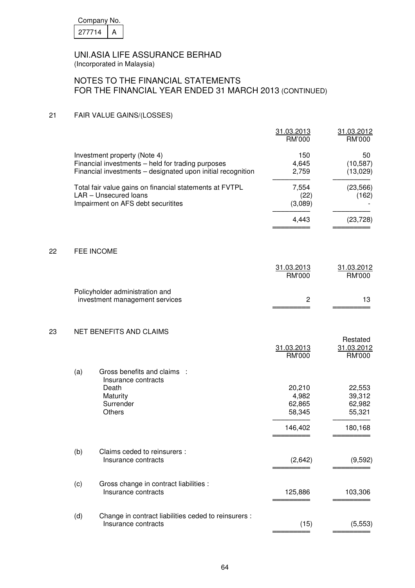| Company No. |  |
|-------------|--|
| 277714      |  |

# NOTES TO THE FINANCIAL STATEMENTS FOR THE FINANCIAL YEAR ENDED 31 MARCH 2013 (CONTINUED)

# 21 FAIR VALUE GAINS/(LOSSES)

22

|    |     |                                                                                                                                                  | 31.03.2013<br>RM'000        | 31.03.2012<br>RM'000                    |
|----|-----|--------------------------------------------------------------------------------------------------------------------------------------------------|-----------------------------|-----------------------------------------|
|    |     | Investment property (Note 4)<br>Financial investments - held for trading purposes<br>Financial investments - designated upon initial recognition | 150<br>4,645<br>2,759       | 50<br>(10, 587)<br>(13,029)             |
|    |     | Total fair value gains on financial statements at FVTPL<br>LAR - Unsecured loans<br>Impairment on AFS debt securitites                           | 7,554<br>(22)<br>(3,089)    | (23, 566)<br>(162)                      |
|    |     |                                                                                                                                                  | 4,443                       | (23, 728)                               |
| 22 |     | FEE INCOME                                                                                                                                       |                             |                                         |
|    |     |                                                                                                                                                  | 31.03.2013<br><b>RM'000</b> | 31.03.2012<br><b>RM'000</b>             |
|    |     | Policyholder administration and<br>investment management services                                                                                | $\overline{c}$              | 13                                      |
| 23 |     | NET BENEFITS AND CLAIMS                                                                                                                          |                             |                                         |
|    |     |                                                                                                                                                  | 31.03.2013<br><b>RM'000</b> | Restated<br>31.03.2012<br><b>RM'000</b> |
|    | (a) | Gross benefits and claims :<br>Insurance contracts                                                                                               |                             |                                         |
|    |     | Death<br>Maturity<br>Surrender                                                                                                                   | 20,210<br>4,982<br>62,865   | 22,553<br>39,312<br>62,982              |
|    |     | Others                                                                                                                                           | 58,345                      | 55,321                                  |
|    |     |                                                                                                                                                  | 146,402                     | 180,168                                 |
|    | (b) | Claims ceded to reinsurers :<br>Insurance contracts                                                                                              | (2,642)                     | (9,592)                                 |
|    | (c) | Gross change in contract liabilities :<br>Insurance contracts                                                                                    | 125,886                     | 103,306                                 |
|    | (d) | Change in contract liabilities ceded to reinsurers :<br>Insurance contracts                                                                      | (15)                        | (5, 553)                                |
|    |     |                                                                                                                                                  |                             |                                         |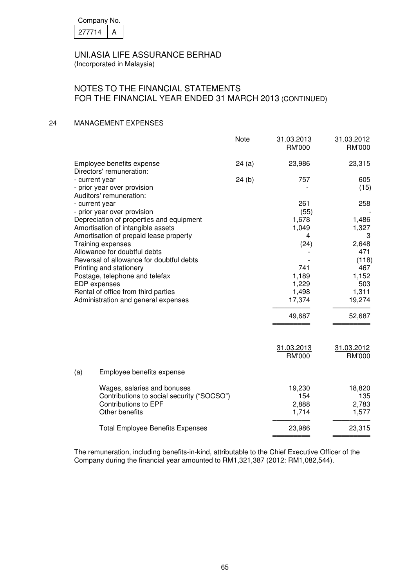| Company No. |  |
|-------------|--|
| 277714      |  |

# NOTES TO THE FINANCIAL STATEMENTS FOR THE FINANCIAL YEAR ENDED 31 MARCH 2013 (CONTINUED)

### 24 MANAGEMENT EXPENSES

|                                                                                                                                  | Note  | 31.03.2013<br><b>RM'000</b>       | 31.03.2012<br><b>RM'000</b>     |
|----------------------------------------------------------------------------------------------------------------------------------|-------|-----------------------------------|---------------------------------|
| Employee benefits expense<br>Directors' remuneration:                                                                            | 24(a) | 23,986                            | 23,315                          |
| - current year<br>- prior year over provision<br>Auditors' remuneration:                                                         | 24(b) | 757                               | 605<br>(15)                     |
| - current year<br>- prior year over provision<br>Depreciation of properties and equipment                                        |       | 261<br>(55)<br>1,678              | 258<br>1,486                    |
| Amortisation of intangible assets<br>Amortisation of prepaid lease property<br>Training expenses<br>Allowance for doubtful debts |       | 1,049<br>4<br>(24)                | 1,327<br>3<br>2,648<br>471      |
| Reversal of allowance for doubtful debts<br>Printing and stationery                                                              |       | 741                               | (118)<br>467                    |
| Postage, telephone and telefax<br>EDP expenses<br>Rental of office from third parties<br>Administration and general expenses     |       | 1,189<br>1,229<br>1,498<br>17,374 | 1,152<br>503<br>1,311<br>19,274 |
|                                                                                                                                  |       | 49,687                            | 52,687                          |
|                                                                                                                                  |       | 31.03.2013<br><b>RM'000</b>       | 31.03.2012<br><b>RM'000</b>     |
| (a)<br>Employee benefits expense                                                                                                 |       |                                   |                                 |
| Wages, salaries and bonuses<br>Contributions to social security ("SOCSO")<br>Contributions to EPF<br>Other benefits              |       | 19,230<br>154<br>2,888<br>1,714   | 18,820<br>135<br>2,783<br>1,577 |
| <b>Total Employee Benefits Expenses</b>                                                                                          |       | 23,986                            | 23,315                          |

 The remuneration, including benefits-in-kind, attributable to the Chief Executive Officer of the Company during the financial year amounted to RM1,321,387 (2012: RM1,082,544).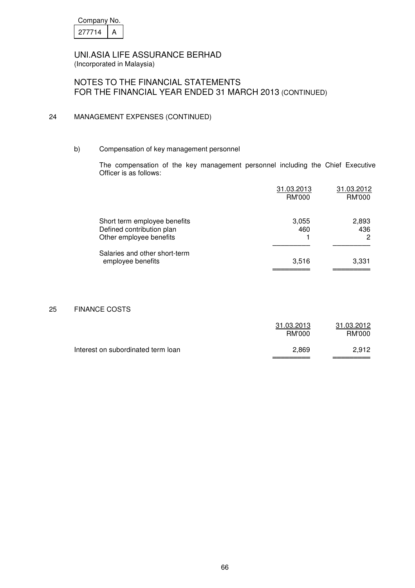| Company No. |  |
|-------------|--|
| 277714      |  |

NOTES TO THE FINANCIAL STATEMENTS FOR THE FINANCIAL YEAR ENDED 31 MARCH 2013 (CONTINUED)

## 24 MANAGEMENT EXPENSES (CONTINUED)

b) Compensation of key management personnel

 The compensation of the key management personnel including the Chief Executive Officer is as follows:

|                                                                                      | 31.03.2013<br><b>RM'000</b> | 31.03.2012<br><b>RM'000</b> |
|--------------------------------------------------------------------------------------|-----------------------------|-----------------------------|
| Short term employee benefits<br>Defined contribution plan<br>Other employee benefits | 3,055<br>460                | 2,893<br>436<br>2           |
| Salaries and other short-term<br>employee benefits                                   | 3,516                       | 3,331                       |

### 25 FINANCE COSTS

|                                    | 31.03.2013<br>RM'000 | 31.03.2012<br>RM'000 |
|------------------------------------|----------------------|----------------------|
| Interest on subordinated term loan | 2,869                | 2.912                |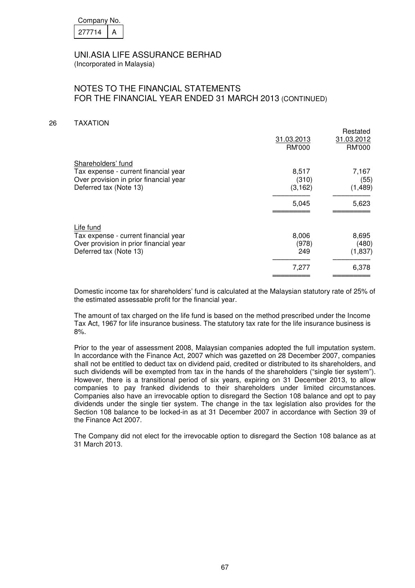| Company No. |  |
|-------------|--|
| 277714      |  |

# NOTES TO THE FINANCIAL STATEMENTS FOR THE FINANCIAL YEAR ENDED 31 MARCH 2013 (CONTINUED)

#### 26 TAXATION

| 31.03.2013<br><b>RM'000</b>    | Restated<br>31.03.2012<br><b>RM'000</b> |
|--------------------------------|-----------------------------------------|
| 8,517<br>(310)<br>(3, 162)     | 7,167<br>(55)<br>(1, 489)               |
| 5,045                          | 5,623                                   |
| 8,006<br>(978)<br>249<br>7,277 | 8,695<br>(480)<br>(1, 837)<br>6,378     |
|                                |                                         |

 Domestic income tax for shareholders' fund is calculated at the Malaysian statutory rate of 25% of the estimated assessable profit for the financial year.

 The amount of tax charged on the life fund is based on the method prescribed under the Income Tax Act, 1967 for life insurance business. The statutory tax rate for the life insurance business is 8%.

 Prior to the year of assessment 2008, Malaysian companies adopted the full imputation system. In accordance with the Finance Act, 2007 which was gazetted on 28 December 2007, companies shall not be entitled to deduct tax on dividend paid, credited or distributed to its shareholders, and such dividends will be exempted from tax in the hands of the shareholders ("single tier system"). However, there is a transitional period of six years, expiring on 31 December 2013, to allow companies to pay franked dividends to their shareholders under limited circumstances. Companies also have an irrevocable option to disregard the Section 108 balance and opt to pay dividends under the single tier system. The change in the tax legislation also provides for the Section 108 balance to be locked-in as at 31 December 2007 in accordance with Section 39 of the Finance Act 2007.

 The Company did not elect for the irrevocable option to disregard the Section 108 balance as at 31 March 2013.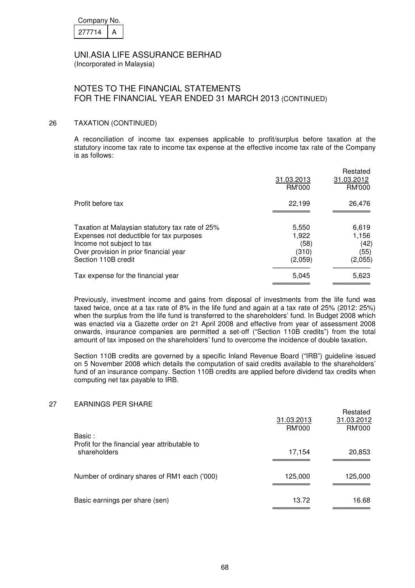| Company No. |  |  |
|-------------|--|--|
| 27714       |  |  |

## NOTES TO THE FINANCIAL STATEMENTS FOR THE FINANCIAL YEAR ENDED 31 MARCH 2013 (CONTINUED)

### 26 TAXATION (CONTINUED)

 A reconciliation of income tax expenses applicable to profit/surplus before taxation at the statutory income tax rate to income tax expense at the effective income tax rate of the Company is as follows:

|                                                                                                                                                                                           | 31.03.2013<br>RM'000                       | Restated<br>31.03.2012<br><b>RM'000</b>   |
|-------------------------------------------------------------------------------------------------------------------------------------------------------------------------------------------|--------------------------------------------|-------------------------------------------|
| Profit before tax                                                                                                                                                                         | 22,199                                     | 26,476                                    |
| Taxation at Malaysian statutory tax rate of 25%<br>Expenses not deductible for tax purposes<br>Income not subject to tax<br>Over provision in prior financial year<br>Section 110B credit | 5,550<br>1,922<br>(58)<br>(310)<br>(2,059) | 6,619<br>1,156<br>(42)<br>(55)<br>(2,055) |
| Tax expense for the financial year                                                                                                                                                        | 5.045                                      | 5,623                                     |

 Previously, investment income and gains from disposal of investments from the life fund was taxed twice, once at a tax rate of 8% in the life fund and again at a tax rate of 25% (2012: 25%) when the surplus from the life fund is transferred to the shareholders' fund. In Budget 2008 which was enacted via a Gazette order on 21 April 2008 and effective from year of assessment 2008 onwards, insurance companies are permitted a set-off ("Section 110B credits") from the total amount of tax imposed on the shareholders' fund to overcome the incidence of double taxation.

 Section 110B credits are governed by a specific Inland Revenue Board ("IRB") guideline issued on 5 November 2008 which details the computation of said credits available to the shareholders' fund of an insurance company. Section 110B credits are applied before dividend tax credits when computing net tax payable to IRB.

### 27 EARNINGS PER SHARE

| Basic:                                                        | 31.03.2013<br><b>RM'000</b> | Restated<br>31.03.2012<br><b>RM'000</b> |
|---------------------------------------------------------------|-----------------------------|-----------------------------------------|
| Profit for the financial year attributable to<br>shareholders | 17,154                      | 20,853                                  |
| Number of ordinary shares of RM1 each ('000)                  | 125,000                     | 125,000                                 |
| Basic earnings per share (sen)                                | 13.72                       | 16.68                                   |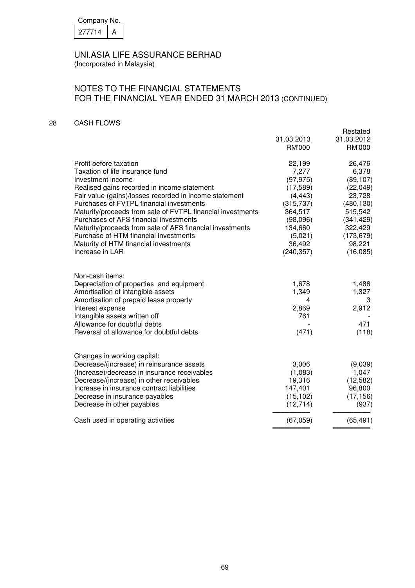| Company No. |  |  |
|-------------|--|--|
| 277714      |  |  |

# NOTES TO THE FINANCIAL STATEMENTS FOR THE FINANCIAL YEAR ENDED 31 MARCH 2013 (CONTINUED)

## 28 CASH FLOWS

|                                                            |               | Restated      |
|------------------------------------------------------------|---------------|---------------|
|                                                            | 31.03.2013    | 31.03.2012    |
|                                                            | <b>RM'000</b> | <b>RM'000</b> |
| Profit before taxation                                     | 22,199        | 26,476        |
| Taxation of life insurance fund                            | 7,277         | 6,378         |
| Investment income                                          | (97, 975)     | (89, 107)     |
| Realised gains recorded in income statement                | (17,589)      | (22, 049)     |
| Fair value (gains)/losses recorded in income statement     | (4, 443)      | 23,728        |
| Purchases of FVTPL financial investments                   | (315, 737)    | (480, 130)    |
| Maturity/proceeds from sale of FVTPL financial investments | 364,517       | 515,542       |
| Purchases of AFS financial investments                     | (98,096)      | (341, 429)    |
| Maturity/proceeds from sale of AFS financial investments   | 134,660       | 322,429       |
| Purchase of HTM financial investments                      | (5,021)       | (173, 679)    |
| Maturity of HTM financial investments                      | 36,492        | 98,221        |
| Increase in LAR                                            | (240, 357)    | (16,085)      |
| Non-cash items:                                            |               |               |
| Depreciation of properties and equipment                   | 1,678         | 1,486         |
| Amortisation of intangible assets                          | 1,349         | 1,327         |
| Amortisation of prepaid lease property                     | 4             | 3             |
| Interest expense                                           | 2,869         | 2,912         |
| Intangible assets written off                              | 761           |               |
| Allowance for doubtful debts                               |               | 471           |
| Reversal of allowance for doubtful debts                   | (471)         | (118)         |
|                                                            |               |               |
| Changes in working capital:                                |               |               |
| Decrease/(increase) in reinsurance assets                  | 3,006         | (9,039)       |
| (Increase)/decrease in insurance receivables               | (1,083)       | 1,047         |
| Decrease/(increase) in other receivables                   | 19,316        | (12, 582)     |
| Increase in insurance contract liabilities                 | 147,401       | 96,800        |
| Decrease in insurance payables                             | (15, 102)     | (17, 156)     |
| Decrease in other payables                                 | (12, 714)     | (937)         |
| Cash used in operating activities                          | (67,059)      | (65, 491)     |
|                                                            |               |               |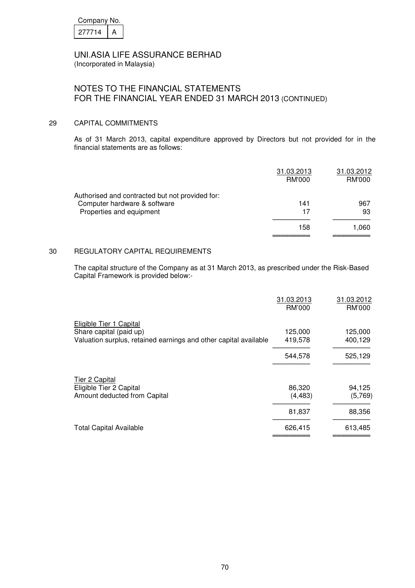| Company No. |  |  |
|-------------|--|--|
| 277714      |  |  |

# NOTES TO THE FINANCIAL STATEMENTS FOR THE FINANCIAL YEAR ENDED 31 MARCH 2013 (CONTINUED)

### 29 CAPITAL COMMITMENTS

 As of 31 March 2013, capital expenditure approved by Directors but not provided for in the financial statements are as follows:

|                                                 | 31.03.2013<br><b>RM'000</b> | 31.03.2012<br><b>RM'000</b> |
|-------------------------------------------------|-----------------------------|-----------------------------|
| Authorised and contracted but not provided for: |                             |                             |
| Computer hardware & software                    | 141                         | 967                         |
| Properties and equipment                        | 17                          | 93                          |
|                                                 | 158                         | 1.060                       |
|                                                 |                             |                             |

## 30 REGULATORY CAPITAL REQUIREMENTS

 The capital structure of the Company as at 31 March 2013, as prescribed under the Risk-Based Capital Framework is provided below:-

|                                                                                                                        | 31.03.2013<br>RM'000          | 31.03.2012<br>RM'000          |
|------------------------------------------------------------------------------------------------------------------------|-------------------------------|-------------------------------|
| Eligible Tier 1 Capital<br>Share capital (paid up)<br>Valuation surplus, retained earnings and other capital available | 125,000<br>419,578<br>544,578 | 125,000<br>400,129<br>525,129 |
| <b>Tier 2 Capital</b><br>Eligible Tier 2 Capital<br>Amount deducted from Capital                                       | 86,320<br>(4, 483)            | 94,125<br>(5,769)             |
| <b>Total Capital Available</b>                                                                                         | 81,837<br>626,415             | 88,356<br>613,485             |
|                                                                                                                        |                               |                               |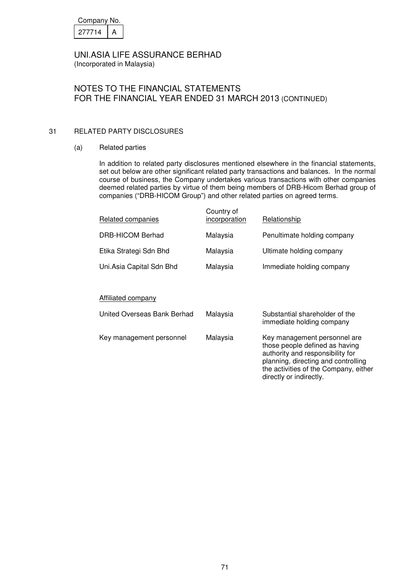| Company No. |  |  |
|-------------|--|--|
| 277714      |  |  |

# NOTES TO THE FINANCIAL STATEMENTS FOR THE FINANCIAL YEAR ENDED 31 MARCH 2013 (CONTINUED)

#### 31 RELATED PARTY DISCLOSURES

(a) Related parties

 In addition to related party disclosures mentioned elsewhere in the financial statements, set out below are other significant related party transactions and balances. In the normal course of business, the Company undertakes various transactions with other companies deemed related parties by virtue of them being members of DRB-Hicom Berhad group of companies ("DRB-HICOM Group") and other related parties on agreed terms.

| Related companies         | Country of<br>incorporation | Relationship                |
|---------------------------|-----------------------------|-----------------------------|
| DRB-HICOM Berhad          | Malaysia                    | Penultimate holding company |
| Etika Strategi Sdn Bhd    | Malaysia                    | Ultimate holding company    |
| Uni. Asia Capital Sdn Bhd | Malaysia                    | Immediate holding company   |
|                           |                             |                             |

| Affiliated company |
|--------------------|
|                    |

| United Overseas Bank Berhad | Malaysia | Substantial shareholder of the<br>immediate holding company                                                                                                                                                   |
|-----------------------------|----------|---------------------------------------------------------------------------------------------------------------------------------------------------------------------------------------------------------------|
| Key management personnel    | Malaysia | Key management personnel are<br>those people defined as having<br>authority and responsibility for<br>planning, directing and controlling<br>the activities of the Company, either<br>directly or indirectly. |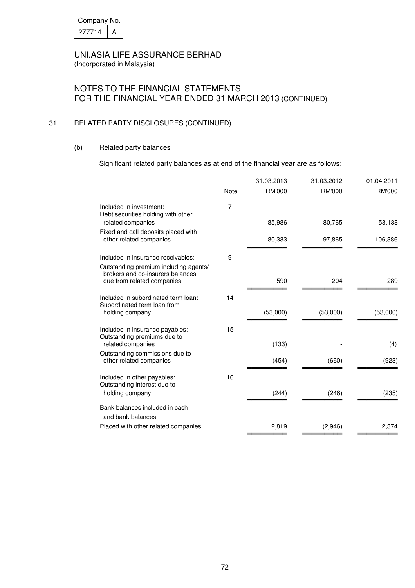| Company No. |  |  |
|-------------|--|--|
| 277714      |  |  |

# NOTES TO THE FINANCIAL STATEMENTS FOR THE FINANCIAL YEAR ENDED 31 MARCH 2013 (CONTINUED)

## 31 RELATED PARTY DISCLOSURES (CONTINUED)

### (b) Related party balances

Significant related party balances as at end of the financial year are as follows:

|                                                                           |             | 31.03.2013    | 31.03.2012    | 01.04.2011 |
|---------------------------------------------------------------------------|-------------|---------------|---------------|------------|
|                                                                           | <b>Note</b> | <b>RM'000</b> | <b>RM'000</b> | RM'000     |
| Included in investment:<br>Debt securities holding with other             | 7           |               |               |            |
| related companies                                                         |             | 85,986        | 80,765        | 58,138     |
| Fixed and call deposits placed with<br>other related companies            |             | 80,333        | 97,865        | 106,386    |
| Included in insurance receivables:                                        | 9           |               |               |            |
|                                                                           |             |               |               |            |
| Outstanding premium including agents/<br>brokers and co-insurers balances |             |               |               |            |
| due from related companies                                                |             | 590           | 204           | 289        |
| Included in subordinated term loan:                                       | 14          |               |               |            |
| Subordinated term loan from<br>holding company                            |             | (53,000)      | (53,000)      | (53,000)   |
|                                                                           |             |               |               |            |
| Included in insurance payables:<br>Outstanding premiums due to            | 15          |               |               |            |
| related companies                                                         |             | (133)         |               | (4)        |
| Outstanding commissions due to                                            |             |               |               |            |
| other related companies                                                   |             | (454)         | (660)         | (923)      |
| Included in other payables:                                               | 16          |               |               |            |
| Outstanding interest due to                                               |             |               |               |            |
| holding company                                                           |             | (244)         | (246)         | (235)      |
| Bank balances included in cash                                            |             |               |               |            |
| and bank balances                                                         |             |               |               |            |
| Placed with other related companies                                       |             | 2,819         | (2,946)       | 2,374      |
|                                                                           |             |               |               |            |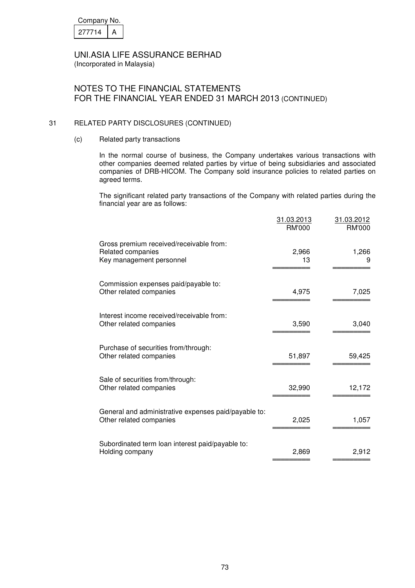| Company No. |  |  |
|-------------|--|--|
| 277714      |  |  |

## NOTES TO THE FINANCIAL STATEMENTS FOR THE FINANCIAL YEAR ENDED 31 MARCH 2013 (CONTINUED)

### 31 RELATED PARTY DISCLOSURES (CONTINUED)

(c) Related party transactions

 In the normal course of business, the Company undertakes various transactions with other companies deemed related parties by virtue of being subsidiaries and associated companies of DRB-HICOM. The Company sold insurance policies to related parties on agreed terms.

 The significant related party transactions of the Company with related parties during the financial year are as follows:

|                                                                                          | 31.03.2013<br><b>RM'000</b> | 31.03.2012<br><b>RM'000</b> |
|------------------------------------------------------------------------------------------|-----------------------------|-----------------------------|
| Gross premium received/receivable from:<br>Related companies<br>Key management personnel | 2,966<br>13                 | 1,266<br>9                  |
| Commission expenses paid/payable to:<br>Other related companies                          | 4,975                       | 7,025                       |
| Interest income received/receivable from:<br>Other related companies                     | 3,590                       | 3,040                       |
| Purchase of securities from/through:<br>Other related companies                          | 51,897                      | 59,425                      |
| Sale of securities from/through:<br>Other related companies                              | 32,990                      | 12,172                      |
| General and administrative expenses paid/payable to:<br>Other related companies          | 2,025                       | 1,057                       |
| Subordinated term loan interest paid/payable to:<br>Holding company                      | 2,869                       | 2,912                       |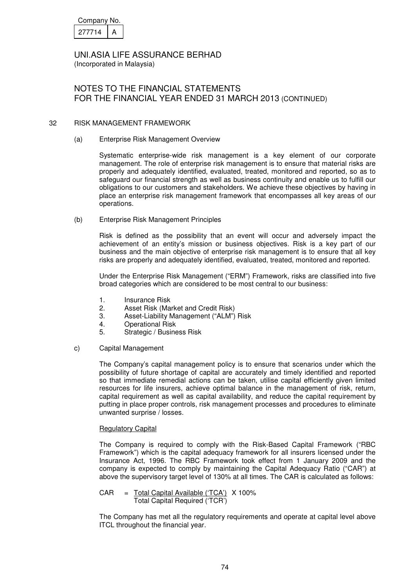| Company No. |  |  |
|-------------|--|--|
| 277714      |  |  |

# NOTES TO THE FINANCIAL STATEMENTS FOR THE FINANCIAL YEAR ENDED 31 MARCH 2013 (CONTINUED)

#### 32 RISK MANAGEMENT FRAMEWORK

#### (a) Enterprise Risk Management Overview

 Systematic enterprise-wide risk management is a key element of our corporate management. The role of enterprise risk management is to ensure that material risks are properly and adequately identified, evaluated, treated, monitored and reported, so as to safeguard our financial strength as well as business continuity and enable us to fulfill our obligations to our customers and stakeholders. We achieve these objectives by having in place an enterprise risk management framework that encompasses all key areas of our operations.

#### (b) Enterprise Risk Management Principles

 Risk is defined as the possibility that an event will occur and adversely impact the achievement of an entity's mission or business objectives. Risk is a key part of our business and the main objective of enterprise risk management is to ensure that all key risks are properly and adequately identified, evaluated, treated, monitored and reported.

 Under the Enterprise Risk Management ("ERM") Framework, risks are classified into five broad categories which are considered to be most central to our business:

- 1. Insurance Risk
- 2. Asset Risk (Market and Credit Risk)
- 3. Asset-Liability Management ("ALM") Risk
- 4. **Operational Risk**<br>5. Strategic / Busine
- Strategic / Business Risk
- c) Capital Management

 The Company's capital management policy is to ensure that scenarios under which the possibility of future shortage of capital are accurately and timely identified and reported so that immediate remedial actions can be taken, utilise capital efficiently given limited resources for life insurers, achieve optimal balance in the management of risk, return, capital requirement as well as capital availability, and reduce the capital requirement by putting in place proper controls, risk management processes and procedures to eliminate unwanted surprise / losses.

### Regulatory Capital

 The Company is required to comply with the Risk-Based Capital Framework ("RBC Framework") which is the capital adequacy framework for all insurers licensed under the Insurance Act, 1996. The RBC Framework took effect from 1 January 2009 and the company is expected to comply by maintaining the Capital Adequacy Ratio ("CAR") at above the supervisory target level of 130% at all times. The CAR is calculated as follows:

 CAR = Total Capital Available ('TCA') X 100% Total Capital Required ('TCR')

 The Company has met all the regulatory requirements and operate at capital level above ITCL throughout the financial year.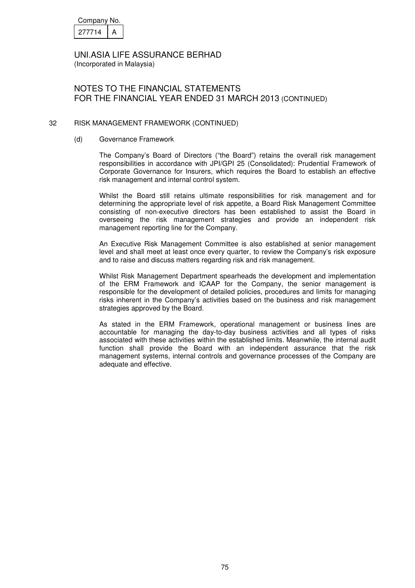| Company No. |  |  |
|-------------|--|--|
| 277714      |  |  |

 NOTES TO THE FINANCIAL STATEMENTS FOR THE FINANCIAL YEAR ENDED 31 MARCH 2013 (CONTINUED)

#### 32 RISK MANAGEMENT FRAMEWORK (CONTINUED)

#### (d) Governance Framework

 The Company's Board of Directors ("the Board") retains the overall risk management responsibilities in accordance with JPI/GPI 25 (Consolidated): Prudential Framework of Corporate Governance for Insurers, which requires the Board to establish an effective risk management and internal control system.

 Whilst the Board still retains ultimate responsibilities for risk management and for determining the appropriate level of risk appetite, a Board Risk Management Committee consisting of non-executive directors has been established to assist the Board in overseeing the risk management strategies and provide an independent risk management reporting line for the Company.

 An Executive Risk Management Committee is also established at senior management level and shall meet at least once every quarter, to review the Company's risk exposure and to raise and discuss matters regarding risk and risk management.

 Whilst Risk Management Department spearheads the development and implementation of the ERM Framework and ICAAP for the Company, the senior management is responsible for the development of detailed policies, procedures and limits for managing risks inherent in the Company's activities based on the business and risk management strategies approved by the Board.

 As stated in the ERM Framework, operational management or business lines are accountable for managing the day-to-day business activities and all types of risks associated with these activities within the established limits. Meanwhile, the internal audit function shall provide the Board with an independent assurance that the risk management systems, internal controls and governance processes of the Company are adequate and effective.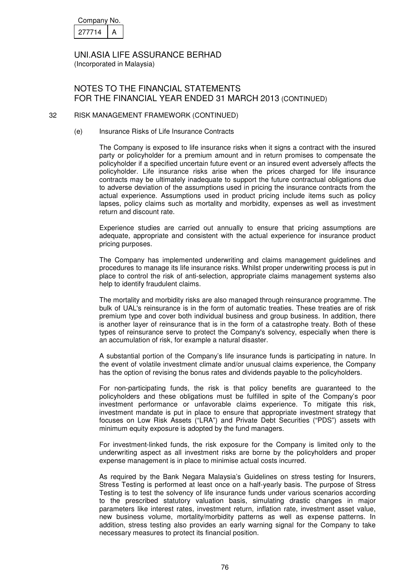| Company No. |  |  |
|-------------|--|--|
| 277714      |  |  |

## NOTES TO THE FINANCIAL STATEMENTS FOR THE FINANCIAL YEAR ENDED 31 MARCH 2013 (CONTINUED)

#### 32 RISK MANAGEMENT FRAMEWORK (CONTINUED)

(e) Insurance Risks of Life Insurance Contracts

 The Company is exposed to life insurance risks when it signs a contract with the insured party or policyholder for a premium amount and in return promises to compensate the policyholder if a specified uncertain future event or an insured event adversely affects the policyholder. Life insurance risks arise when the prices charged for life insurance contracts may be ultimately inadequate to support the future contractual obligations due to adverse deviation of the assumptions used in pricing the insurance contracts from the actual experience. Assumptions used in product pricing include items such as policy lapses, policy claims such as mortality and morbidity, expenses as well as investment return and discount rate.

 Experience studies are carried out annually to ensure that pricing assumptions are adequate, appropriate and consistent with the actual experience for insurance product pricing purposes.

 The Company has implemented underwriting and claims management guidelines and procedures to manage its life insurance risks. Whilst proper underwriting process is put in place to control the risk of anti-selection, appropriate claims management systems also help to identify fraudulent claims.

 The mortality and morbidity risks are also managed through reinsurance programme. The bulk of UAL's reinsurance is in the form of automatic treaties. These treaties are of risk premium type and cover both individual business and group business. In addition, there is another layer of reinsurance that is in the form of a catastrophe treaty. Both of these types of reinsurance serve to protect the Company's solvency, especially when there is an accumulation of risk, for example a natural disaster.

 A substantial portion of the Company's life insurance funds is participating in nature. In the event of volatile investment climate and/or unusual claims experience, the Company has the option of revising the bonus rates and dividends payable to the policyholders.

 For non-participating funds, the risk is that policy benefits are guaranteed to the policyholders and these obligations must be fulfilled in spite of the Company's poor investment performance or unfavorable claims experience. To mitigate this risk, investment mandate is put in place to ensure that appropriate investment strategy that focuses on Low Risk Assets ("LRA") and Private Debt Securities ("PDS") assets with minimum equity exposure is adopted by the fund managers.

 For investment-linked funds, the risk exposure for the Company is limited only to the underwriting aspect as all investment risks are borne by the policyholders and proper expense management is in place to minimise actual costs incurred.

 As required by the Bank Negara Malaysia's Guidelines on stress testing for Insurers, Stress Testing is performed at least once on a half-yearly basis. The purpose of Stress Testing is to test the solvency of life insurance funds under various scenarios according to the prescribed statutory valuation basis, simulating drastic changes in major parameters like interest rates, investment return, inflation rate, investment asset value, new business volume, mortality/morbidity patterns as well as expense patterns. In addition, stress testing also provides an early warning signal for the Company to take necessary measures to protect its financial position.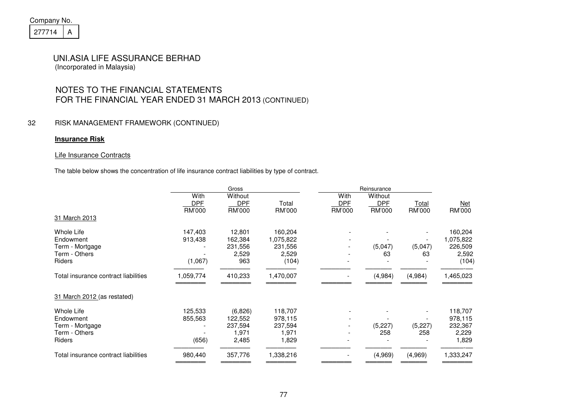# Company No.  $277714$  A

## UNI.ASIA LIFE ASSURANCE BERHAD(Incorporated in Malaysia)

# NOTES TO THE FINANCIAL STATEMENTS FOR THE FINANCIAL YEAR ENDED 31 MARCH 2013 (CONTINUED)

## 32 RISK MANAGEMENT FRAMEWORK (CONTINUED)

### **Insurance Risk**

#### Life Insurance Contracts

The table below shows the concentration of life insurance contract liabilities by type of contract.

|                                      |                              | Gross                           |                  |                              | Reinsurance                            |                        |                      |
|--------------------------------------|------------------------------|---------------------------------|------------------|------------------------------|----------------------------------------|------------------------|----------------------|
|                                      | With<br><b>DPF</b><br>RM'000 | Without<br><b>DPF</b><br>RM'000 | Total<br>RM'000  | With<br><b>DPF</b><br>RM'000 | Without<br><b>DPF</b><br><b>RM'000</b> | <b>Total</b><br>RM'000 | <u>Net</u><br>RM'000 |
| 31 March 2013                        |                              |                                 |                  |                              |                                        |                        |                      |
| Whole Life                           | 147,403                      | 12,801                          | 160,204          |                              |                                        |                        | 160,204              |
| Endowment                            | 913,438                      | 162,384                         | 1,075,822        |                              |                                        |                        | 1,075,822            |
| Term - Mortgage<br>Term - Others     |                              | 231,556                         | 231,556<br>2,529 |                              | (5,047)<br>63                          | (5,047)<br>63          | 226,509              |
| Riders                               | (1,067)                      | 2,529<br>963                    | (104)            |                              |                                        |                        | 2,592<br>(104)       |
| Total insurance contract liabilities | 1,059,774                    | 410,233                         | 1,470,007        |                              | (4,984)                                | (4,984)                | 1,465,023            |
| 31 March 2012 (as restated)          |                              |                                 |                  |                              |                                        |                        |                      |
| Whole Life                           | 125,533                      | (6,826)                         | 118,707          |                              |                                        |                        | 118,707              |
| Endowment                            | 855,563                      | 122,552                         | 978,115          |                              |                                        |                        | 978,115              |
| Term - Mortgage                      |                              | 237,594                         | 237,594          |                              | (5,227)                                | (5,227)                | 232,367              |
| Term - Others                        |                              | 1,971                           | 1,971            |                              | 258                                    | 258                    | 2,229                |
| Riders                               | (656)                        | 2,485                           | 1,829            |                              |                                        |                        | 1,829                |
| Total insurance contract liabilities | 980,440                      | 357,776                         | 1,338,216        | $\overline{\phantom{a}}$     | (4,969)                                | (4,969)                | 1,333,247            |
|                                      |                              |                                 |                  |                              |                                        |                        |                      |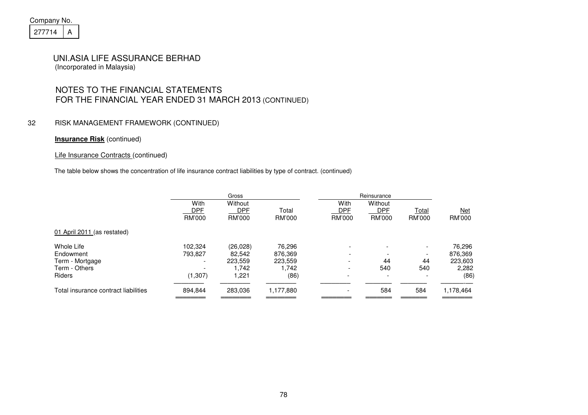# Company No.  $277714$  A

## UNI.ASIA LIFE ASSURANCE BERHAD(Incorporated in Malaysia)

# NOTES TO THE FINANCIAL STATEMENTS FOR THE FINANCIAL YEAR ENDED 31 MARCH 2013 (CONTINUED)

## 32 RISK MANAGEMENT FRAMEWORK (CONTINUED)

### **Insurance Risk** (continued)

## Life Insurance Contracts (continued)

The table below shows the concentration of life insurance contract liabilities by type of contract. (continued)

|                                      |                          | Gross      |           |                          | Reinsurance              |                          |            |
|--------------------------------------|--------------------------|------------|-----------|--------------------------|--------------------------|--------------------------|------------|
|                                      | With                     | Without    |           | With                     | Without                  |                          |            |
|                                      | <b>DPF</b>               | <b>DPF</b> | Total     | <b>DPF</b>               | <b>DPF</b>               | <b>Total</b>             | <b>Net</b> |
|                                      | RM'000                   | RM'000     | RM'000    | RM'000                   | RM'000                   | RM'000                   | RM'000     |
| 01 April 2011 (as restated)          |                          |            |           |                          |                          |                          |            |
| Whole Life                           | 102.324                  | (26,028)   | 76,296    | -                        |                          | $\overline{\phantom{a}}$ | 76,296     |
| Endowment                            | 793,827                  | 82,542     | 876,369   | -                        |                          | $\overline{\phantom{a}}$ | 876,369    |
| Term - Mortgage                      | $\overline{\phantom{a}}$ | 223,559    | 223,559   | $\overline{\phantom{0}}$ | 44                       | 44                       | 223,603    |
| Term - Others                        |                          | 1.742      | .742      | $\overline{\phantom{0}}$ | 540                      | 540                      | 2,282      |
| <b>Riders</b>                        | (1, 307)                 | 1,221      | (86)      | $\overline{\phantom{0}}$ | $\overline{\phantom{0}}$ | $\overline{\phantom{a}}$ | (86)       |
| Total insurance contract liabilities | 894,844                  | 283,036    | 1,177,880 |                          | 584                      | 584                      | 1,178,464  |
|                                      |                          |            |           |                          |                          |                          |            |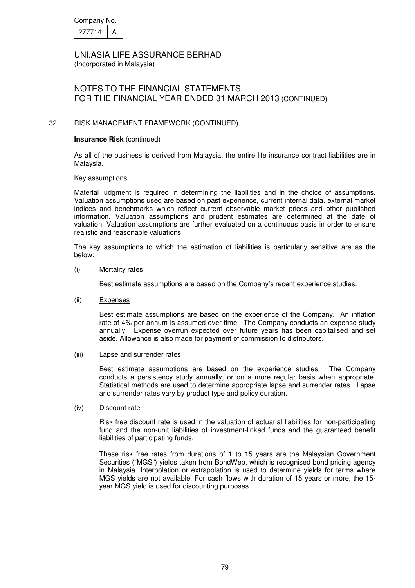| Company No. |  |  |
|-------------|--|--|
| 277714      |  |  |

# NOTES TO THE FINANCIAL STATEMENTS FOR THE FINANCIAL YEAR ENDED 31 MARCH 2013 (CONTINUED)

## 32 RISK MANAGEMENT FRAMEWORK (CONTINUED)

#### **Insurance Risk** (continued)

As all of the business is derived from Malaysia, the entire life insurance contract liabilities are in Malaysia.

#### Key assumptions

 Material judgment is required in determining the liabilities and in the choice of assumptions. Valuation assumptions used are based on past experience, current internal data, external market indices and benchmarks which reflect current observable market prices and other published information. Valuation assumptions and prudent estimates are determined at the date of valuation. Valuation assumptions are further evaluated on a continuous basis in order to ensure realistic and reasonable valuations.

 The key assumptions to which the estimation of liabilities is particularly sensitive are as the below:

#### (i) Mortality rates

Best estimate assumptions are based on the Company's recent experience studies.

#### (ii) Expenses

Best estimate assumptions are based on the experience of the Company. An inflation rate of 4% per annum is assumed over time. The Company conducts an expense study annually. Expense overrun expected over future years has been capitalised and set aside. Allowance is also made for payment of commission to distributors.

#### (iii) Lapse and surrender rates

Best estimate assumptions are based on the experience studies. The Company conducts a persistency study annually, or on a more regular basis when appropriate. Statistical methods are used to determine appropriate lapse and surrender rates. Lapse and surrender rates vary by product type and policy duration.

#### (iv) Discount rate

Risk free discount rate is used in the valuation of actuarial liabilities for non-participating fund and the non-unit liabilities of investment-linked funds and the guaranteed benefit liabilities of participating funds.

These risk free rates from durations of 1 to 15 years are the Malaysian Government Securities ("MGS") yields taken from BondWeb, which is recognised bond pricing agency in Malaysia. Interpolation or extrapolation is used to determine yields for terms where MGS yields are not available. For cash flows with duration of 15 years or more, the 15 year MGS yield is used for discounting purposes.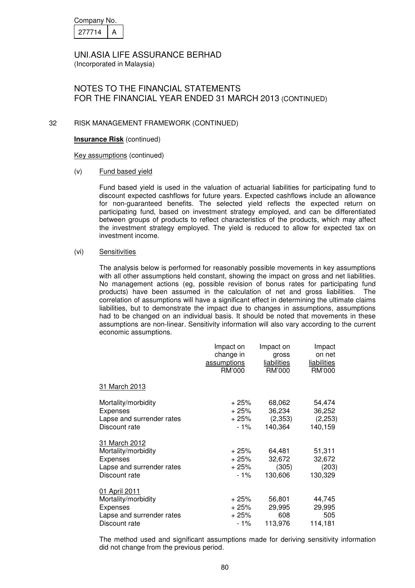| Company No. |  |  |
|-------------|--|--|
| 277714      |  |  |

## NOTES TO THE FINANCIAL STATEMENTS FOR THE FINANCIAL YEAR ENDED 31 MARCH 2013 (CONTINUED)

#### 32 RISK MANAGEMENT FRAMEWORK (CONTINUED)

#### **Insurance Risk** (continued)

Key assumptions (continued)

(v) Fund based yield

Fund based yield is used in the valuation of actuarial liabilities for participating fund to discount expected cashflows for future years. Expected cashflows include an allowance for non-guaranteed benefits. The selected yield reflects the expected return on participating fund, based on investment strategy employed, and can be differentiated between groups of products to reflect characteristics of the products, which may affect the investment strategy employed. The yield is reduced to allow for expected tax on investment income.

#### (vi) Sensitivities

The analysis below is performed for reasonably possible movements in key assumptions with all other assumptions held constant, showing the impact on gross and net liabilities. No management actions (eg, possible revision of bonus rates for participating fund products) have been assumed in the calculation of net and gross liabilities. The correlation of assumptions will have a significant effect in determining the ultimate claims liabilities, but to demonstrate the impact due to changes in assumptions, assumptions had to be changed on an individual basis. It should be noted that movements in these assumptions are non-linear. Sensitivity information will also vary according to the current economic assumptions.

|                                                                                                | Impact on<br>change in<br>assumptions<br>RM'000 | Impact on<br>gross<br>liabilities<br>RM'000 | Impact<br>on net<br>liabilities<br>RM'000 |
|------------------------------------------------------------------------------------------------|-------------------------------------------------|---------------------------------------------|-------------------------------------------|
| 31 March 2013                                                                                  |                                                 |                                             |                                           |
| Mortality/morbidity<br>Expenses<br>Lapse and surrender rates<br>Discount rate                  | + 25%<br>+ 25%<br>+ 25%<br>- 1%                 | 68,062<br>36,234<br>(2,353)<br>140,364      | 54,474<br>36,252<br>(2,253)<br>140,159    |
| 31 March 2012<br>Mortality/morbidity<br>Expenses<br>Lapse and surrender rates<br>Discount rate | + 25%<br>+ 25%<br>+ 25%<br>- 1%                 | 64,481<br>32,672<br>(305)<br>130,606        | 51,311<br>32,672<br>(203)<br>130,329      |
| 01 April 2011<br>Mortality/morbidity<br>Expenses<br>Lapse and surrender rates<br>Discount rate | + 25%<br>+ 25%<br>+ 25%<br>- 1%                 | 56,801<br>29,995<br>608<br>113,976          | 44,745<br>29,995<br>505<br>114,181        |

The method used and significant assumptions made for deriving sensitivity information did not change from the previous period.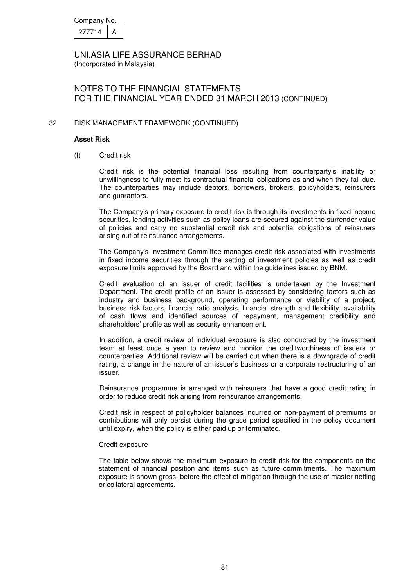| Company No. |  |  |
|-------------|--|--|
| 277714      |  |  |

 NOTES TO THE FINANCIAL STATEMENTS FOR THE FINANCIAL YEAR ENDED 31 MARCH 2013 (CONTINUED)

#### 32 RISK MANAGEMENT FRAMEWORK (CONTINUED)

#### **Asset Risk**

(f) Credit risk

 Credit risk is the potential financial loss resulting from counterparty's inability or unwillingness to fully meet its contractual financial obligations as and when they fall due. The counterparties may include debtors, borrowers, brokers, policyholders, reinsurers and guarantors.

 The Company's primary exposure to credit risk is through its investments in fixed income securities, lending activities such as policy loans are secured against the surrender value of policies and carry no substantial credit risk and potential obligations of reinsurers arising out of reinsurance arrangements.

 The Company's Investment Committee manages credit risk associated with investments in fixed income securities through the setting of investment policies as well as credit exposure limits approved by the Board and within the guidelines issued by BNM.

 Credit evaluation of an issuer of credit facilities is undertaken by the Investment Department. The credit profile of an issuer is assessed by considering factors such as industry and business background, operating performance or viability of a project, business risk factors, financial ratio analysis, financial strength and flexibility, availability of cash flows and identified sources of repayment, management credibility and shareholders' profile as well as security enhancement.

 In addition, a credit review of individual exposure is also conducted by the investment team at least once a year to review and monitor the creditworthiness of issuers or counterparties. Additional review will be carried out when there is a downgrade of credit rating, a change in the nature of an issuer's business or a corporate restructuring of an issuer.

 Reinsurance programme is arranged with reinsurers that have a good credit rating in order to reduce credit risk arising from reinsurance arrangements.

 Credit risk in respect of policyholder balances incurred on non-payment of premiums or contributions will only persist during the grace period specified in the policy document until expiry, when the policy is either paid up or terminated.

#### Credit exposure

The table below shows the maximum exposure to credit risk for the components on the statement of financial position and items such as future commitments. The maximum exposure is shown gross, before the effect of mitigation through the use of master netting or collateral agreements.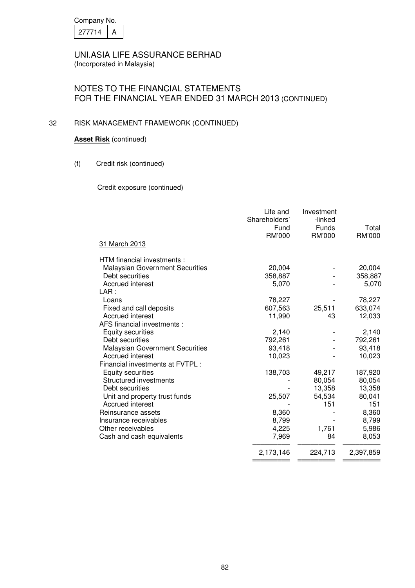| Company No. |  |  |
|-------------|--|--|
| 277714      |  |  |

# NOTES TO THE FINANCIAL STATEMENTS FOR THE FINANCIAL YEAR ENDED 31 MARCH 2013 (CONTINUED)

## 32 RISK MANAGEMENT FRAMEWORK (CONTINUED)

## **Asset Risk** (continued)

## (f) Credit risk (continued)

## Credit exposure (continued)

| 31 March 2013                                             | Life and<br>Shareholders'<br>Fund<br>RM'000 | Investment<br>-linked<br>Funds<br>RM'000 | <b>Total</b><br>RM'000 |
|-----------------------------------------------------------|---------------------------------------------|------------------------------------------|------------------------|
|                                                           |                                             |                                          |                        |
| HTM financial investments :                               | 20,004                                      |                                          | 20,004                 |
| <b>Malaysian Government Securities</b><br>Debt securities | 358,887                                     |                                          | 358,887                |
| Accrued interest                                          | 5,070                                       |                                          | 5,070                  |
| LAR:                                                      |                                             |                                          |                        |
| Loans                                                     | 78,227                                      |                                          | 78,227                 |
| Fixed and call deposits                                   | 607,563                                     | 25,511                                   | 633,074                |
| Accrued interest                                          | 11,990                                      | 43                                       | 12,033                 |
| AFS financial investments :                               |                                             |                                          |                        |
| <b>Equity securities</b>                                  | 2,140                                       |                                          | 2,140                  |
| Debt securities                                           | 792,261                                     |                                          | 792,261                |
| <b>Malaysian Government Securities</b>                    | 93,418                                      |                                          | 93,418                 |
| Accrued interest                                          | 10,023                                      |                                          | 10,023                 |
| Financial investments at FVTPL :                          |                                             |                                          |                        |
| Equity securities                                         | 138,703                                     | 49,217                                   | 187,920                |
| Structured investments                                    |                                             | 80,054                                   | 80,054                 |
| Debt securities                                           |                                             | 13,358                                   | 13,358                 |
| Unit and property trust funds                             | 25,507                                      | 54,534                                   | 80,041                 |
| Accrued interest                                          |                                             | 151                                      | 151                    |
| Reinsurance assets                                        | 8,360                                       |                                          | 8,360                  |
| Insurance receivables                                     | 8,799                                       |                                          | 8,799                  |
| Other receivables                                         | 4,225                                       | 1,761                                    | 5,986                  |
| Cash and cash equivalents                                 | 7,969                                       | 84                                       | 8,053                  |
|                                                           | 2,173,146                                   | 224,713                                  | 2,397,859              |
|                                                           |                                             |                                          |                        |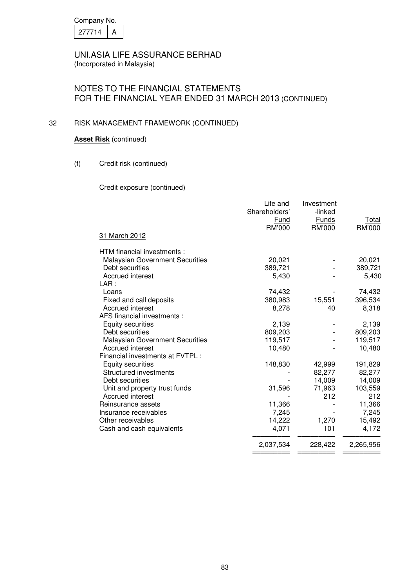| Company No. |  |  |
|-------------|--|--|
| 277714      |  |  |

# NOTES TO THE FINANCIAL STATEMENTS FOR THE FINANCIAL YEAR ENDED 31 MARCH 2013 (CONTINUED)

## 32 RISK MANAGEMENT FRAMEWORK (CONTINUED)

## **Asset Risk** (continued)

### (f) Credit risk (continued)

## Credit exposure (continued)

|                                        | Life and<br>Shareholders'<br><b>Fund</b><br><b>RM'000</b> | Investment<br>-linked<br><b>Funds</b><br>RM'000 | <b>Total</b><br>RM'000 |
|----------------------------------------|-----------------------------------------------------------|-------------------------------------------------|------------------------|
| 31 March 2012                          |                                                           |                                                 |                        |
| HTM financial investments :            |                                                           |                                                 |                        |
| <b>Malaysian Government Securities</b> | 20,021                                                    |                                                 | 20,021                 |
| Debt securities                        | 389,721                                                   |                                                 | 389,721                |
| Accrued interest                       | 5,430                                                     |                                                 | 5,430                  |
| LAR:                                   |                                                           |                                                 |                        |
| Loans                                  | 74,432                                                    |                                                 | 74,432                 |
| Fixed and call deposits                | 380,983                                                   | 15,551                                          | 396,534                |
| Accrued interest                       | 8,278                                                     | 40                                              | 8,318                  |
| AFS financial investments :            |                                                           |                                                 |                        |
| <b>Equity securities</b>               | 2,139                                                     |                                                 | 2,139                  |
| Debt securities                        | 809,203                                                   |                                                 | 809,203                |
| <b>Malaysian Government Securities</b> | 119,517                                                   |                                                 | 119,517                |
| Accrued interest                       | 10,480                                                    |                                                 | 10,480                 |
| Financial investments at FVTPL :       |                                                           |                                                 |                        |
| <b>Equity securities</b>               | 148,830                                                   | 42,999                                          | 191,829                |
| Structured investments                 |                                                           | 82,277                                          | 82,277                 |
| Debt securities                        |                                                           | 14,009                                          | 14,009                 |
| Unit and property trust funds          | 31,596                                                    | 71,963                                          | 103,559                |
| Accrued interest                       |                                                           | 212                                             | 212                    |
| Reinsurance assets                     | 11,366                                                    |                                                 | 11,366                 |
| Insurance receivables                  | 7,245                                                     |                                                 | 7,245                  |
| Other receivables                      | 14,222                                                    | 1,270                                           | 15,492                 |
| Cash and cash equivalents              | 4,071                                                     | 101                                             | 4,172                  |
|                                        | 2,037,534                                                 | 228,422                                         | 2,265,956              |
|                                        |                                                           |                                                 |                        |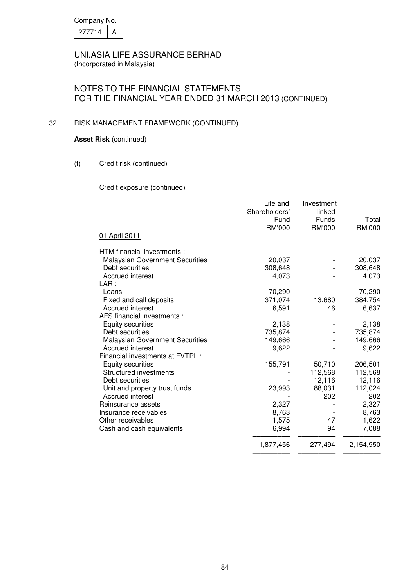| Company No. |  |  |
|-------------|--|--|
| 277714      |  |  |

# NOTES TO THE FINANCIAL STATEMENTS FOR THE FINANCIAL YEAR ENDED 31 MARCH 2013 (CONTINUED)

## 32 RISK MANAGEMENT FRAMEWORK (CONTINUED)

## **Asset Risk** (continued)

### (f) Credit risk (continued)

## Credit exposure (continued)

|                                        | Life and<br>Shareholders' | Investment<br>-linked |           |
|----------------------------------------|---------------------------|-----------------------|-----------|
|                                        | <b>Fund</b>               | Funds                 | Total     |
|                                        | <b>RM'000</b>             | <b>RM'000</b>         | RM'000    |
| 01 April 2011                          |                           |                       |           |
| HTM financial investments :            |                           |                       |           |
| <b>Malaysian Government Securities</b> | 20,037                    |                       | 20,037    |
| Debt securities                        | 308,648                   |                       | 308,648   |
| Accrued interest                       | 4,073                     |                       | 4,073     |
| LAR:                                   |                           |                       |           |
| Loans                                  | 70,290                    |                       | 70,290    |
| Fixed and call deposits                | 371,074                   | 13,680                | 384,754   |
| Accrued interest                       | 6,591                     | 46                    | 6,637     |
| AFS financial investments :            |                           |                       |           |
| Equity securities                      | 2,138                     |                       | 2,138     |
| Debt securities                        | 735,874                   |                       | 735,874   |
| <b>Malaysian Government Securities</b> | 149,666                   |                       | 149,666   |
| Accrued interest                       | 9,622                     |                       | 9,622     |
| Financial investments at FVTPL :       |                           |                       |           |
| Equity securities                      | 155,791                   | 50,710                | 206,501   |
| Structured investments                 |                           | 112,568               | 112,568   |
| Debt securities                        |                           | 12,116                | 12,116    |
| Unit and property trust funds          | 23,993                    | 88,031                | 112,024   |
| Accrued interest                       |                           | 202                   | 202       |
| Reinsurance assets                     | 2,327                     |                       | 2,327     |
| Insurance receivables                  | 8,763                     |                       | 8,763     |
| Other receivables                      | 1,575                     | 47                    | 1,622     |
| Cash and cash equivalents              | 6,994                     | 94                    | 7,088     |
|                                        | 1,877,456                 | 277,494               | 2,154,950 |
|                                        |                           |                       |           |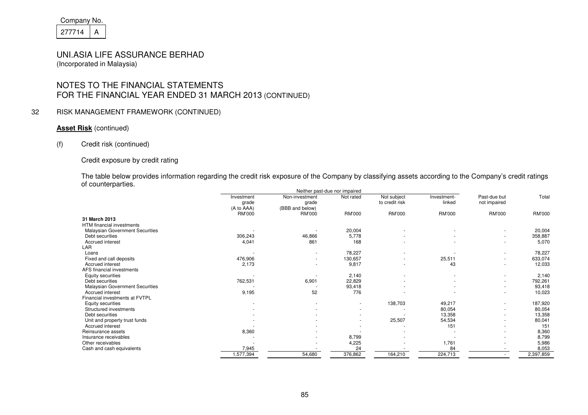| Company No. |  |  |
|-------------|--|--|
| 27714       |  |  |

# NOTES TO THE FINANCIAL STATEMENTS FOR THE FINANCIAL YEAR ENDED 31 MARCH 2013 (CONTINUED)

#### 32 RISK MANAGEMENT FRAMEWORK (CONTINUED)

#### **Asset Risk** (continued)

(f) Credit risk (continued)

#### Credit exposure by credit rating

The table below provides information regarding the credit risk exposure of the Company by classifying assets according to the Company's credit ratings of counterparties.

|                                 | Investment<br>grade<br>(A to AAA) | Non-investment<br>grade<br>(BBB and below) | Not rated                | Not subject<br>to credit risk | Investment-<br>linked | Past-due but<br>not impaired | Total     |
|---------------------------------|-----------------------------------|--------------------------------------------|--------------------------|-------------------------------|-----------------------|------------------------------|-----------|
|                                 | RM'000                            | RM'000                                     | RM'000                   | RM'000                        | RM'000                | RM'000                       | RM'000    |
| 31 March 2013                   |                                   |                                            |                          |                               |                       |                              |           |
| HTM financial investments       |                                   |                                            |                          |                               |                       |                              |           |
| Malaysian Government Securities |                                   |                                            | 20,004                   | $\overline{a}$                |                       | $\sim$                       | 20,004    |
| Debt securities                 | 306,243                           | 46,866                                     | 5,778                    |                               |                       | $\overline{\phantom{a}}$     | 358,887   |
| Accrued interest                | 4,041                             | 861                                        | 168                      |                               |                       |                              | 5,070     |
| LAR                             |                                   |                                            |                          |                               |                       |                              |           |
| Loans                           |                                   | $\sim$                                     | 78,227                   |                               |                       | $\sim$                       | 78,227    |
| Fixed and call deposits         | 476,906                           | $\overline{\phantom{a}}$                   | 130,657                  |                               | 25,511                | $\overline{\phantom{a}}$     | 633,074   |
| Accrued interest                | 2,173                             |                                            | 9,817                    |                               | 43                    |                              | 12,033    |
| AFS financial investments       |                                   |                                            |                          |                               |                       |                              |           |
| Equity securities               |                                   |                                            | 2,140                    |                               |                       | $\sim$                       | 2,140     |
| Debt securities                 | 762,531                           | 6,901                                      | 22,829                   |                               |                       | $\overline{\phantom{a}}$     | 792,261   |
| Malaysian Government Securities |                                   |                                            | 93,418                   |                               |                       |                              | 93,418    |
| Accrued interest                | 9,195                             | 52                                         | 776                      |                               |                       |                              | 10,023    |
| Financial investments at FVTPL  |                                   |                                            |                          |                               |                       |                              |           |
| Equity securities               | $\overline{\phantom{a}}$          | $\sim$                                     | $\sim$                   | 138,703                       | 49,217                | $\sim$                       | 187,920   |
| Structured investments          |                                   |                                            |                          |                               | 80,054                |                              | 80,054    |
| Debt securities                 |                                   |                                            | $\overline{a}$           |                               | 13,358                | $\overline{\phantom{a}}$     | 13,358    |
| Unit and property trust funds   |                                   |                                            | $\overline{\phantom{a}}$ | 25,507                        | 54,534                |                              | 80,041    |
| Accrued interest                |                                   |                                            |                          |                               | 151                   |                              | 151       |
| Reinsurance assets              | 8,360                             |                                            |                          |                               |                       |                              | 8,360     |
| Insurance receivables           |                                   |                                            | 8,799                    |                               |                       |                              | 8,799     |
| Other receivables               | $\overline{\phantom{a}}$          |                                            | 4,225                    |                               | 1,761                 | $\overline{\phantom{a}}$     | 5,986     |
| Cash and cash equivalents       | 7,945                             |                                            | 24                       |                               | 84                    | $\overline{\phantom{a}}$     | 8,053     |
|                                 | 1,577,394                         | 54,680                                     | 376,862                  | 164,210                       | 224,713               | $\sim$                       | 2,397,859 |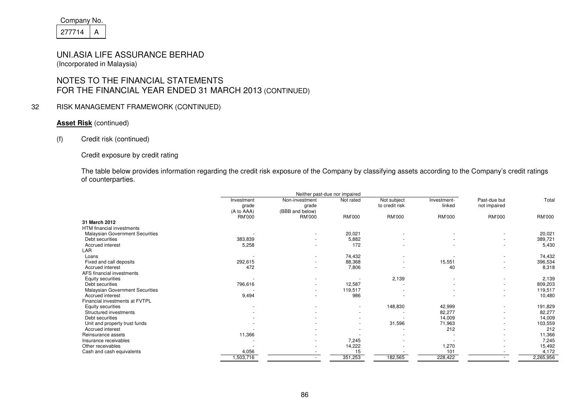| Company No. |  |  |  |
|-------------|--|--|--|
| 27714       |  |  |  |

## NOTES TO THE FINANCIAL STATEMENTS FOR THE FINANCIAL YEAR ENDED 31 MARCH 2013 (CONTINUED)

## 32 RISK MANAGEMENT FRAMEWORK (CONTINUED)

#### **Asset Risk** (continued)

(f) Credit risk (continued)

## Credit exposure by credit rating

The table below provides information regarding the credit risk exposure of the Company by classifying assets according to the Company's credit ratings of counterparties.

|                                  |                                   | Neither past-due nor impaired              |           |                               |                       |                              |           |
|----------------------------------|-----------------------------------|--------------------------------------------|-----------|-------------------------------|-----------------------|------------------------------|-----------|
|                                  | Investment<br>grade<br>(A to AAA) | Non-investment<br>grade<br>(BBB and below) | Not rated | Not subject<br>to credit risk | Investment-<br>linked | Past-due but<br>not impaired | Total     |
|                                  | <b>RM'000</b>                     | <b>RM'000</b>                              | RM'000    | RM'000                        | RM'000                | RM'000                       | RM'000    |
| 31 March 2012                    |                                   |                                            |           |                               |                       |                              |           |
| <b>HTM</b> financial investments |                                   |                                            |           |                               |                       |                              |           |
| Malaysian Government Securities  |                                   |                                            | 20,021    |                               |                       | ٠                            | 20,021    |
| Debt securities                  | 383,839                           |                                            | 5,882     |                               |                       |                              | 389,721   |
| Accrued interest                 | 5,258                             |                                            | 172       |                               |                       | ×                            | 5,430     |
| LAR                              |                                   |                                            |           |                               |                       |                              |           |
| Loans                            |                                   |                                            | 74,432    | $\overline{a}$                |                       | ٠                            | 74,432    |
| Fixed and call deposits          | 292,615                           |                                            | 88,368    |                               | 15,551                | ٠                            | 396,534   |
| Accrued interest                 | 472                               |                                            | 7,806     |                               | 40                    |                              | 8,318     |
| AFS financial investments        |                                   |                                            |           |                               |                       |                              |           |
| Equity securities                |                                   |                                            |           | 2,139                         | $\sim$                | ٠                            | 2,139     |
| Debt securities                  | 796,616                           |                                            | 12,587    |                               |                       |                              | 809,203   |
| Malaysian Government Securities  |                                   |                                            | 119,517   | $\sim$                        |                       |                              | 119,517   |
| Accrued interest                 | 9,494                             |                                            | 986       |                               |                       | $\overline{\phantom{a}}$     | 10,480    |
| Financial investments at FVTPL   |                                   |                                            |           |                               |                       |                              |           |
| Equity securities                |                                   |                                            |           | 148,830                       | 42,999                | ٠                            | 191,829   |
| Structured investments           |                                   |                                            |           |                               | 82,277                | $\overline{\phantom{a}}$     | 82,277    |
| Debt securities                  |                                   |                                            |           |                               | 14,009                |                              | 14,009    |
| Unit and property trust funds    |                                   |                                            |           | 31,596                        | 71,963                | $\overline{\phantom{a}}$     | 103,559   |
| Accrued interest                 |                                   |                                            |           | $\overline{\phantom{a}}$      | 212                   |                              | 212       |
| Reinsurance assets               | 11,366                            |                                            |           | $\overline{\phantom{a}}$      |                       |                              | 11,366    |
| Insurance receivables            |                                   |                                            | 7,245     |                               |                       |                              | 7,245     |
| Other receivables                | $\overline{a}$                    |                                            | 14,222    |                               | 1,270                 |                              | 15,492    |
| Cash and cash equivalents        | 4,056                             |                                            | 15        |                               | 101                   |                              | 4,172     |
|                                  | 1,503,716                         | $\sim$                                     | 351,253   | 182,565                       | 228,422               | $\sim$                       | 2,265,956 |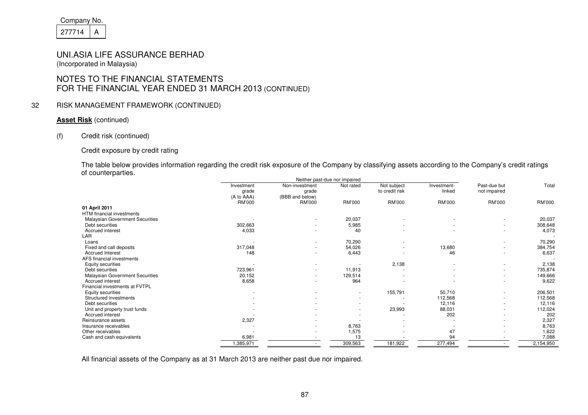| Company No. |  |  |  |
|-------------|--|--|--|
| 27714       |  |  |  |

# NOTES TO THE FINANCIAL STATEMENTS FOR THE FINANCIAL YEAR ENDED 31 MARCH 2013 (CONTINUED)

### 32 RISK MANAGEMENT FRAMEWORK (CONTINUED)

### **Asset Risk** (continued)

#### (f) Credit risk (continued)

#### Credit exposure by credit rating

The table below provides information regarding the credit risk exposure of the Company by classifying assets according to the Company's credit ratings of counterparties. Neither past-due nor impaired

|                                        |                          | Neither past-due nor impaired |           |                               |                       |                              |           |
|----------------------------------------|--------------------------|-------------------------------|-----------|-------------------------------|-----------------------|------------------------------|-----------|
|                                        | Investment<br>grade      | Non-investment<br>grade       | Not rated | Not subject<br>to credit risk | Investment-<br>linked | Past-due but<br>not impaired | Total     |
|                                        | (A to AAA)               | (BBB and below)               |           |                               |                       |                              |           |
|                                        | RM'000                   | RM'000                        | RM'000    | RM'000                        | RM'000                | RM'000                       | RM'000    |
| 01 April 2011                          |                          |                               |           |                               |                       |                              |           |
| HTM financial investments              |                          |                               |           |                               |                       |                              |           |
| <b>Malaysian Government Securities</b> |                          |                               | 20,037    |                               |                       |                              | 20,037    |
| Debt securities                        | 302,663                  |                               | 5,985     |                               |                       | $\sim$                       | 308,648   |
| Accrued interest                       | 4,033                    |                               | 40        |                               |                       |                              | 4,073     |
| LAR                                    |                          |                               |           |                               |                       |                              |           |
| Loans                                  |                          |                               | 70,290    |                               |                       |                              | 70,290    |
| Fixed and call deposits                | 317,048                  |                               | 54,026    |                               | 13,680                | $\sim$                       | 384,754   |
| <b>Accrued Interest</b>                | 148                      |                               | 6,443     |                               | 46                    |                              | 6,637     |
| AFS financial investments              |                          |                               |           |                               |                       |                              |           |
| Equity securities                      |                          |                               |           | 2,138                         |                       |                              | 2,138     |
| Debt securities                        | 723,961                  |                               | 11,913    |                               |                       |                              | 735,874   |
| Malaysian Government Securities        | 20,152                   |                               | 129,514   |                               |                       |                              | 149,666   |
| Accrued interest                       | 8,658                    |                               | 964       |                               |                       |                              | 9,622     |
| Financial investments at FVTPL         |                          |                               |           |                               |                       |                              |           |
| Equity securities                      | $\overline{\phantom{a}}$ |                               |           | 155,791                       | 50,710                | $\sim$                       | 206,501   |
| Structured investments                 |                          |                               |           |                               | 112,568               |                              | 112,568   |
| Debt securities                        |                          |                               |           |                               | 12,116                |                              | 12,116    |
| Unit and property trust funds          |                          |                               |           | 23,993                        | 88,031                |                              | 112,024   |
| Accrued interest                       |                          |                               |           |                               | 202                   | $\sim$                       | 202       |
| Reinsurance assets                     | 2,327                    |                               |           |                               |                       |                              | 2,327     |
| Insurance receivables                  |                          |                               | 8,763     |                               |                       |                              | 8,763     |
| Other receivables                      |                          |                               | 1,575     |                               | 47                    |                              | 1,622     |
| Cash and cash equivalents              | 6,981                    |                               | 13        |                               | 94                    |                              | 7,088     |
|                                        | 1,385,971                |                               | 309,563   | 181,922                       | 277,494               |                              | 2,154,950 |

All financial assets of the Company as at 31 March 2013 are neither past due nor impaired.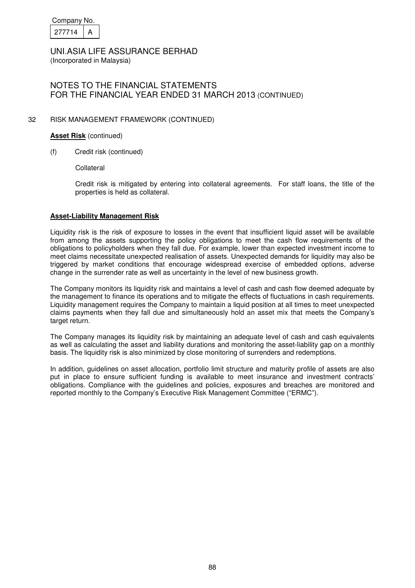| Company No. |  |
|-------------|--|
| 277714      |  |

# NOTES TO THE FINANCIAL STATEMENTS FOR THE FINANCIAL YEAR ENDED 31 MARCH 2013 (CONTINUED)

## 32 RISK MANAGEMENT FRAMEWORK (CONTINUED)

### **Asset Risk** (continued)

(f) Credit risk (continued)

**Collateral** 

Credit risk is mitigated by entering into collateral agreements. For staff loans, the title of the properties is held as collateral.

### **Asset-Liability Management Risk**

 Liquidity risk is the risk of exposure to losses in the event that insufficient liquid asset will be available from among the assets supporting the policy obligations to meet the cash flow requirements of the obligations to policyholders when they fall due. For example, lower than expected investment income to meet claims necessitate unexpected realisation of assets. Unexpected demands for liquidity may also be triggered by market conditions that encourage widespread exercise of embedded options, adverse change in the surrender rate as well as uncertainty in the level of new business growth.

The Company monitors its liquidity risk and maintains a level of cash and cash flow deemed adequate by the management to finance its operations and to mitigate the effects of fluctuations in cash requirements. Liquidity management requires the Company to maintain a liquid position at all times to meet unexpected claims payments when they fall due and simultaneously hold an asset mix that meets the Company's target return.

The Company manages its liquidity risk by maintaining an adequate level of cash and cash equivalents as well as calculating the asset and liability durations and monitoring the asset-liability gap on a monthly basis. The liquidity risk is also minimized by close monitoring of surrenders and redemptions.

In addition, guidelines on asset allocation, portfolio limit structure and maturity profile of assets are also put in place to ensure sufficient funding is available to meet insurance and investment contracts' obligations. Compliance with the guidelines and policies, exposures and breaches are monitored and reported monthly to the Company's Executive Risk Management Committee ("ERMC").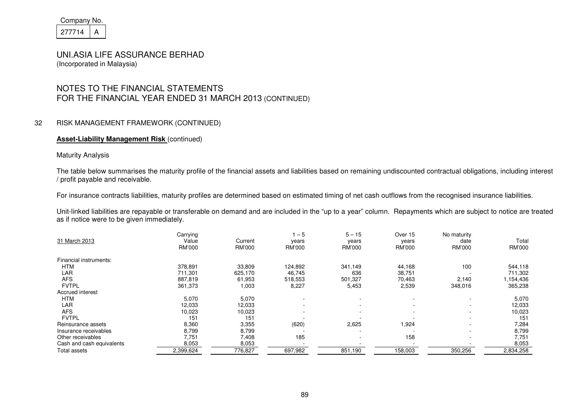| Company No. |  |  |  |
|-------------|--|--|--|
| 277714      |  |  |  |

# NOTES TO THE FINANCIAL STATEMENTS FOR THE FINANCIAL YEAR ENDED 31 MARCH 2013 (CONTINUED)

### 32 RISK MANAGEMENT FRAMEWORK (CONTINUED)

#### **Asset-Liability Management Risk (continued)**

Maturity Analysis

 The table below summarises the maturity profile of the financial assets and liabilities based on remaining undiscounted contractual obligations, including interest / profit payable and receivable.

For insurance contracts liabilities, maturity profiles are determined based on estimated timing of net cash outflows from the recognised insurance liabilities.

 Unit-linked liabilities are repayable or transferable on demand and are included in the "up to a year" column. Repayments which are subject to notice are treated as if notice were to be given immediately.

| 31 March 2013             | Carrying<br>Value<br>RM'000 | Current<br>RM'000 | $1 - 5$<br>years<br>RM'000 | $5 - 15$<br>years<br>RM'000 | Over 15<br>years<br><b>RM'000</b> | No maturity<br>date<br>RM'000 | Total<br>RM'000 |
|---------------------------|-----------------------------|-------------------|----------------------------|-----------------------------|-----------------------------------|-------------------------------|-----------------|
| Financial instruments:    |                             |                   |                            |                             |                                   |                               |                 |
| HTM                       | 378,891                     | 33,809            | 124,892                    | 341,149                     | 44,168                            | 100                           | 544,118         |
| LAR                       | 711,301                     | 625,170           | 46,745                     | 636                         | 38,751                            |                               | 711,302         |
| <b>AFS</b>                | 887,819                     | 61,953            | 518,553                    | 501,327                     | 70,463                            | 2,140                         | 1,154,436       |
| <b>FVTPL</b>              | 361,373                     | 1,003             | 8,227                      | 5,453                       | 2,539                             | 348,016                       | 365,238         |
| Accrued interest          |                             |                   |                            |                             |                                   |                               |                 |
| HTM                       | 5,070                       | 5,070             | $\overline{\phantom{a}}$   |                             |                                   |                               | 5,070           |
| LAR                       | 12,033                      | 12,033            | $\overline{\phantom{a}}$   | $\overline{\phantom{a}}$    |                                   |                               | 12,033          |
| <b>AFS</b>                | 10,023                      | 10,023            | $\overline{\phantom{a}}$   | $\overline{\phantom{a}}$    |                                   |                               | 10,023          |
| <b>FVTPL</b>              | 151                         | 151               |                            |                             |                                   |                               | 151             |
| Reinsurance assets        | 8,360                       | 3,355             | (620)                      | 2,625                       | 1,924                             |                               | 7,284           |
| Insurance receivables     | 8,799                       | 8,799             |                            |                             |                                   |                               | 8,799           |
| Other receivables         | 7,751                       | 7,408             | 185                        |                             | 158                               |                               | 7,751           |
| Cash and cash equivalents | 8,053                       | 8,053             |                            |                             |                                   |                               | 8,053           |
| <b>Total assets</b>       | 2,399,624                   | 776,827           | 697,982                    | 851,190                     | 158,003                           | 350,256                       | 2,834,258       |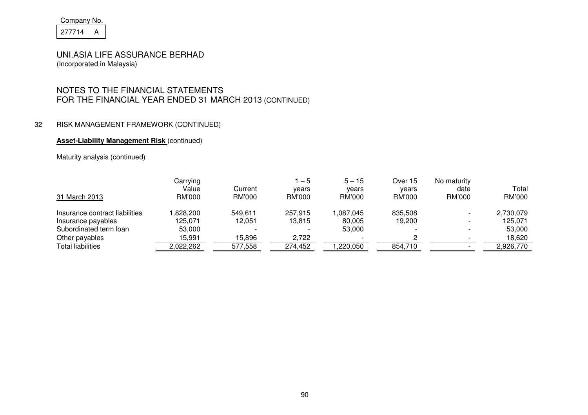| Company No. |  |  |  |
|-------------|--|--|--|
| 277714      |  |  |  |

# NOTES TO THE FINANCIAL STATEMENTS FOR THE FINANCIAL YEAR ENDED 31 MARCH 2013 (CONTINUED)

## 32 RISK MANAGEMENT FRAMEWORK (CONTINUED)

## **Asset-Liability Management Risk (continued)**

| 31 March 2013                  | Carrying<br>Value<br>RM'000 | Current<br>RM'000 | $-5$<br>vears<br>RM'000 | $5 - 15$<br>vears<br>RM'000 | Over 15<br>vears<br>RM'000 | No maturity<br>date<br>RM'000 | Total<br>RM'000 |
|--------------------------------|-----------------------------|-------------------|-------------------------|-----------------------------|----------------------------|-------------------------------|-----------------|
| Insurance contract liabilities | ,828,200                    | 549.611           | 257.915                 | 1,087,045                   | 835,508                    |                               | 2,730,079       |
| Insurance payables             | 125.071                     | 12.051            | 13.815                  | 80,005                      | 19,200                     |                               | 125.071         |
| Subordinated term loan         | 53,000                      |                   |                         | 53,000                      |                            |                               | 53,000          |
| Other payables                 | 15.991                      | 15,896            | 2.722                   |                             | 0                          |                               | 18,620          |
| <b>Total liabilities</b>       | 2,022,262                   | 577,558           | 274,452                 | .220,050                    | 854,710                    |                               | 2,926,770       |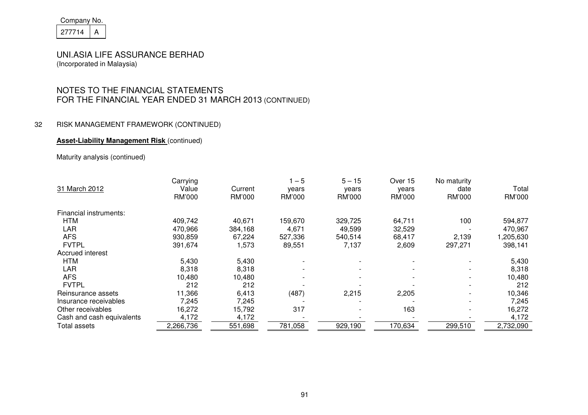| Company No. |  |  |  |
|-------------|--|--|--|
| 277714      |  |  |  |

# NOTES TO THE FINANCIAL STATEMENTS FOR THE FINANCIAL YEAR ENDED 31 MARCH 2013 (CONTINUED)

## 32 RISK MANAGEMENT FRAMEWORK (CONTINUED)

## **Asset-Liability Management Risk** (continued)

|                           | Carrying  |         | $-5$    | $5 - 15$ | Over 15                  | No maturity              |           |
|---------------------------|-----------|---------|---------|----------|--------------------------|--------------------------|-----------|
| 31 March 2012             | Value     | Current | years   | years    | years                    | date                     | Total     |
|                           | RM'000    | RM'000  | RM'000  | RM'000   | RM'000                   | RM'000                   | RM'000    |
| Financial instruments:    |           |         |         |          |                          |                          |           |
| <b>HTM</b>                | 409,742   | 40,671  | 159,670 | 329,725  | 64,711                   | 100                      | 594,877   |
| LAR                       | 470,966   | 384,168 | 4,671   | 49,599   | 32,529                   |                          | 470,967   |
| <b>AFS</b>                | 930,859   | 67,224  | 527,336 | 540,514  | 68,417                   | 2,139                    | 1,205,630 |
| <b>FVTPL</b>              | 391,674   | 1,573   | 89,551  | 7,137    | 2,609                    | 297,271                  | 398,141   |
| Accrued interest          |           |         |         |          |                          |                          |           |
| <b>HTM</b>                | 5,430     | 5,430   |         |          |                          |                          | 5,430     |
| LAR                       | 8,318     | 8,318   | -       |          | $\overline{\phantom{a}}$ | Ξ.                       | 8,318     |
| <b>AFS</b>                | 10,480    | 10,480  |         |          | $\overline{\phantom{a}}$ |                          | 10,480    |
| <b>FVTPL</b>              | 212       | 212     |         |          |                          | $\overline{\phantom{0}}$ | 212       |
| Reinsurance assets        | 11,366    | 6,413   | (487)   | 2,215    | 2,205                    |                          | 10,346    |
| Insurance receivables     | 7,245     | 7,245   |         |          |                          |                          | 7,245     |
| Other receivables         | 16,272    | 15,792  | 317     |          | 163                      |                          | 16,272    |
| Cash and cash equivalents | 4,172     | 4,172   |         |          |                          |                          | 4,172     |
| Total assets              | 2,266,736 | 551,698 | 781,058 | 929,190  | 170,634                  | 299,510                  | 2,732,090 |
|                           |           |         |         |          |                          |                          |           |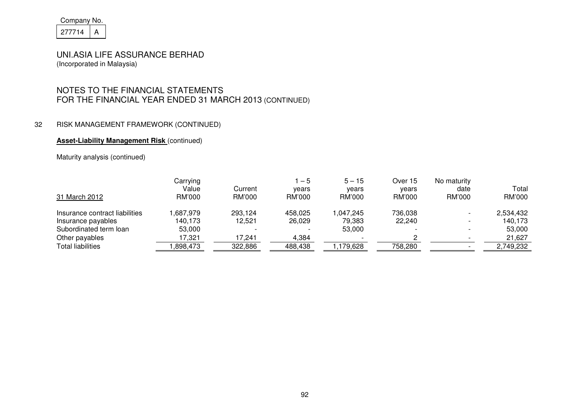| Company No. |  |  |  |
|-------------|--|--|--|
| 277714      |  |  |  |

# NOTES TO THE FINANCIAL STATEMENTS FOR THE FINANCIAL YEAR ENDED 31 MARCH 2013 (CONTINUED)

## 32 RISK MANAGEMENT FRAMEWORK (CONTINUED)

## **Asset-Liability Management Risk (continued)**

| 31 March 2012                  | Carrying<br>Value<br>RM'000 | Current<br>RM'000 | $-5$<br>years<br>RM'000 | $5 - 15$<br>years<br>RM'000 | Over 15<br>vears<br>RM'000 | No maturity<br>date<br>RM'000 | Total<br>RM'000 |
|--------------------------------|-----------------------------|-------------------|-------------------------|-----------------------------|----------------------------|-------------------------------|-----------------|
| Insurance contract liabilities | 1,687,979                   | 293.124           | 458.025                 | 1,047,245                   | 736,038                    |                               | 2,534,432       |
| Insurance payables             | 140.173                     | 12.521            | 26,029                  | 79,383                      | 22,240                     |                               | 140.173         |
| Subordinated term loan         | 53,000                      |                   |                         | 53,000                      |                            |                               | 53,000          |
| Other payables                 | 17,321                      | 17.241            | 4,384                   |                             | 2                          |                               | 21,627          |
| <b>Total liabilities</b>       | ,898,473                    | 322,886           | 488.438                 | 1,179,628                   | 758,280                    |                               | 2,749,232       |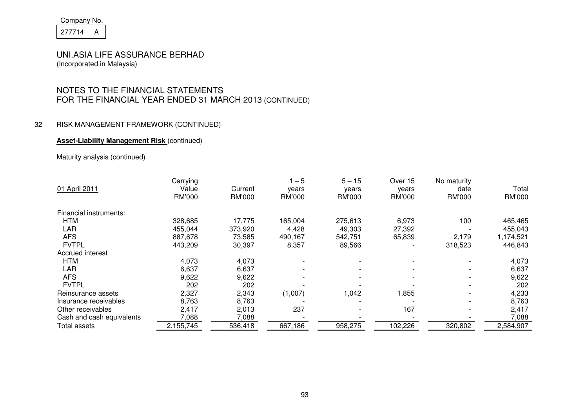| Company No. |  |  |  |
|-------------|--|--|--|
| 277714      |  |  |  |

# NOTES TO THE FINANCIAL STATEMENTS FOR THE FINANCIAL YEAR ENDED 31 MARCH 2013 (CONTINUED)

## 32 RISK MANAGEMENT FRAMEWORK (CONTINUED)

## **Asset-Liability Management Risk** (continued)

|                           | Carrying  |         | $-5$          | $5 - 15$ | Over 15                  | No maturity              |           |
|---------------------------|-----------|---------|---------------|----------|--------------------------|--------------------------|-----------|
| 01 April 2011             | Value     | Current | years         | years    | years                    | date                     | Total     |
|                           | RM'000    | RM'000  | <b>RM'000</b> | RM'000   | RM'000                   | RM'000                   | RM'000    |
| Financial instruments:    |           |         |               |          |                          |                          |           |
| <b>HTM</b>                | 328,685   | 17,775  | 165,004       | 275,613  | 6,973                    | 100                      | 465,465   |
| LAR                       | 455,044   | 373,920 | 4,428         | 49,303   | 27,392                   |                          | 455,043   |
| <b>AFS</b>                | 887,678   | 73,585  | 490,167       | 542,751  | 65,839                   | 2,179                    | 1,174,521 |
| <b>FVTPL</b>              | 443,209   | 30,397  | 8,357         | 89,566   |                          | 318,523                  | 446,843   |
| Accrued interest          |           |         |               |          |                          |                          |           |
| <b>HTM</b>                | 4,073     | 4,073   |               |          |                          |                          | 4,073     |
| LAR                       | 6,637     | 6,637   | -             |          | $\overline{\phantom{a}}$ | $\overline{\phantom{0}}$ | 6,637     |
| <b>AFS</b>                | 9,622     | 9,622   |               |          | $\overline{\phantom{a}}$ |                          | 9,622     |
| <b>FVTPL</b>              | 202       | 202     |               |          |                          | $\overline{\phantom{0}}$ | 202       |
| Reinsurance assets        | 2,327     | 2,343   | (1,007)       | 1,042    | 1,855                    |                          | 4,233     |
| Insurance receivables     | 8,763     | 8,763   |               |          |                          |                          | 8,763     |
| Other receivables         | 2,417     | 2,013   | 237           |          | 167                      |                          | 2,417     |
| Cash and cash equivalents | 7,088     | 7,088   |               |          |                          |                          | 7,088     |
| Total assets              | 2,155,745 | 536,418 | 667,186       | 958,275  | 102,226                  | 320,802                  | 2,584,907 |
|                           |           |         |               |          |                          |                          |           |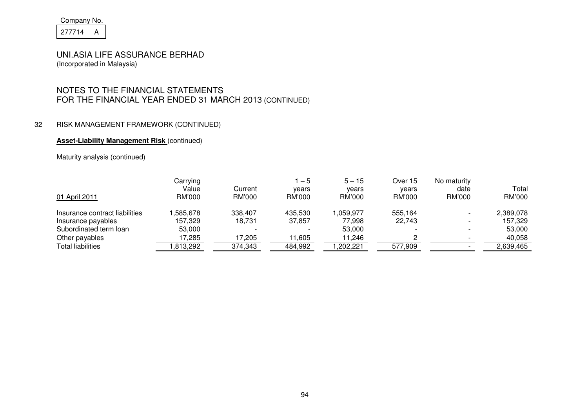| Company No. |  |  |  |
|-------------|--|--|--|
| 277714      |  |  |  |

# NOTES TO THE FINANCIAL STATEMENTS FOR THE FINANCIAL YEAR ENDED 31 MARCH 2013 (CONTINUED)

## 32 RISK MANAGEMENT FRAMEWORK (CONTINUED)

### **Asset-Liability Management Risk (continued)**

| 01 April 2011                  | Carrying<br>Value<br>RM'000 | Current<br>RM'000 | $-5$<br>vears<br>RM'000 | $5 - 15$<br>vears<br>RM'000 | Over 15<br>vears<br>RM'000 | No maturity<br>date<br>RM'000 | Total<br>RM'000 |
|--------------------------------|-----------------------------|-------------------|-------------------------|-----------------------------|----------------------------|-------------------------------|-----------------|
| Insurance contract liabilities | .585.678                    | 338,407           | 435.530                 | 1.059.977                   | 555,164                    |                               | 2,389,078       |
| Insurance payables             | 157,329                     | 18.731            | 37.857                  | 77,998                      | 22,743                     |                               | 157.329         |
| Subordinated term loan         | 53,000                      |                   |                         | 53,000                      |                            |                               | 53,000          |
| Other payables                 | 17.285                      | 17.205            | 11,605                  | 11,246                      | っ                          |                               | 40.058          |
| <b>Total liabilities</b>       | 813,292                     | 374,343           | 484,992                 | .202,221                    | 577,909                    |                               | 2,639,465       |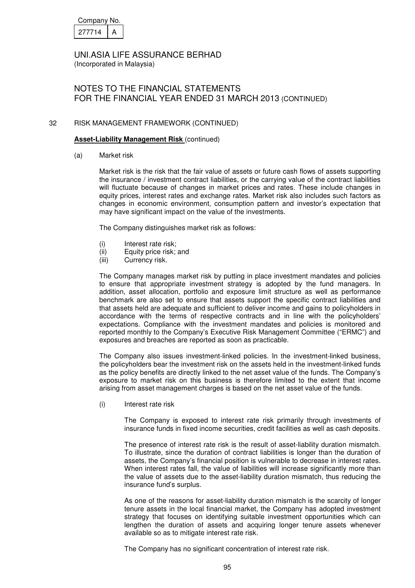| Company No. |  |  |
|-------------|--|--|
| 277714      |  |  |

 NOTES TO THE FINANCIAL STATEMENTS FOR THE FINANCIAL YEAR ENDED 31 MARCH 2013 (CONTINUED)

#### 32 RISK MANAGEMENT FRAMEWORK (CONTINUED)

#### **Asset-Liability Management Risk (continued)**

(a) Market risk

 Market risk is the risk that the fair value of assets or future cash flows of assets supporting the insurance / investment contract liabilities, or the carrying value of the contract liabilities will fluctuate because of changes in market prices and rates. These include changes in equity prices, interest rates and exchange rates. Market risk also includes such factors as changes in economic environment, consumption pattern and investor's expectation that may have significant impact on the value of the investments.

The Company distinguishes market risk as follows:

- (i) Interest rate risk;
- (ii) Equity price risk; and
- (iii) Currency risk.

 The Company manages market risk by putting in place investment mandates and policies to ensure that appropriate investment strategy is adopted by the fund managers. In addition, asset allocation, portfolio and exposure limit structure as well as performance benchmark are also set to ensure that assets support the specific contract liabilities and that assets held are adequate and sufficient to deliver income and gains to policyholders in accordance with the terms of respective contracts and in line with the policyholders' expectations. Compliance with the investment mandates and policies is monitored and reported monthly to the Company's Executive Risk Management Committee ("ERMC") and exposures and breaches are reported as soon as practicable.

 The Company also issues investment-linked policies. In the investment-linked business, the policyholders bear the investment risk on the assets held in the investment-linked funds as the policy benefits are directly linked to the net asset value of the funds. The Company's exposure to market risk on this business is therefore limited to the extent that income arising from asset management charges is based on the net asset value of the funds.

(i) Interest rate risk

 The Company is exposed to interest rate risk primarily through investments of insurance funds in fixed income securities, credit facilities as well as cash deposits.

 The presence of interest rate risk is the result of asset-liability duration mismatch. To illustrate, since the duration of contract liabilities is longer than the duration of assets, the Company's financial position is vulnerable to decrease in interest rates. When interest rates fall, the value of liabilities will increase significantly more than the value of assets due to the asset-liability duration mismatch, thus reducing the insurance fund's surplus.

 As one of the reasons for asset-liability duration mismatch is the scarcity of longer tenure assets in the local financial market, the Company has adopted investment strategy that focuses on identifying suitable investment opportunities which can lengthen the duration of assets and acquiring longer tenure assets whenever available so as to mitigate interest rate risk.

The Company has no significant concentration of interest rate risk.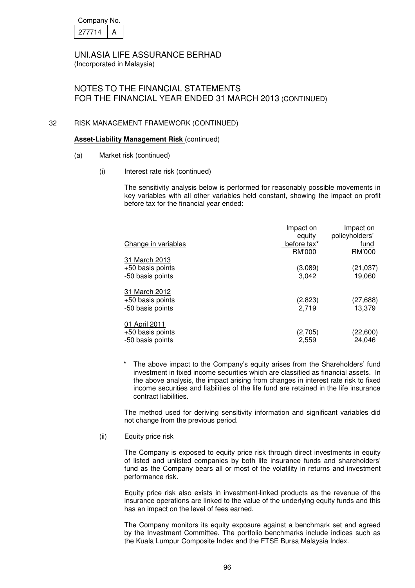| Company No. |  |  |
|-------------|--|--|
| 277714      |  |  |

 NOTES TO THE FINANCIAL STATEMENTS FOR THE FINANCIAL YEAR ENDED 31 MARCH 2013 (CONTINUED)

#### 32 RISK MANAGEMENT FRAMEWORK (CONTINUED)

#### **Asset-Liability Management Risk (continued)**

- (a) Market risk (continued)
	- (i) Interest rate risk (continued)

 The sensitivity analysis below is performed for reasonably possible movements in key variables with all other variables held constant, showing the impact on profit before tax for the financial year ended:

|                     | Impact on   | Impact on      |
|---------------------|-------------|----------------|
|                     | equity      | policyholders' |
| Change in variables | before tax* | fund           |
|                     | RM'000      | RM'000         |
| 31 March 2013       |             |                |
| +50 basis points    | (3,089)     | (21,037)       |
| -50 basis points    | 3,042       | 19,060         |
|                     |             |                |
| 31 March 2012       |             |                |
| +50 basis points    | (2,823)     | (27,688)       |
| -50 basis points    | 2,719       | 13,379         |
|                     |             |                |
| 01 April 2011       |             |                |
| +50 basis points    | (2,705)     | (22,600)       |
| -50 basis points    | 2,559       | 24,046         |
|                     |             |                |

The above impact to the Company's equity arises from the Shareholders' fund investment in fixed income securities which are classified as financial assets. In the above analysis, the impact arising from changes in interest rate risk to fixed income securities and liabilities of the life fund are retained in the life insurance contract liabilities.

 The method used for deriving sensitivity information and significant variables did not change from the previous period.

(ii) Equity price risk

 The Company is exposed to equity price risk through direct investments in equity of listed and unlisted companies by both life insurance funds and shareholders' fund as the Company bears all or most of the volatility in returns and investment performance risk.

 Equity price risk also exists in investment-linked products as the revenue of the insurance operations are linked to the value of the underlying equity funds and this has an impact on the level of fees earned.

 The Company monitors its equity exposure against a benchmark set and agreed by the Investment Committee. The portfolio benchmarks include indices such as the Kuala Lumpur Composite Index and the FTSE Bursa Malaysia Index.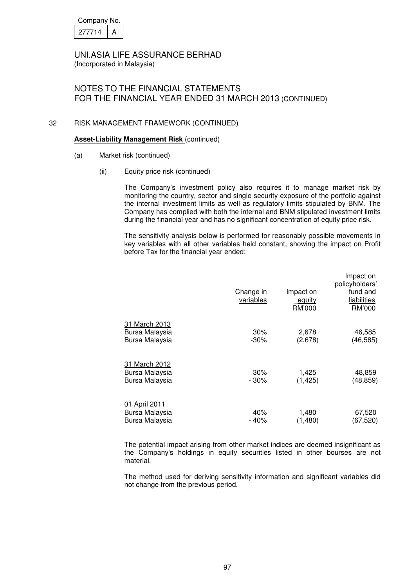| Company No. |  |  |
|-------------|--|--|
| 277714      |  |  |

 NOTES TO THE FINANCIAL STATEMENTS FOR THE FINANCIAL YEAR ENDED 31 MARCH 2013 (CONTINUED)

#### 32 RISK MANAGEMENT FRAMEWORK (CONTINUED)

#### **Asset-Liability Management Risk (continued)**

- (a) Market risk (continued)
	- (ii) Equity price risk (continued)

 The Company's investment policy also requires it to manage market risk by monitoring the country, sector and single security exposure of the portfolio against the internal investment limits as well as regulatory limits stipulated by BNM. The Company has complied with both the internal and BNM stipulated investment limits during the financial year and has no significant concentration of equity price risk.

 The sensitivity analysis below is performed for reasonably possible movements in key variables with all other variables held constant, showing the impact on Profit before Tax for the financial year ended:

|                                                   | Change in<br>variables | Impact on<br>equity<br>RM'000 | Impact on<br>policyholders'<br>fund and<br>liabilities<br>RM'000 |
|---------------------------------------------------|------------------------|-------------------------------|------------------------------------------------------------------|
| 31 March 2013<br>Bursa Malaysia<br>Bursa Malaysia | 30%<br>$-30%$          | 2,678<br>(2,678)              | 46,585<br>(46,585)                                               |
| 31 March 2012<br>Bursa Malaysia<br>Bursa Malaysia | $30\%$<br>- 30%        | 1,425<br>(1, 425)             | 48,859<br>(48, 859)                                              |
| 01 April 2011<br>Bursa Malaysia<br>Bursa Malaysia | 40%<br>- 40%           | 1,480<br>(1,480)              | 67,520<br>(67, 520)                                              |

 The potential impact arising from other market indices are deemed insignificant as the Company's holdings in equity securities listed in other bourses are not material.

 The method used for deriving sensitivity information and significant variables did not change from the previous period.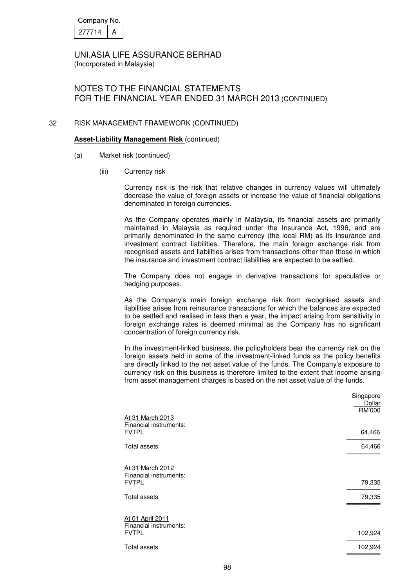| Company No. |  |  |
|-------------|--|--|
| 277714      |  |  |

 NOTES TO THE FINANCIAL STATEMENTS FOR THE FINANCIAL YEAR ENDED 31 MARCH 2013 (CONTINUED)

#### 32 RISK MANAGEMENT FRAMEWORK (CONTINUED)

#### **Asset-Liability Management Risk (continued)**

- (a) Market risk (continued)
	- (iii) Currency risk

 Currency risk is the risk that relative changes in currency values will ultimately decrease the value of foreign assets or increase the value of financial obligations denominated in foreign currencies.

 As the Company operates mainly in Malaysia, its financial assets are primarily maintained in Malaysia as required under the Insurance Act, 1996, and are primarily denominated in the same currency (the local RM) as its insurance and investment contract liabilities. Therefore, the main foreign exchange risk from recognised assets and liabilities arises from transactions other than those in which the insurance and investment contract liabilities are expected to be settled.

 The Company does not engage in derivative transactions for speculative or hedging purposes.

 As the Company's main foreign exchange risk from recognised assets and liabilities arises from reinsurance transactions for which the balances are expected to be settled and realised in less than a year, the impact arising from sensitivity in foreign exchange rates is deemed minimal as the Company has no significant concentration of foreign currency risk.

 In the investment-linked business, the policyholders bear the currency risk on the foreign assets held in some of the investment-linked funds as the policy benefits are directly linked to the net asset value of the funds. The Company's exposure to currency risk on this business is therefore limited to the extent that income arising from asset management charges is based on the net asset value of the funds.

|                                            | Singapore<br>Dollar<br>RM'000 |
|--------------------------------------------|-------------------------------|
| At 31 March 2013<br>Financial instruments: |                               |
| <b>FVTPL</b>                               | 64,466                        |
| <b>Total assets</b>                        | 64,466                        |
| At 31 March 2012<br>Financial instruments: |                               |
| <b>FVTPL</b>                               | 79,335                        |
| <b>Total assets</b>                        | 79,335                        |
| At 01 April 2011<br>Financial instruments: |                               |
| <b>FVTPL</b>                               | 102,924                       |
| <b>Total assets</b>                        | 102,924                       |
|                                            |                               |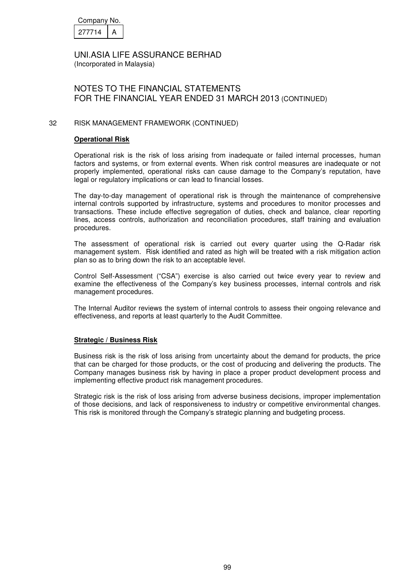| Company No. |  |
|-------------|--|
| 277714      |  |

## NOTES TO THE FINANCIAL STATEMENTS FOR THE FINANCIAL YEAR ENDED 31 MARCH 2013 (CONTINUED)

#### 32 RISK MANAGEMENT FRAMEWORK (CONTINUED)

#### **Operational Risk**

Operational risk is the risk of loss arising from inadequate or failed internal processes, human factors and systems, or from external events. When risk control measures are inadequate or not properly implemented, operational risks can cause damage to the Company's reputation, have legal or regulatory implications or can lead to financial losses.

The day-to-day management of operational risk is through the maintenance of comprehensive internal controls supported by infrastructure, systems and procedures to monitor processes and transactions. These include effective segregation of duties, check and balance, clear reporting lines, access controls, authorization and reconciliation procedures, staff training and evaluation procedures.

The assessment of operational risk is carried out every quarter using the Q-Radar risk management system. Risk identified and rated as high will be treated with a risk mitigation action plan so as to bring down the risk to an acceptable level.

Control Self-Assessment ("CSA") exercise is also carried out twice every year to review and examine the effectiveness of the Company's key business processes, internal controls and risk management procedures.

The Internal Auditor reviews the system of internal controls to assess their ongoing relevance and effectiveness, and reports at least quarterly to the Audit Committee.

#### **Strategic / Business Risk**

Business risk is the risk of loss arising from uncertainty about the demand for products, the price that can be charged for those products, or the cost of producing and delivering the products. The Company manages business risk by having in place a proper product development process and implementing effective product risk management procedures.

Strategic risk is the risk of loss arising from adverse business decisions, improper implementation of those decisions, and lack of responsiveness to industry or competitive environmental changes. This risk is monitored through the Company's strategic planning and budgeting process.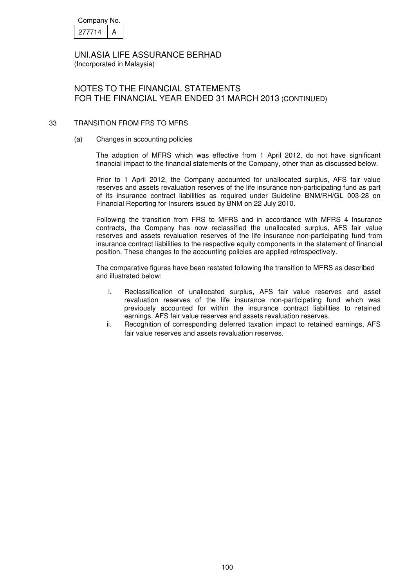| Company No. |  |  |
|-------------|--|--|
| 277714      |  |  |

## NOTES TO THE FINANCIAL STATEMENTS FOR THE FINANCIAL YEAR ENDED 31 MARCH 2013 (CONTINUED)

#### 33 TRANSITION FROM FRS TO MFRS

#### (a) Changes in accounting policies

 The adoption of MFRS which was effective from 1 April 2012, do not have significant financial impact to the financial statements of the Company, other than as discussed below.

Prior to 1 April 2012, the Company accounted for unallocated surplus, AFS fair value reserves and assets revaluation reserves of the life insurance non-participating fund as part of its insurance contract liabilities as required under Guideline BNM/RH/GL 003-28 on Financial Reporting for Insurers issued by BNM on 22 July 2010.

Following the transition from FRS to MFRS and in accordance with MFRS 4 Insurance contracts, the Company has now reclassified the unallocated surplus, AFS fair value reserves and assets revaluation reserves of the life insurance non-participating fund from insurance contract liabilities to the respective equity components in the statement of financial position. These changes to the accounting policies are applied retrospectively.

The comparative figures have been restated following the transition to MFRS as described and illustrated below:

- i. Reclassification of unallocated surplus, AFS fair value reserves and asset revaluation reserves of the life insurance non-participating fund which was previously accounted for within the insurance contract liabilities to retained earnings, AFS fair value reserves and assets revaluation reserves.
- ii. Recognition of corresponding deferred taxation impact to retained earnings, AFS fair value reserves and assets revaluation reserves.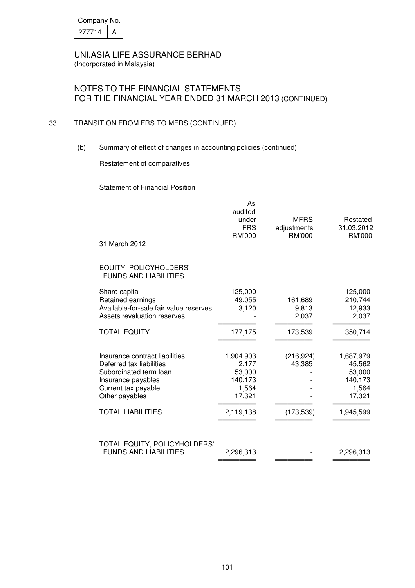| Company No. |  |  |
|-------------|--|--|
| 277714      |  |  |

# NOTES TO THE FINANCIAL STATEMENTS FOR THE FINANCIAL YEAR ENDED 31 MARCH 2013 (CONTINUED)

## 33 TRANSITION FROM FRS TO MFRS (CONTINUED)

### (b) Summary of effect of changes in accounting policies (continued)

Restatement of comparatives

### Statement of Financial Position

| 31 March 2012                                                                                                                                       | As<br>audited<br>under<br><b>FRS</b><br>RM'000             | <b>MFRS</b><br>adjustments<br>RM'000 | Restated<br>31.03.2012<br>RM'000                            |
|-----------------------------------------------------------------------------------------------------------------------------------------------------|------------------------------------------------------------|--------------------------------------|-------------------------------------------------------------|
| EQUITY, POLICYHOLDERS'<br><b>FUNDS AND LIABILITIES</b>                                                                                              |                                                            |                                      |                                                             |
| Share capital<br>Retained earnings<br>Available-for-sale fair value reserves<br>Assets revaluation reserves                                         | 125,000<br>49,055<br>3,120                                 | 161,689<br>9,813<br>2,037            | 125,000<br>210,744<br>12,933<br>2,037                       |
| <b>TOTAL EQUITY</b>                                                                                                                                 | 177,175                                                    | 173,539                              | 350,714                                                     |
| Insurance contract liabilities<br>Deferred tax liabilities<br>Subordinated term loan<br>Insurance payables<br>Current tax payable<br>Other payables | 1,904,903<br>2,177<br>53,000<br>140,173<br>1,564<br>17,321 | (216, 924)<br>43,385                 | 1,687,979<br>45,562<br>53,000<br>140,173<br>1,564<br>17,321 |
| <b>TOTAL LIABILITIES</b>                                                                                                                            | 2,119,138                                                  | (173, 539)                           | 1,945,599                                                   |
| TOTAL EQUITY, POLICYHOLDERS'<br><b>FUNDS AND LIABILITIES</b>                                                                                        | 2,296,313                                                  |                                      | 2,296,313                                                   |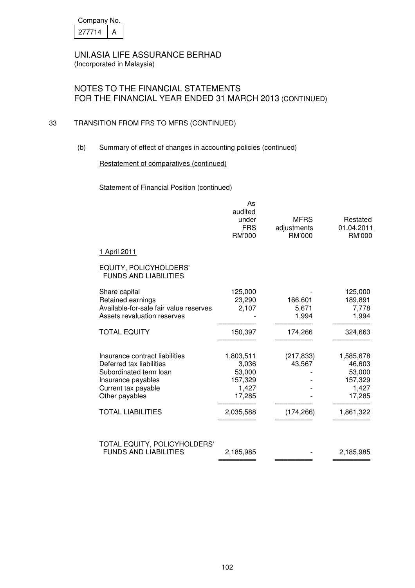| Company No. |  |  |
|-------------|--|--|
| 277714      |  |  |

# NOTES TO THE FINANCIAL STATEMENTS FOR THE FINANCIAL YEAR ENDED 31 MARCH 2013 (CONTINUED)

## 33 TRANSITION FROM FRS TO MFRS (CONTINUED)

### (b) Summary of effect of changes in accounting policies (continued)

Restatement of comparatives (continued)

Statement of Financial Position (continued)

|                                                                                                                                                     | As<br>audited<br>under<br><b>FRS</b><br>RM'000             | <b>MFRS</b><br>adjustments<br>RM'000 | Restated<br>01.04.2011<br>RM'000                            |
|-----------------------------------------------------------------------------------------------------------------------------------------------------|------------------------------------------------------------|--------------------------------------|-------------------------------------------------------------|
| 1 April 2011                                                                                                                                        |                                                            |                                      |                                                             |
| EQUITY, POLICYHOLDERS'<br><b>FUNDS AND LIABILITIES</b>                                                                                              |                                                            |                                      |                                                             |
| Share capital<br>Retained earnings<br>Available-for-sale fair value reserves<br>Assets revaluation reserves                                         | 125,000<br>23,290<br>2,107                                 | 166,601<br>5,671<br>1,994            | 125,000<br>189,891<br>7,778<br>1,994                        |
| <b>TOTAL EQUITY</b>                                                                                                                                 | 150,397                                                    | 174,266                              | 324,663                                                     |
| Insurance contract liabilities<br>Deferred tax liabilities<br>Subordinated term loan<br>Insurance payables<br>Current tax payable<br>Other payables | 1,803,511<br>3,036<br>53,000<br>157,329<br>1,427<br>17,285 | (217, 833)<br>43,567                 | 1,585,678<br>46,603<br>53,000<br>157,329<br>1,427<br>17,285 |
| <b>TOTAL LIABILITIES</b>                                                                                                                            | 2,035,588                                                  | (174, 266)                           | 1,861,322                                                   |
| TOTAL EQUITY, POLICYHOLDERS'<br><b>FUNDS AND LIABILITIES</b>                                                                                        | 2,185,985                                                  |                                      | 2,185,985                                                   |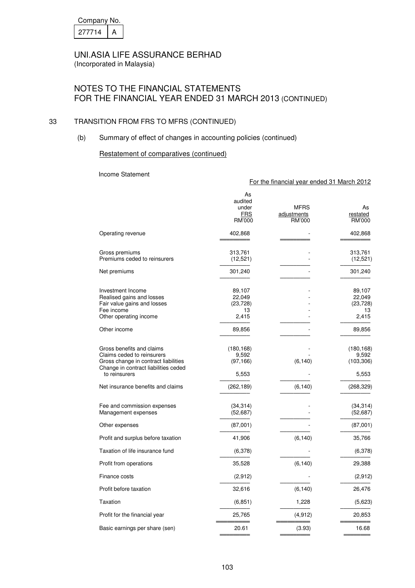| Company No. |  |  |
|-------------|--|--|
| 277714      |  |  |

## NOTES TO THE FINANCIAL STATEMENTS FOR THE FINANCIAL YEAR ENDED 31 MARCH 2013 (CONTINUED)

## 33 TRANSITION FROM FRS TO MFRS (CONTINUED)

(b) Summary of effect of changes in accounting policies (continued)

## Restatement of comparatives (continued)

Income Statement

|                                                                                                                                                          |  | For the financial year ended 31 March 2012     |                                      |                                              |
|----------------------------------------------------------------------------------------------------------------------------------------------------------|--|------------------------------------------------|--------------------------------------|----------------------------------------------|
|                                                                                                                                                          |  | As<br>audited<br>under<br><b>FRS</b><br>RM'000 | <b>MFRS</b><br>adjustments<br>RM'000 | As<br>restated<br>RM'000                     |
| Operating revenue                                                                                                                                        |  | 402,868                                        |                                      | 402,868                                      |
| Gross premiums<br>Premiums ceded to reinsurers                                                                                                           |  | 313,761<br>(12, 521)                           |                                      | 313,761<br>(12, 521)                         |
| Net premiums                                                                                                                                             |  | 301,240                                        |                                      | 301,240                                      |
| Investment Income<br>Realised gains and losses<br>Fair value gains and losses<br>Fee income<br>Other operating income                                    |  | 89,107<br>22,049<br>(23, 728)<br>13<br>2,415   |                                      | 89,107<br>22,049<br>(23, 728)<br>13<br>2,415 |
| Other income                                                                                                                                             |  | 89,856                                         |                                      | 89,856                                       |
| Gross benefits and claims<br>Claims ceded to reinsurers<br>Gross change in contract liabilities<br>Change in contract liabilities ceded<br>to reinsurers |  | (180, 168)<br>9,592<br>(97, 166)<br>5,553      | (6, 140)                             | (180, 168)<br>9,592<br>(103, 306)<br>5,553   |
| Net insurance benefits and claims                                                                                                                        |  | (262, 189)                                     | (6, 140)                             | (268, 329)                                   |
| Fee and commission expenses<br>Management expenses                                                                                                       |  | (34, 314)<br>(52,687)                          |                                      | (34, 314)<br>(52, 687)                       |
| Other expenses                                                                                                                                           |  | (87,001)                                       |                                      | (87,001)                                     |
| Profit and surplus before taxation                                                                                                                       |  | 41,906                                         | (6, 140)                             | 35,766                                       |
| Taxation of life insurance fund                                                                                                                          |  | (6,378)                                        |                                      | (6,378)                                      |
| Profit from operations                                                                                                                                   |  | 35,528                                         | (6, 140)                             | 29,388                                       |
| Finance costs                                                                                                                                            |  | (2,912)                                        |                                      | (2,912)                                      |
| Profit before taxation                                                                                                                                   |  | 32,616                                         | (6, 140)                             | 26,476                                       |
| Taxation                                                                                                                                                 |  | (6, 851)                                       | 1,228                                | (5,623)                                      |
| Profit for the financial year                                                                                                                            |  | 25,765                                         | (4, 912)                             | 20,853                                       |
| Basic earnings per share (sen)                                                                                                                           |  | 20.61                                          | (3.93)                               | 16.68                                        |
|                                                                                                                                                          |  |                                                |                                      |                                              |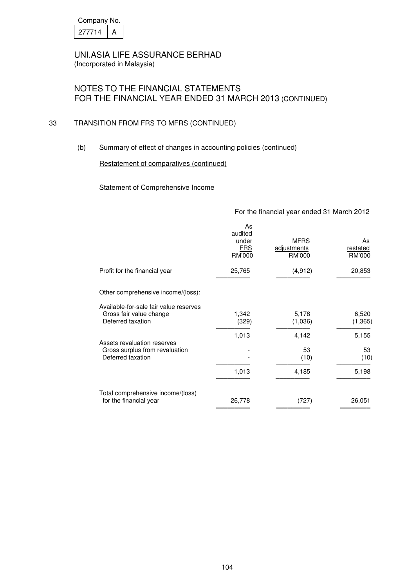| Company No. |  |  |
|-------------|--|--|
| 277714      |  |  |

# NOTES TO THE FINANCIAL STATEMENTS FOR THE FINANCIAL YEAR ENDED 31 MARCH 2013 (CONTINUED)

## 33 TRANSITION FROM FRS TO MFRS (CONTINUED)

### (b) Summary of effect of changes in accounting policies (continued)

Restatement of comparatives (continued)

Statement of Comprehensive Income

|                                                                                        | For the financial year ended 31 March 2012     |                                      |                          |
|----------------------------------------------------------------------------------------|------------------------------------------------|--------------------------------------|--------------------------|
|                                                                                        | As<br>audited<br>under<br><b>FRS</b><br>RM'000 | <b>MFRS</b><br>adjustments<br>RM'000 | As<br>restated<br>RM'000 |
| Profit for the financial year                                                          | 25,765                                         | (4, 912)                             | 20,853                   |
| Other comprehensive income/(loss):                                                     |                                                |                                      |                          |
| Available-for-sale fair value reserves<br>Gross fair value change<br>Deferred taxation | 1,342<br>(329)                                 | 5,178<br>(1,036)                     | 6,520<br>(1, 365)        |
|                                                                                        | 1,013                                          | 4,142                                | 5,155                    |
| Assets revaluation reserves<br>Gross surplus from revaluation<br>Deferred taxation     |                                                | 53<br>(10)                           | 53<br>(10)               |
|                                                                                        | 1,013                                          | 4,185                                | 5,198                    |
| Total comprehensive income/(loss)<br>for the financial year                            | 26,778                                         | (727)                                | 26,051                   |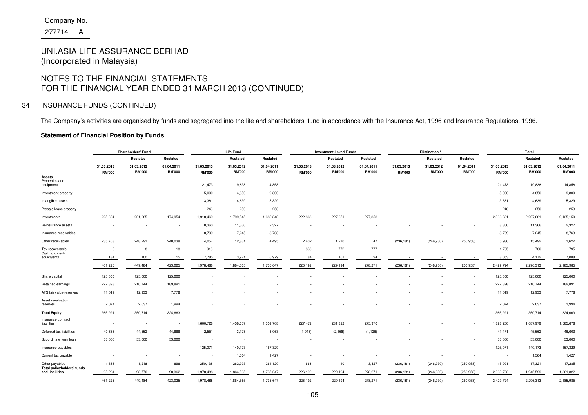| Company No. |  |  |
|-------------|--|--|
| 277714      |  |  |

# NOTES TO THE FINANCIAL STATEMENTS FOR THE FINANCIAL YEAR ENDED 31 MARCH 2013 (CONTINUED)

## 34 INSURANCE FUNDS (CONTINUED)

The Company's activities are organised by funds and segregated into the life and shareholders' fund in accordance with the Insurance Act, 1996 and Insurance Regulations, 1996.

#### **Statement of Financial Position by Funds**

|                                                      | <b>Shareholders' Fund</b> |               |               | <b>Life Fund</b> |                          |               | <b>Investment-linked Funds</b> |               |               | Elimination * |               |                          | Total         |               |               |
|------------------------------------------------------|---------------------------|---------------|---------------|------------------|--------------------------|---------------|--------------------------------|---------------|---------------|---------------|---------------|--------------------------|---------------|---------------|---------------|
|                                                      |                           | Restated      | Restated      |                  | Restated                 | Restated      |                                | Restated      | Restated      |               | Restated      | Restated                 |               | Restated      | Restated      |
|                                                      | 31.03.2013                | 31.03.2012    | 01.04.2011    | 31.03.2013       | 31.03.2012               | 01.04.2011    | 31.03.2013                     | 31.03.2012    | 01.04.2011    | 31.03.2013    | 31.03.2012    | 01.04.2011               | 31.03.2013    | 31.03.2012    | 01.04.2011    |
| <b>Assets</b><br>Properties and                      | <b>RM'000</b>             | <b>RM'000</b> | <b>RM'000</b> | <b>RM'000</b>    | <b>RM'000</b>            | <b>RM'000</b> | <b>RM'000</b>                  | <b>RM'000</b> | <b>RM'000</b> | <b>RM'000</b> | <b>RM'000</b> | <b>RM'000</b>            | <b>RM'000</b> | <b>RM'000</b> | <b>RM'000</b> |
| equipment                                            |                           |               |               | 21,473           | 19,838                   | 14,858        |                                |               |               |               |               |                          | 21,473        | 19,838        | 14,858        |
| Investment property                                  |                           |               |               | 5,000            | 4,850                    | 9,800         |                                |               |               |               |               |                          | 5,000         | 4,850         | 9,800         |
| Intangible assets                                    |                           |               |               | 3,381            | 4,639                    | 5,329         |                                |               |               |               |               | ٠                        | 3,381         | 4,639         | 5,329         |
| Prepaid lease property                               |                           |               |               | 246              | 250                      | 253           |                                |               |               |               |               |                          | 246           | 250           | 253           |
| Investments                                          | 225,324                   | 201,085       | 174,954       | 1,918,469        | 1,799,545                | 1,682,843     | 222,868                        | 227,051       | 277,353       |               |               |                          | 2,366,661     | 2,227,681     | 2,135,150     |
| Reinsurance assets                                   |                           |               |               | 8,360            | 11,366                   | 2,327         |                                |               |               |               |               | ٠                        | 8,360         | 11,366        | 2,327         |
| Insurance receivables                                | $\overline{\phantom{a}}$  |               |               | 8,799            | 7,245                    | 8,763         | $\sim$                         |               |               |               |               |                          | 8,799         | 7,245         | 8,763         |
| Other receivables                                    | 235,708                   | 248,291       | 248,038       | 4,057            | 12,861                   | 4,495         | 2,402                          | 1,270         | 47            | (236, 181)    | (246, 930)    | (250.958)                | 5,986         | 15,492        | 1,622         |
| Tax recoverable                                      | 9                         | 8             | 18            | 918              | $\overline{\phantom{a}}$ |               | 838                            | 772           | 777           |               |               |                          | 1,765         | 780           | 795           |
| Cash and cash<br>equivalents                         | 184                       | 100           | 15            | 7,785            | 3,971                    | 6,979         | 84                             | 101           | 94            |               |               |                          | 8,053         | 4,172         | 7,088         |
|                                                      | 461,225                   | 449,484       | 423,025       | 1,978,488        | 1,864,565                | 1,735,647     | 226,192                        | 229,194       | 278,271       | (236, 181)    | (246, 930)    | (250, 958)               | 2,429,724     | 2,296,313     | 2,185,985     |
| Share capital                                        | 125,000                   | 125,000       | 125,000       |                  |                          |               |                                |               |               |               |               | $\overline{\phantom{a}}$ | 125,000       | 125,000       | 125,000       |
| Retained earnings                                    | 227,898                   | 210,744       | 189,891       |                  |                          |               |                                |               |               |               |               |                          | 227,898       | 210,744       | 189,891       |
| AFS fair value reserves                              | 11,019                    | 12,933        | 7,778         |                  |                          |               |                                |               |               |               |               |                          | 11,019        | 12,933        | 7,778         |
| Asset revaluation<br>reserves                        | 2,074                     | 2,037         | 1,994         |                  |                          |               |                                |               |               |               |               |                          | 2,074         | 2,037         | 1,994         |
| <b>Total Equity</b>                                  | 365,991                   | 350,714       | 324,663       |                  |                          |               |                                |               |               |               |               |                          | 365,991       | 350,714       | 324,663       |
| Insurance contract<br>liabilities                    | $\overline{\phantom{a}}$  |               | $\sim$        | 1,600,728        | 1,456,657                | 1,309,708     | 227,472                        | 231,322       | 275,970       |               |               |                          | 1,828,200     | 1,687,979     | 1,585,678     |
| Deferred tax liabilities                             | 40,868                    | 44,552        | 44,666        | 2,551            | 3,178                    | 3,063         | (1,948)                        | (2, 168)      | (1, 126)      |               |               | ٠                        | 41,471        | 45,562        | 46,603        |
| Subordinate term loan                                | 53,000                    | 53,000        | 53,000        |                  | $\overline{\phantom{a}}$ |               |                                |               |               |               |               |                          | 53,000        | 53,000        | 53,000        |
| Insurance payables                                   |                           |               |               | 125,071          | 140,173                  | 157,329       |                                |               |               |               |               |                          | 125,071       | 140,173       | 157,329       |
| Current tax payable                                  |                           |               |               |                  | 1,564                    | 1,427         |                                |               |               |               |               |                          |               | 1,564         | 1,427         |
| Other payables                                       | 1,366                     | 1,218         | 696           | 250,138          | 262,993                  | 264,120       | 668                            | 40            | 3,427         | (236, 181)    | (246, 930)    | (250, 958)               | 15,991        | 17,321        | 17,285        |
| <b>Total policyholders' funds</b><br>and liabilities | 95,234                    | 98,770        | 98,362        | 1,978,488        | 1,864,565                | 1,735,647     | 226,192                        | 229,194       | 278,271       | (236, 181)    | (246, 930)    | (250, 958)               | 2,063,733     | 1,945,599     | 1,861,322     |
|                                                      | 461.225                   | 449.484       | 423.025       | 1,978,488        | 1.864.565                | 1,735,647     | 226.192                        | 229.194       | 278,271       | (236.181)     | (246.930)     | (250.958)                | 2,429,724     | 2.296.313     | 2,185,985     |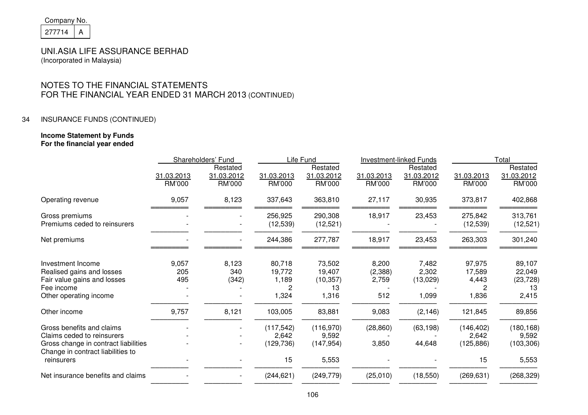

## NOTES TO THE FINANCIAL STATEMENTS FOR THE FINANCIAL YEAR ENDED 31 MARCH 2013 (CONTINUED)

## 34 INSURANCE FUNDS (CONTINUED)

# **Income Statement by Funds**

 **For the financial year ended** 

| Shareholders' Fund |                               |                          |                                     |                                         |                                     | Total                                |                                                                             |  |
|--------------------|-------------------------------|--------------------------|-------------------------------------|-----------------------------------------|-------------------------------------|--------------------------------------|-----------------------------------------------------------------------------|--|
| Restated           |                               |                          | Restated                            |                                         | Restated                            |                                      | Restated                                                                    |  |
| 31.03.2013         | 31.03.2012                    | 31.03.2013               | 31.03.2012                          | 31.03.2013                              | 31.03.2012                          | 31.03.2013                           | 31.03.2012                                                                  |  |
|                    |                               |                          |                                     |                                         |                                     |                                      | RM'000                                                                      |  |
| 9,057              | 8,123                         | 337,643                  | 363,810                             | 27,117                                  | 30,935                              | 373,817                              | 402,868                                                                     |  |
|                    |                               | 256,925                  | 290,308                             | 18,917                                  | 23,453                              | 275,842                              | 313,761                                                                     |  |
|                    |                               | (12, 539)                | (12,521)                            |                                         |                                     | (12, 539)                            | (12, 521)                                                                   |  |
|                    |                               | 244,386                  | 277,787                             | 18,917                                  | 23,453                              | 263,303                              | 301,240                                                                     |  |
|                    |                               |                          |                                     |                                         |                                     |                                      | 89,107                                                                      |  |
|                    | 340                           |                          |                                     |                                         |                                     |                                      | 22,049                                                                      |  |
|                    |                               |                          |                                     |                                         |                                     |                                      | (23, 728)                                                                   |  |
|                    |                               |                          | 13                                  |                                         |                                     |                                      | 13                                                                          |  |
|                    |                               | 1,324                    | 1,316                               | 512                                     | 1,099                               | 1,836                                | 2,415                                                                       |  |
| 9,757              | 8,121                         | 103,005                  | 83,881                              | 9,083                                   | (2, 146)                            | 121,845                              | 89,856                                                                      |  |
|                    |                               | (117, 542)               | (116,970)                           | (28, 860)                               | (63, 198)                           | (146, 402)                           | (180, 168)                                                                  |  |
|                    |                               | 2,642                    | 9,592                               |                                         |                                     | 2,642                                | 9,592                                                                       |  |
|                    |                               | (129, 736)               | (147, 954)                          | 3,850                                   | 44,648                              | (125, 886)                           | (103, 306)                                                                  |  |
|                    |                               | 15                       | 5,553                               |                                         |                                     | 15                                   | 5,553                                                                       |  |
|                    |                               | (244, 621)               | (249, 779)                          | (25,010)                                | (18, 550)                           | (269, 631)                           | (268, 329)                                                                  |  |
|                    | RM'000<br>9,057<br>205<br>495 | RM'000<br>8,123<br>(342) | RM'000<br>80,718<br>19,772<br>1,189 | RM'000<br>73,502<br>19,407<br>(10, 357) | RM'000<br>8,200<br>(2,388)<br>2,759 | RM'000<br>7,482<br>2,302<br>(13,029) | Life Fund<br>Investment-linked Funds<br>RM'000<br>97,975<br>17,589<br>4,443 |  |